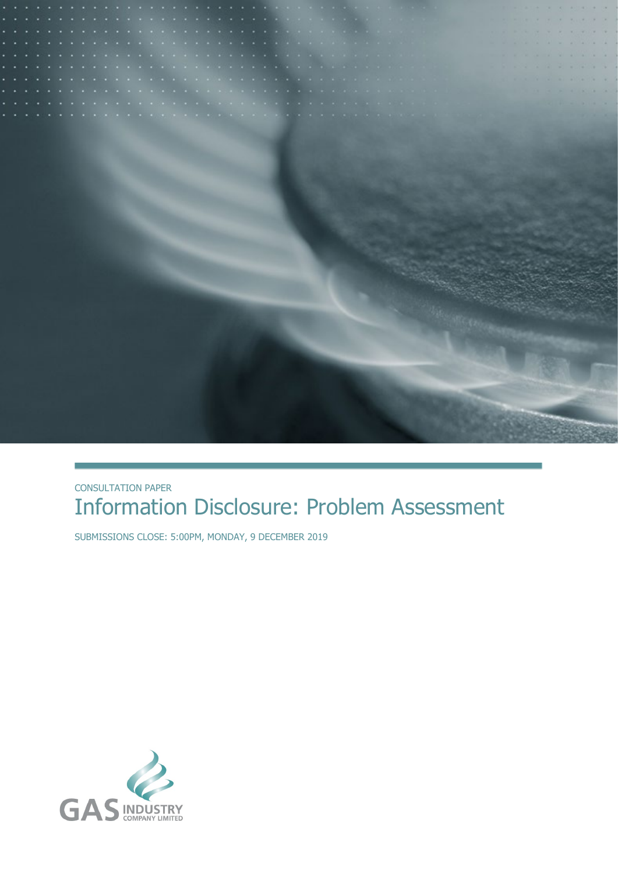

#### CONSULTATION PAPER Information Disclosure: Problem Assessment

SUBMISSIONS CLOSE: 5:00PM, MONDAY, 9 DECEMBER 2019

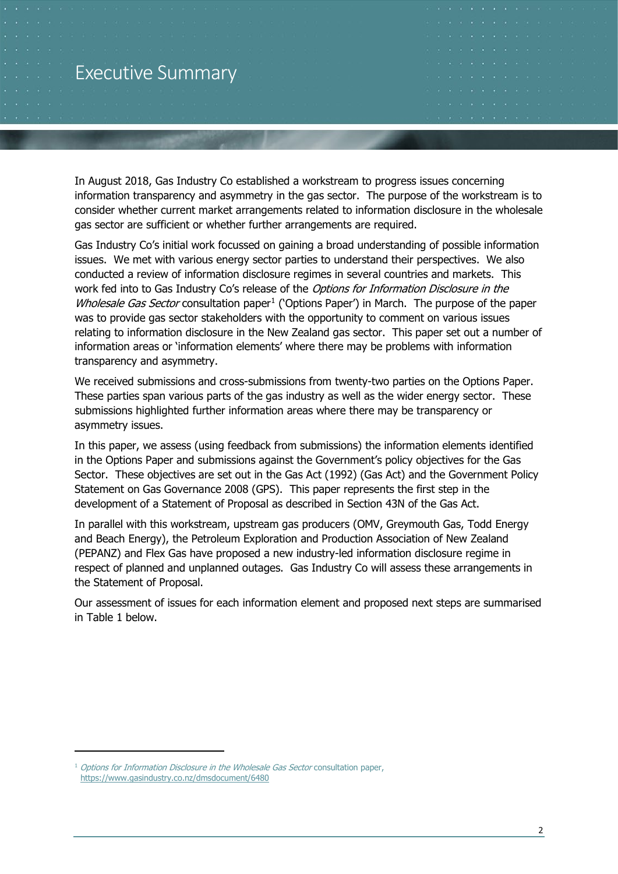#### Executive Summary

In August 2018, Gas Industry Co established a workstream to progress issues concerning information transparency and asymmetry in the gas sector. The purpose of the workstream is to consider whether current market arrangements related to information disclosure in the wholesale gas sector are sufficient or whether further arrangements are required.

Gas Industry Co's initial work focussed on gaining a broad understanding of possible information issues. We met with various energy sector parties to understand their perspectives. We also conducted a review of information disclosure regimes in several countries and markets. This work fed into to Gas Industry Co's release of the Options for Information Disclosure in the Wholesale Gas Sector consultation paper<sup>[1](#page-1-0)</sup> ('Options Paper') in March. The purpose of the paper was to provide gas sector stakeholders with the opportunity to comment on various issues relating to information disclosure in the New Zealand gas sector. This paper set out a number of information areas or 'information elements' where there may be problems with information transparency and asymmetry.

We received submissions and cross-submissions from twenty-two parties on the Options Paper. These parties span various parts of the gas industry as well as the wider energy sector. These submissions highlighted further information areas where there may be transparency or asymmetry issues.

In this paper, we assess (using feedback from submissions) the information elements identified in the Options Paper and submissions against the Government's policy objectives for the Gas Sector. These objectives are set out in the Gas Act (1992) (Gas Act) and the Government Policy Statement on Gas Governance 2008 (GPS). This paper represents the first step in the development of a Statement of Proposal as described in Section 43N of the Gas Act.

In parallel with this workstream, upstream gas producers (OMV, Greymouth Gas, Todd Energy and Beach Energy), the Petroleum Exploration and Production Association of New Zealand (PEPANZ) and Flex Gas have proposed a new industry-led information disclosure regime in respect of planned and unplanned outages. Gas Industry Co will assess these arrangements in the Statement of Proposal.

Our assessment of issues for each information element and proposed next steps are summarised in [Table 1](#page-2-0) below.

<span id="page-1-0"></span><sup>&</sup>lt;sup>1</sup> Options for Information Disclosure in the Wholesale Gas Sector consultation paper, <https://www.gasindustry.co.nz/dmsdocument/6480>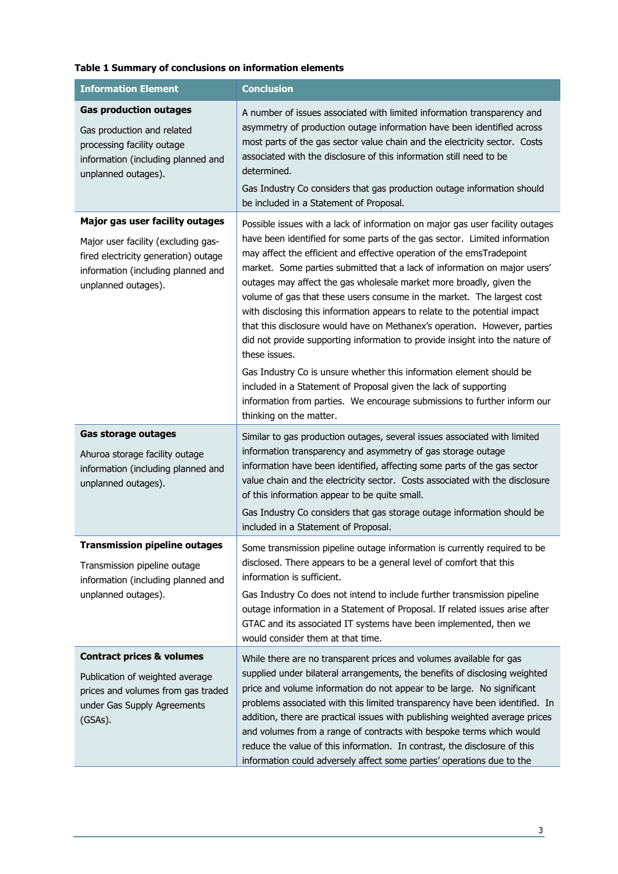#### <span id="page-2-0"></span>**Table 1 Summary of conclusions on information elements**

| <b>Information Element</b>                                                                                                                             | <b>Conclusion</b>                                                                                                                                                                                                                                                                                                                                                                                                                                                                                                                                                                                                                             |
|--------------------------------------------------------------------------------------------------------------------------------------------------------|-----------------------------------------------------------------------------------------------------------------------------------------------------------------------------------------------------------------------------------------------------------------------------------------------------------------------------------------------------------------------------------------------------------------------------------------------------------------------------------------------------------------------------------------------------------------------------------------------------------------------------------------------|
| <b>Gas production outages</b><br>Gas production and related<br>processing facility outage<br>information (including planned and<br>unplanned outages). | A number of issues associated with limited information transparency and<br>asymmetry of production outage information have been identified across<br>most parts of the gas sector value chain and the electricity sector. Costs<br>associated with the disclosure of this information still need to be<br>determined.<br>Gas Industry Co considers that gas production outage information should<br>be included in a Statement of Proposal.                                                                                                                                                                                                   |
| Major gas user facility outages                                                                                                                        | Possible issues with a lack of information on major gas user facility outages                                                                                                                                                                                                                                                                                                                                                                                                                                                                                                                                                                 |
| Major user facility (excluding gas-<br>fired electricity generation) outage<br>information (including planned and<br>unplanned outages).               | have been identified for some parts of the gas sector. Limited information<br>may affect the efficient and effective operation of the emsTradepoint<br>market. Some parties submitted that a lack of information on major users'<br>outages may affect the gas wholesale market more broadly, given the<br>volume of gas that these users consume in the market. The largest cost<br>with disclosing this information appears to relate to the potential impact<br>that this disclosure would have on Methanex's operation. However, parties<br>did not provide supporting information to provide insight into the nature of<br>these issues. |
|                                                                                                                                                        | Gas Industry Co is unsure whether this information element should be<br>included in a Statement of Proposal given the lack of supporting<br>information from parties. We encourage submissions to further inform our<br>thinking on the matter.                                                                                                                                                                                                                                                                                                                                                                                               |
| <b>Gas storage outages</b>                                                                                                                             | Similar to gas production outages, several issues associated with limited                                                                                                                                                                                                                                                                                                                                                                                                                                                                                                                                                                     |
| Ahuroa storage facility outage<br>information (including planned and<br>unplanned outages).                                                            | information transparency and asymmetry of gas storage outage<br>information have been identified, affecting some parts of the gas sector<br>value chain and the electricity sector. Costs associated with the disclosure<br>of this information appear to be quite small.                                                                                                                                                                                                                                                                                                                                                                     |
|                                                                                                                                                        | Gas Industry Co considers that gas storage outage information should be<br>included in a Statement of Proposal.                                                                                                                                                                                                                                                                                                                                                                                                                                                                                                                               |
| <b>Transmission pipeline outages</b><br>Transmission pipeline outage<br>information (including planned and                                             | Some transmission pipeline outage information is currently required to be<br>disclosed. There appears to be a general level of comfort that this<br>information is sufficient.                                                                                                                                                                                                                                                                                                                                                                                                                                                                |
| unplanned outages).                                                                                                                                    | Gas Industry Co does not intend to include further transmission pipeline<br>outage information in a Statement of Proposal. If related issues arise after<br>GTAC and its associated IT systems have been implemented, then we<br>would consider them at that time.                                                                                                                                                                                                                                                                                                                                                                            |
| <b>Contract prices &amp; volumes</b>                                                                                                                   | While there are no transparent prices and volumes available for gas                                                                                                                                                                                                                                                                                                                                                                                                                                                                                                                                                                           |
| Publication of weighted average<br>prices and volumes from gas traded<br>under Gas Supply Agreements<br>(GSAs).                                        | supplied under bilateral arrangements, the benefits of disclosing weighted<br>price and volume information do not appear to be large. No significant<br>problems associated with this limited transparency have been identified. In<br>addition, there are practical issues with publishing weighted average prices<br>and volumes from a range of contracts with bespoke terms which would<br>reduce the value of this information. In contrast, the disclosure of this<br>information could adversely affect some parties' operations due to the                                                                                            |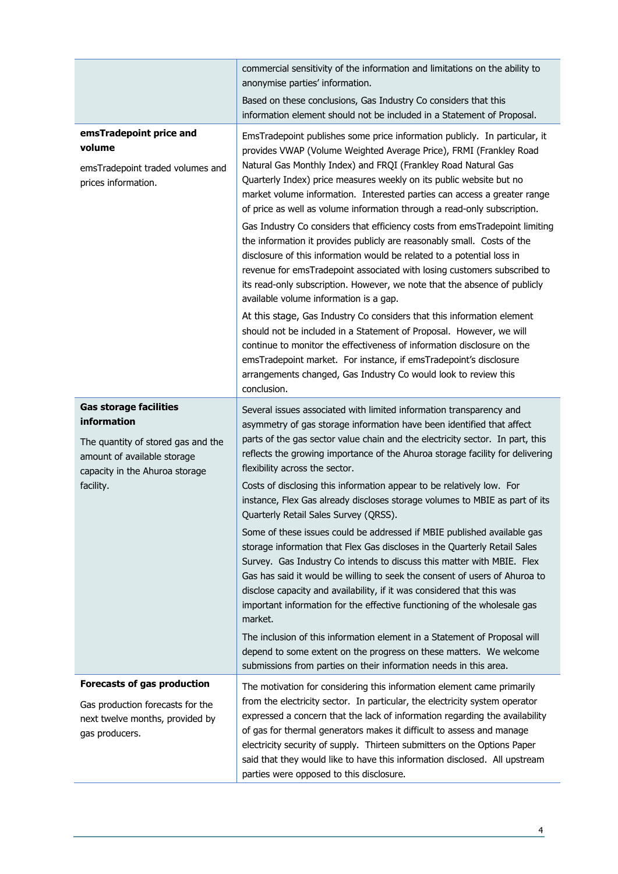|                                                                                                                                                                  | commercial sensitivity of the information and limitations on the ability to<br>anonymise parties' information.                                                                                                                                                                                                                                                                                                                                                                                                                                                                                                                                                                                                                                                                                                                                                                                                                                                                                                                                                                                                                                                                                                                                                             |
|------------------------------------------------------------------------------------------------------------------------------------------------------------------|----------------------------------------------------------------------------------------------------------------------------------------------------------------------------------------------------------------------------------------------------------------------------------------------------------------------------------------------------------------------------------------------------------------------------------------------------------------------------------------------------------------------------------------------------------------------------------------------------------------------------------------------------------------------------------------------------------------------------------------------------------------------------------------------------------------------------------------------------------------------------------------------------------------------------------------------------------------------------------------------------------------------------------------------------------------------------------------------------------------------------------------------------------------------------------------------------------------------------------------------------------------------------|
|                                                                                                                                                                  | Based on these conclusions, Gas Industry Co considers that this<br>information element should not be included in a Statement of Proposal.                                                                                                                                                                                                                                                                                                                                                                                                                                                                                                                                                                                                                                                                                                                                                                                                                                                                                                                                                                                                                                                                                                                                  |
| emsTradepoint price and<br>volume<br>emsTradepoint traded volumes and<br>prices information.                                                                     | EmsTradepoint publishes some price information publicly. In particular, it<br>provides VWAP (Volume Weighted Average Price), FRMI (Frankley Road<br>Natural Gas Monthly Index) and FRQI (Frankley Road Natural Gas<br>Quarterly Index) price measures weekly on its public website but no<br>market volume information. Interested parties can access a greater range<br>of price as well as volume information through a read-only subscription.<br>Gas Industry Co considers that efficiency costs from emsTradepoint limiting<br>the information it provides publicly are reasonably small. Costs of the<br>disclosure of this information would be related to a potential loss in<br>revenue for emsTradepoint associated with losing customers subscribed to<br>its read-only subscription. However, we note that the absence of publicly<br>available volume information is a gap.<br>At this stage, Gas Industry Co considers that this information element<br>should not be included in a Statement of Proposal. However, we will<br>continue to monitor the effectiveness of information disclosure on the<br>emsTradepoint market. For instance, if emsTradepoint's disclosure<br>arrangements changed, Gas Industry Co would look to review this<br>conclusion. |
| <b>Gas storage facilities</b><br>information<br>The quantity of stored gas and the<br>amount of available storage<br>capacity in the Ahuroa storage<br>facility. | Several issues associated with limited information transparency and<br>asymmetry of gas storage information have been identified that affect<br>parts of the gas sector value chain and the electricity sector. In part, this<br>reflects the growing importance of the Ahuroa storage facility for delivering<br>flexibility across the sector.<br>Costs of disclosing this information appear to be relatively low. For<br>instance, Flex Gas already discloses storage volumes to MBIE as part of its<br>Quarterly Retail Sales Survey (QRSS).<br>Some of these issues could be addressed if MBIE published available gas<br>storage information that Flex Gas discloses in the Quarterly Retail Sales<br>Survey. Gas Industry Co intends to discuss this matter with MBIE. Flex<br>Gas has said it would be willing to seek the consent of users of Ahuroa to<br>disclose capacity and availability, if it was considered that this was<br>important information for the effective functioning of the wholesale gas<br>market.<br>The inclusion of this information element in a Statement of Proposal will<br>depend to some extent on the progress on these matters. We welcome<br>submissions from parties on their information needs in this area.                 |
| Forecasts of gas production<br>Gas production forecasts for the<br>next twelve months, provided by<br>gas producers.                                             | The motivation for considering this information element came primarily<br>from the electricity sector. In particular, the electricity system operator<br>expressed a concern that the lack of information regarding the availability<br>of gas for thermal generators makes it difficult to assess and manage<br>electricity security of supply. Thirteen submitters on the Options Paper<br>said that they would like to have this information disclosed. All upstream<br>parties were opposed to this disclosure.                                                                                                                                                                                                                                                                                                                                                                                                                                                                                                                                                                                                                                                                                                                                                        |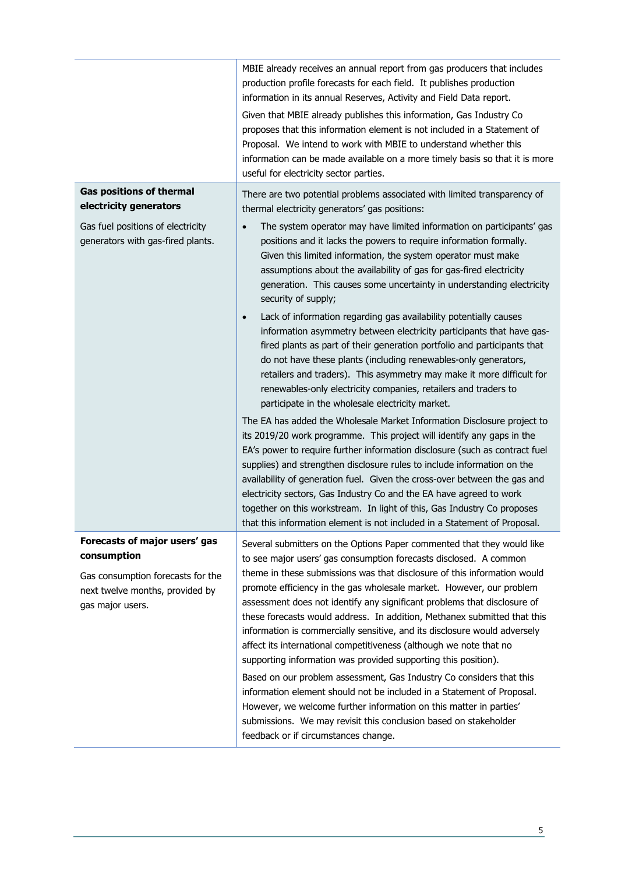| MBIE already receives an annual report from gas producers that includes<br>production profile forecasts for each field. It publishes production<br>information in its annual Reserves, Activity and Field Data report.<br>Given that MBIE already publishes this information, Gas Industry Co<br>proposes that this information element is not included in a Statement of<br>Proposal. We intend to work with MBIE to understand whether this<br>information can be made available on a more timely basis so that it is more<br>useful for electricity sector parties.                                                                                                                                                                                                                                                                                                                                                                                                                                           |
|------------------------------------------------------------------------------------------------------------------------------------------------------------------------------------------------------------------------------------------------------------------------------------------------------------------------------------------------------------------------------------------------------------------------------------------------------------------------------------------------------------------------------------------------------------------------------------------------------------------------------------------------------------------------------------------------------------------------------------------------------------------------------------------------------------------------------------------------------------------------------------------------------------------------------------------------------------------------------------------------------------------|
| There are two potential problems associated with limited transparency of<br>thermal electricity generators' gas positions:                                                                                                                                                                                                                                                                                                                                                                                                                                                                                                                                                                                                                                                                                                                                                                                                                                                                                       |
| The system operator may have limited information on participants' gas<br>$\bullet$<br>positions and it lacks the powers to require information formally.<br>Given this limited information, the system operator must make<br>assumptions about the availability of gas for gas-fired electricity<br>generation. This causes some uncertainty in understanding electricity<br>security of supply;<br>Lack of information regarding gas availability potentially causes<br>$\bullet$<br>information asymmetry between electricity participants that have gas-                                                                                                                                                                                                                                                                                                                                                                                                                                                      |
| fired plants as part of their generation portfolio and participants that<br>do not have these plants (including renewables-only generators,<br>retailers and traders). This asymmetry may make it more difficult for<br>renewables-only electricity companies, retailers and traders to<br>participate in the wholesale electricity market.                                                                                                                                                                                                                                                                                                                                                                                                                                                                                                                                                                                                                                                                      |
| The EA has added the Wholesale Market Information Disclosure project to<br>its 2019/20 work programme. This project will identify any gaps in the<br>EA's power to require further information disclosure (such as contract fuel<br>supplies) and strengthen disclosure rules to include information on the<br>availability of generation fuel. Given the cross-over between the gas and<br>electricity sectors, Gas Industry Co and the EA have agreed to work<br>together on this workstream. In light of this, Gas Industry Co proposes<br>that this information element is not included in a Statement of Proposal.                                                                                                                                                                                                                                                                                                                                                                                          |
| Several submitters on the Options Paper commented that they would like<br>to see major users' gas consumption forecasts disclosed. A common<br>theme in these submissions was that disclosure of this information would<br>promote efficiency in the gas wholesale market. However, our problem<br>assessment does not identify any significant problems that disclosure of<br>these forecasts would address. In addition, Methanex submitted that this<br>information is commercially sensitive, and its disclosure would adversely<br>affect its international competitiveness (although we note that no<br>supporting information was provided supporting this position).<br>Based on our problem assessment, Gas Industry Co considers that this<br>information element should not be included in a Statement of Proposal.<br>However, we welcome further information on this matter in parties'<br>submissions. We may revisit this conclusion based on stakeholder<br>feedback or if circumstances change. |
|                                                                                                                                                                                                                                                                                                                                                                                                                                                                                                                                                                                                                                                                                                                                                                                                                                                                                                                                                                                                                  |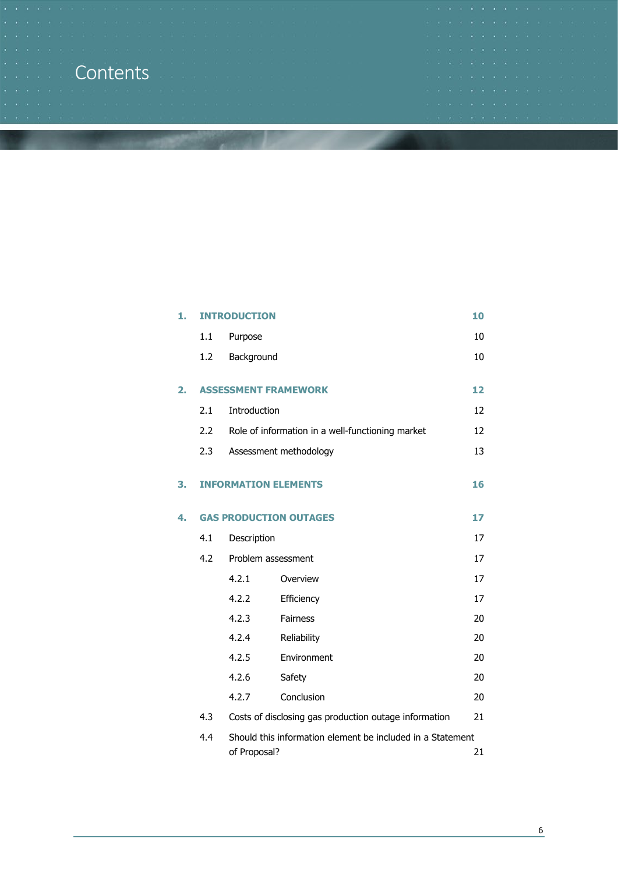### **Contents**

|  |  |  |  |  |  |                                                                                                      | THE R. P. LEWIS CO., LANSING MICH. 49-14039-1-120-2          |  |
|--|--|--|--|--|--|------------------------------------------------------------------------------------------------------|--------------------------------------------------------------|--|
|  |  |  |  |  |  |                                                                                                      |                                                              |  |
|  |  |  |  |  |  |                                                                                                      |                                                              |  |
|  |  |  |  |  |  |                                                                                                      |                                                              |  |
|  |  |  |  |  |  |                                                                                                      | THE R. P. LEWIS CO., LANSING MICH. 49-14039-1-120-2          |  |
|  |  |  |  |  |  |                                                                                                      | 1980 BALLAND BALLAND BALLAND BALLAND BALLAND BALLAND BALLAND |  |
|  |  |  |  |  |  |                                                                                                      |                                                              |  |
|  |  |  |  |  |  | 1960년 1월 1980년 1월 1980년 1월 1980년 1월 1980년 1월 1980년 1월 1980년 1월 1980년 1월 1980년 1월 1980년 1월 1980년 1월 1 |                                                              |  |
|  |  |  |  |  |  |                                                                                                      |                                                              |  |

| 1. |     | <b>INTRODUCTION</b>         |                                                            |    |  |
|----|-----|-----------------------------|------------------------------------------------------------|----|--|
|    | 1.1 | Purpose                     |                                                            | 10 |  |
|    | 1.2 | Background                  |                                                            | 10 |  |
| 2. |     |                             | <b>ASSESSMENT FRAMEWORK</b>                                | 12 |  |
|    | 2.1 | Introduction                |                                                            | 12 |  |
|    | 2.2 |                             | Role of information in a well-functioning market           | 12 |  |
|    | 2.3 |                             | Assessment methodology                                     | 13 |  |
| З. |     | <b>INFORMATION ELEMENTS</b> |                                                            | 16 |  |
| 4. |     |                             | <b>GAS PRODUCTION OUTAGES</b>                              | 17 |  |
|    | 4.1 | Description                 |                                                            | 17 |  |
|    | 4.2 | Problem assessment          |                                                            | 17 |  |
|    |     | 4.2.1                       | Overview                                                   | 17 |  |
|    |     | 4.2.2                       | Efficiency                                                 | 17 |  |
|    |     | 4.2.3                       | <b>Fairness</b>                                            | 20 |  |
|    |     | 4.2.4                       | Reliability                                                | 20 |  |
|    |     | 4.2.5                       | Environment                                                | 20 |  |
|    |     | 4.2.6                       | Safety                                                     | 20 |  |
|    |     | 4.2.7                       | Conclusion                                                 | 20 |  |
|    | 4.3 |                             | Costs of disclosing gas production outage information      | 21 |  |
|    | 4.4 | of Proposal?                | Should this information element be included in a Statement | 21 |  |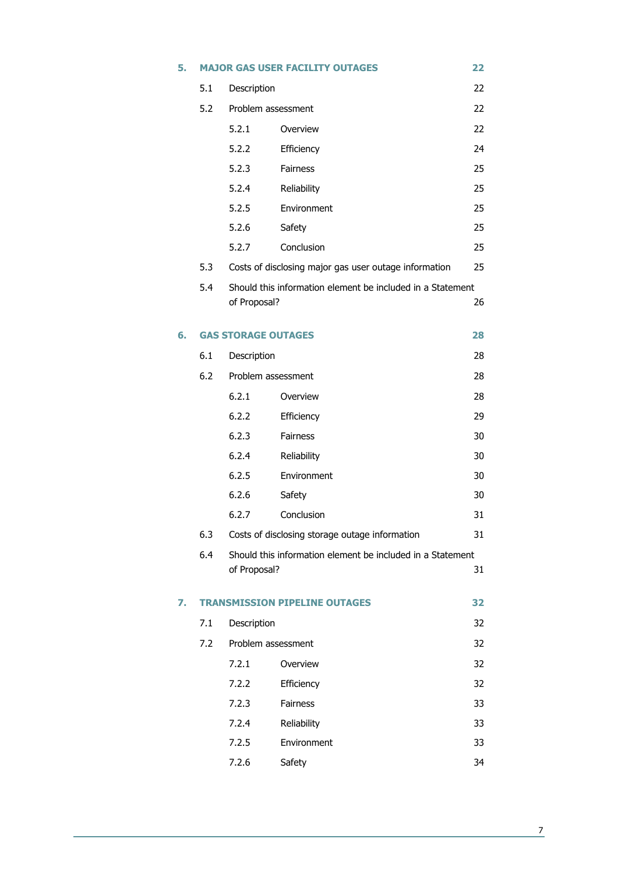| 5. |     |                            | <b>MAJOR GAS USER FACILITY OUTAGES</b>                     | 22 |
|----|-----|----------------------------|------------------------------------------------------------|----|
|    | 5.1 | Description                |                                                            | 22 |
|    | 5.2 | Problem assessment         |                                                            | 22 |
|    |     | 5.2.1                      | Overview                                                   | 22 |
|    |     | 5.2.2                      | Efficiency                                                 | 24 |
|    |     | 5.2.3                      | <b>Fairness</b>                                            | 25 |
|    |     | 5.2.4                      | Reliability                                                | 25 |
|    |     | 5.2.5                      | Environment                                                | 25 |
|    |     | 5.2.6                      | Safety                                                     | 25 |
|    |     | 5.2.7                      | Conclusion                                                 | 25 |
|    | 5.3 |                            | Costs of disclosing major gas user outage information      | 25 |
|    | 5.4 | of Proposal?               | Should this information element be included in a Statement | 26 |
| 6. |     | <b>GAS STORAGE OUTAGES</b> |                                                            | 28 |
|    | 6.1 | Description                |                                                            | 28 |
|    | 6.2 | Problem assessment         |                                                            | 28 |
|    |     | 6.2.1                      | Overview                                                   | 28 |
|    |     | 6.2.2                      | Efficiency                                                 | 29 |
|    |     | 6.2.3                      | Fairness                                                   | 30 |
|    |     | 6.2.4                      | Reliability                                                | 30 |
|    |     | 6.2.5                      | Environment                                                | 30 |
|    |     | 6.2.6                      | Safety                                                     | 30 |
|    |     | 6.2.7                      | Conclusion                                                 | 31 |
|    | 6.3 |                            | Costs of disclosing storage outage information             | 31 |
|    | 6.4 | of Proposal?               | Should this information element be included in a Statement | 31 |
| 7. |     |                            | <b>TRANSMISSION PIPELINE OUTAGES</b>                       | 32 |
|    | 7.1 | Description                |                                                            | 32 |
|    | 7.2 | Problem assessment         |                                                            | 32 |
|    |     | 7.2.1                      | Overview                                                   | 32 |
|    |     | 7.2.2                      | Efficiency                                                 | 32 |
|    |     | 7.2.3                      | Fairness                                                   | 33 |
|    |     | 7.2.4                      | Reliability                                                | 33 |
|    |     | 7.2.5                      | Environment                                                | 33 |
|    |     | 7.2.6                      | Safety                                                     | 34 |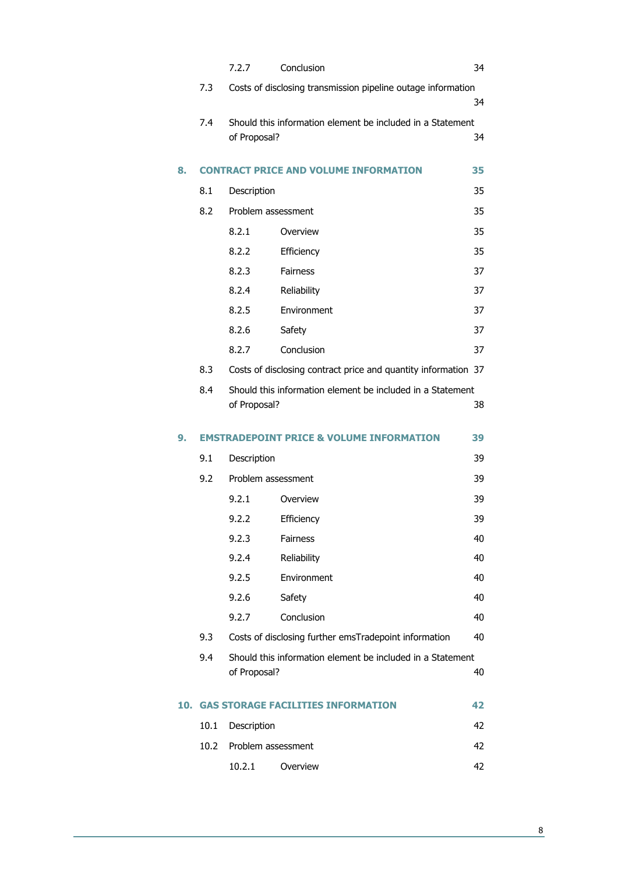|     |      | 7.2.7              | Conclusion                                                     | 34 |
|-----|------|--------------------|----------------------------------------------------------------|----|
|     | 7.3  |                    | Costs of disclosing transmission pipeline outage information   |    |
|     |      |                    |                                                                | 34 |
|     | 7.4  | of Proposal?       | Should this information element be included in a Statement     | 34 |
|     |      |                    |                                                                |    |
| 8.  |      |                    | <b>CONTRACT PRICE AND VOLUME INFORMATION</b>                   | 35 |
|     | 8.1  | Description        |                                                                | 35 |
|     | 8.2  | Problem assessment |                                                                | 35 |
|     |      | 8.2.1              | Overview                                                       | 35 |
|     |      | 8.2.2              | Efficiency                                                     | 35 |
|     |      | 8.2.3              | <b>Fairness</b>                                                | 37 |
|     |      | 8.2.4              | Reliability                                                    | 37 |
|     |      | 8.2.5              | Environment                                                    | 37 |
|     |      | 8.2.6              | Safety                                                         | 37 |
|     |      | 8.2.7              | Conclusion                                                     | 37 |
|     | 8.3  |                    | Costs of disclosing contract price and quantity information 37 |    |
|     | 8.4  |                    | Should this information element be included in a Statement     |    |
|     |      | of Proposal?       |                                                                | 38 |
| 9.  |      |                    | <b>EMSTRADEPOINT PRICE &amp; VOLUME INFORMATION</b>            | 39 |
|     | 9.1  | Description        |                                                                | 39 |
|     | 9.2  | Problem assessment |                                                                | 39 |
|     |      | 9.2.1              | Overview                                                       | 39 |
|     |      | 9.2.2              | Efficiency                                                     | 39 |
|     |      | 9.2.3              | <b>Fairness</b>                                                | 40 |
|     |      | 9.2.4              | Reliability                                                    | 40 |
|     |      | 9.2.5              | Environment                                                    | 40 |
|     |      | 9.2.6              | Safety                                                         | 40 |
|     |      | 9.2.7              | Conclusion                                                     | 40 |
|     | 9.3  |                    | Costs of disclosing further emsTradepoint information          | 40 |
|     | 9.4  |                    | Should this information element be included in a Statement     |    |
|     |      | of Proposal?       |                                                                | 40 |
| 10. |      |                    | <b>GAS STORAGE FACILITIES INFORMATION</b>                      | 42 |
|     | 10.1 | Description        |                                                                | 42 |
|     | 10.2 | Problem assessment |                                                                | 42 |
|     |      | 10.2.1             | Overview                                                       | 42 |

8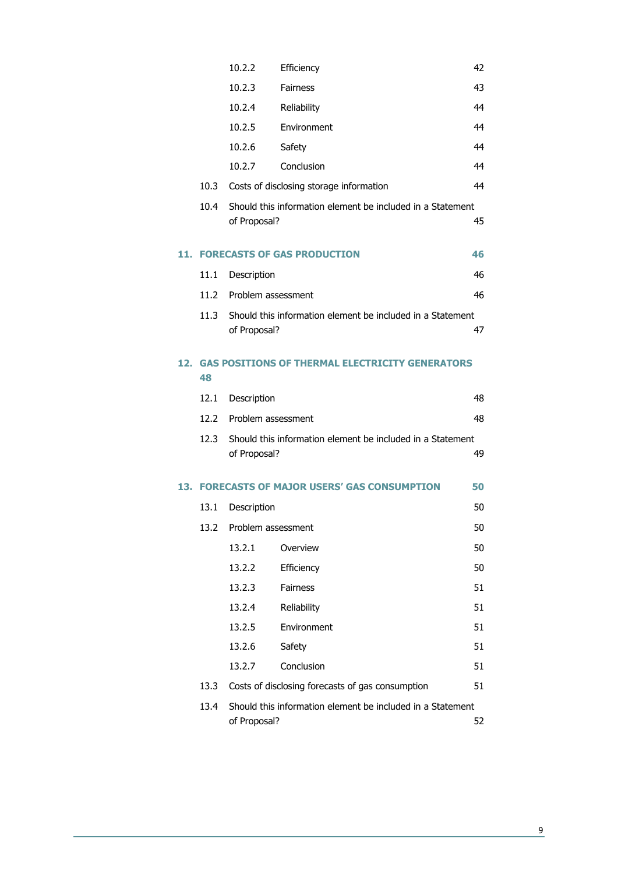|     |      | 10.2.2             | Efficiency                                                 | 42 |
|-----|------|--------------------|------------------------------------------------------------|----|
|     |      | 10.2.3             | <b>Fairness</b>                                            | 43 |
|     |      | 10.2.4             | Reliability                                                | 44 |
|     |      | 10.2.5             | Environment                                                | 44 |
|     |      | 10.2.6             | Safety                                                     | 44 |
|     |      | 10.2.7             | Conclusion                                                 | 44 |
|     | 10.3 |                    | Costs of disclosing storage information                    | 44 |
|     | 10.4 | of Proposal?       | Should this information element be included in a Statement | 45 |
| 11. |      |                    | <b>FORECASTS OF GAS PRODUCTION</b>                         | 46 |
|     | 11.1 | Description        |                                                            | 46 |
|     | 11.2 | Problem assessment |                                                            | 46 |
|     | 11.3 | of Proposal?       | Should this information element be included in a Statement | 47 |
| 12. | 48   |                    | <b>GAS POSITIONS OF THERMAL ELECTRICITY GENERATORS</b>     |    |
|     | 12.1 | Description        |                                                            | 48 |
|     | 12.2 | Problem assessment |                                                            | 48 |
|     | 12.3 | of Proposal?       | Should this information element be included in a Statement | 49 |
|     |      |                    | 13. FORECASTS OF MAJOR USERS' GAS CONSUMPTION              | 50 |
|     | 13.1 | Description        |                                                            | 50 |
|     | 13.2 | Problem assessment |                                                            | 50 |
|     |      | 13.2.1             | Overview                                                   | 50 |
|     |      | 13.2.2             | Efficiency                                                 | 50 |
|     |      | 13.2.3             | <b>Fairness</b>                                            | 51 |
|     |      | 13.2.4             | Reliability                                                | 51 |
|     |      | 13.2.5             | Environment                                                | 51 |
|     |      | 13.2.6             | Safety                                                     | 51 |
|     |      | 13.2.7             | Conclusion                                                 | 51 |
|     | 13.3 |                    | Costs of disclosing forecasts of gas consumption           | 51 |
|     | 13.4 | of Proposal?       | Should this information element be included in a Statement | 52 |

 $\frac{9}{2}$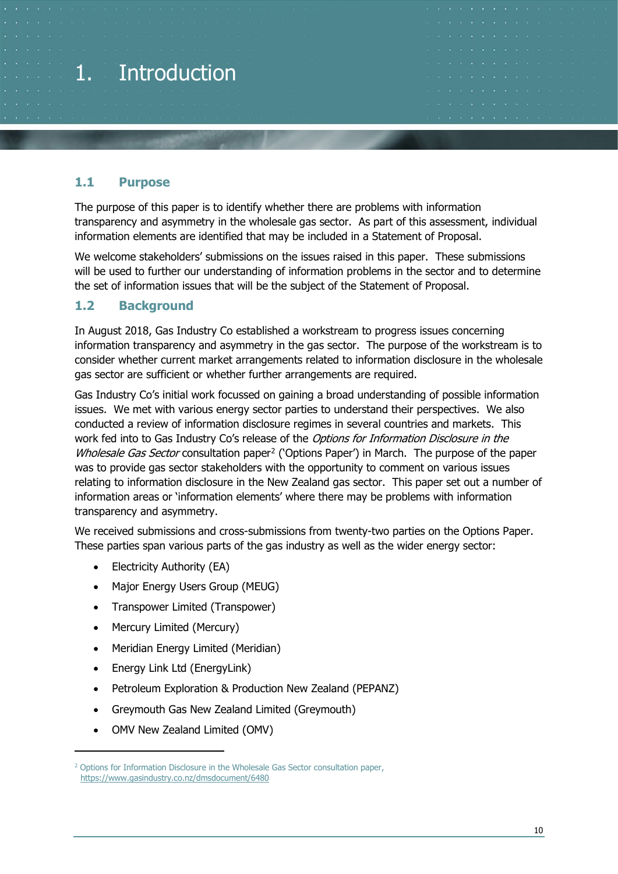<span id="page-9-0"></span>

#### <span id="page-9-1"></span>**1.1 Purpose**

The purpose of this paper is to identify whether there are problems with information transparency and asymmetry in the wholesale gas sector. As part of this assessment, individual information elements are identified that may be included in a Statement of Proposal.

We welcome stakeholders' submissions on the issues raised in this paper. These submissions will be used to further our understanding of information problems in the sector and to determine the set of information issues that will be the subject of the Statement of Proposal.

#### <span id="page-9-2"></span>**1.2 Background**

In August 2018, Gas Industry Co established a workstream to progress issues concerning information transparency and asymmetry in the gas sector. The purpose of the workstream is to consider whether current market arrangements related to information disclosure in the wholesale gas sector are sufficient or whether further arrangements are required.

Gas Industry Co's initial work focussed on gaining a broad understanding of possible information issues. We met with various energy sector parties to understand their perspectives. We also conducted a review of information disclosure regimes in several countries and markets. This work fed into to Gas Industry Co's release of the *Options for Information Disclosure in the* Wholesale Gas Sector consultation paper<sup>[2](#page-9-3)</sup> ('Options Paper') in March. The purpose of the paper was to provide gas sector stakeholders with the opportunity to comment on various issues relating to information disclosure in the New Zealand gas sector. This paper set out a number of information areas or 'information elements' where there may be problems with information transparency and asymmetry.

We received submissions and cross-submissions from twenty-two parties on the Options Paper. These parties span various parts of the gas industry as well as the wider energy sector:

- Electricity Authority (EA)
- Major Energy Users Group (MEUG)
- Transpower Limited (Transpower)
- Mercury Limited (Mercury)
- Meridian Energy Limited (Meridian)
- Energy Link Ltd (EnergyLink)
- Petroleum Exploration & Production New Zealand (PEPANZ)
- Greymouth Gas New Zealand Limited (Greymouth)
- OMV New Zealand Limited (OMV)

<span id="page-9-3"></span><sup>&</sup>lt;sup>2</sup> Options for Information Disclosure in the Wholesale Gas Sector consultation paper, <https://www.gasindustry.co.nz/dmsdocument/6480>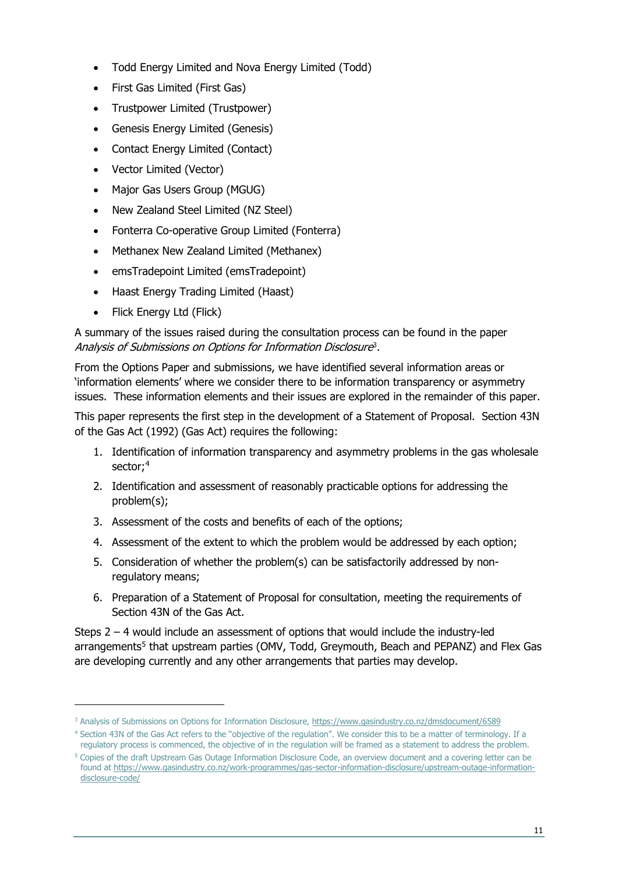- Todd Energy Limited and Nova Energy Limited (Todd)
- First Gas Limited (First Gas)
- Trustpower Limited (Trustpower)
- Genesis Energy Limited (Genesis)
- Contact Energy Limited (Contact)
- Vector Limited (Vector)
- Major Gas Users Group (MGUG)
- New Zealand Steel Limited (NZ Steel)
- Fonterra Co-operative Group Limited (Fonterra)
- Methanex New Zealand Limited (Methanex)
- emsTradepoint Limited (emsTradepoint)
- Haast Energy Trading Limited (Haast)
- Flick Energy Ltd (Flick)

A summary of the issues raised during the consultation process can be found in the paper Analysis of Submissions on Options for Information Disclosure<sup>[3](#page-10-0)</sup>.

From the Options Paper and submissions, we have identified several information areas or 'information elements' where we consider there to be information transparency or asymmetry issues. These information elements and their issues are explored in the remainder of this paper.

This paper represents the first step in the development of a Statement of Proposal. Section 43N of the Gas Act (1992) (Gas Act) requires the following:

- 1. Identification of information transparency and asymmetry problems in the gas wholesale sector;<sup>[4](#page-10-1)</sup>
- 2. Identification and assessment of reasonably practicable options for addressing the problem(s);
- 3. Assessment of the costs and benefits of each of the options;
- 4. Assessment of the extent to which the problem would be addressed by each option;
- 5. Consideration of whether the problem(s) can be satisfactorily addressed by nonregulatory means;
- 6. Preparation of a Statement of Proposal for consultation, meeting the requirements of Section 43N of the Gas Act.

Steps 2 – 4 would include an assessment of options that would include the industry-led arrangements<sup>[5](#page-10-2)</sup> that upstream parties (OMV, Todd, Greymouth, Beach and PEPANZ) and Flex Gas are developing currently and any other arrangements that parties may develop.

<span id="page-10-0"></span><sup>&</sup>lt;sup>3</sup> Analysis of Submissions on Options for Information Disclosure, <https://www.gasindustry.co.nz/dmsdocument/6589>

<span id="page-10-1"></span><sup>4</sup> Section 43N of the Gas Act refers to the "objective of the regulation". We consider this to be a matter of terminology. If a regulatory process is commenced, the objective of in the regulation will be framed as a statement to address the problem.

<span id="page-10-2"></span><sup>5</sup> Copies of the draft Upstream Gas Outage Information Disclosure Code, an overview document and a covering letter can be found at [https://www.gasindustry.co.nz/work-programmes/gas-sector-information-disclosure/upstream-outage-information](https://www.gasindustry.co.nz/work-programmes/gas-sector-information-disclosure/upstream-outage-information-disclosure-code/)[disclosure-code/](https://www.gasindustry.co.nz/work-programmes/gas-sector-information-disclosure/upstream-outage-information-disclosure-code/)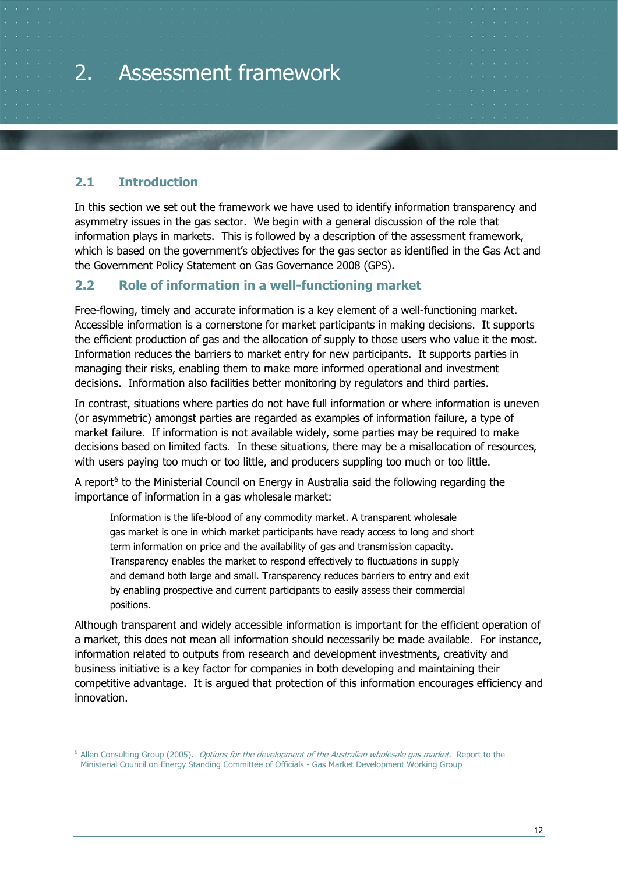# <span id="page-11-0"></span>2. Assessment framework

#### <span id="page-11-1"></span>**2.1 Introduction**

In this section we set out the framework we have used to identify information transparency and asymmetry issues in the gas sector. We begin with a general discussion of the role that information plays in markets. This is followed by a description of the assessment framework, which is based on the government's objectives for the gas sector as identified in the Gas Act and the Government Policy Statement on Gas Governance 2008 (GPS).

#### <span id="page-11-2"></span>**2.2 Role of information in a well-functioning market**

Free-flowing, timely and accurate information is a key element of a well-functioning market. Accessible information is a cornerstone for market participants in making decisions. It supports the efficient production of gas and the allocation of supply to those users who value it the most. Information reduces the barriers to market entry for new participants. It supports parties in managing their risks, enabling them to make more informed operational and investment decisions. Information also facilities better monitoring by regulators and third parties.

In contrast, situations where parties do not have full information or where information is uneven (or asymmetric) amongst parties are regarded as examples of information failure, a type of market failure. If information is not available widely, some parties may be required to make decisions based on limited facts. In these situations, there may be a misallocation of resources, with users paying too much or too little, and producers suppling too much or too little.

A report $6$  to the Ministerial Council on Energy in Australia said the following regarding the importance of information in a gas wholesale market:

Information is the life-blood of any commodity market. A transparent wholesale gas market is one in which market participants have ready access to long and short term information on price and the availability of gas and transmission capacity. Transparency enables the market to respond effectively to fluctuations in supply and demand both large and small. Transparency reduces barriers to entry and exit by enabling prospective and current participants to easily assess their commercial positions.

Although transparent and widely accessible information is important for the efficient operation of a market, this does not mean all information should necessarily be made available. For instance, information related to outputs from research and development investments, creativity and business initiative is a key factor for companies in both developing and maintaining their competitive advantage. It is argued that protection of this information encourages efficiency and innovation.

<span id="page-11-3"></span><sup>&</sup>lt;sup>6</sup> Allen Consulting Group (2005). *Options for the development of the Australian wholesale gas market*. Report to the Ministerial Council on Energy Standing Committee of Officials - Gas Market Development Working Group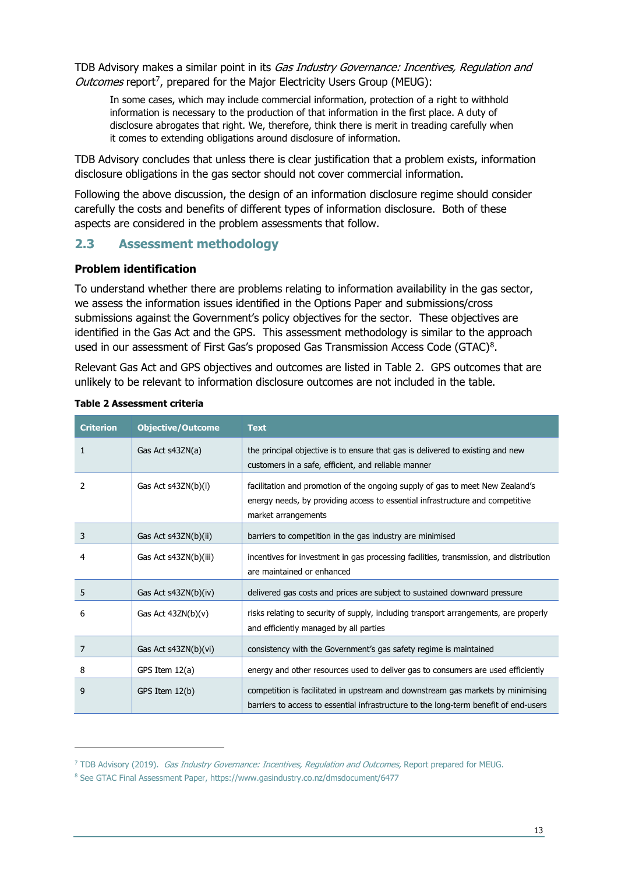TDB Advisory makes a similar point in its *Gas Industry Governance: Incentives, Regulation and* Outcomes report<sup>[7](#page-12-2)</sup>, prepared for the Major Electricity Users Group (MEUG):

In some cases, which may include commercial information, protection of a right to withhold information is necessary to the production of that information in the first place. A duty of disclosure abrogates that right. We, therefore, think there is merit in treading carefully when it comes to extending obligations around disclosure of information.

TDB Advisory concludes that unless there is clear justification that a problem exists, information disclosure obligations in the gas sector should not cover commercial information.

Following the above discussion, the design of an information disclosure regime should consider carefully the costs and benefits of different types of information disclosure. Both of these aspects are considered in the problem assessments that follow.

#### <span id="page-12-0"></span>**2.3 Assessment methodology**

#### **Problem identification**

To understand whether there are problems relating to information availability in the gas sector, we assess the information issues identified in the Options Paper and submissions/cross submissions against the Government's policy objectives for the sector. These objectives are identified in the Gas Act and the GPS. This assessment methodology is similar to the approach used in our assessment of First Gas's proposed Gas Transmission Access Code (GTAC)[8](#page-12-3).

Relevant Gas Act and GPS objectives and outcomes are listed in [Table 2.](#page-12-1) GPS outcomes that are unlikely to be relevant to information disclosure outcomes are not included in the table.

| <b>Criterion</b> | <b>Objective/Outcome</b> | <b>Text</b>                                                                                                                                                                           |
|------------------|--------------------------|---------------------------------------------------------------------------------------------------------------------------------------------------------------------------------------|
| 1                | Gas Act s43ZN(a)         | the principal objective is to ensure that gas is delivered to existing and new<br>customers in a safe, efficient, and reliable manner                                                 |
| 2                | Gas Act s43ZN(b)(i)      | facilitation and promotion of the ongoing supply of gas to meet New Zealand's<br>energy needs, by providing access to essential infrastructure and competitive<br>market arrangements |
| 3                | Gas Act s43ZN(b)(ii)     | barriers to competition in the gas industry are minimised                                                                                                                             |
| 4                | Gas Act s43ZN(b)(iii)    | incentives for investment in gas processing facilities, transmission, and distribution<br>are maintained or enhanced                                                                  |
| 5                | Gas Act s43ZN(b)(iv)     | delivered gas costs and prices are subject to sustained downward pressure                                                                                                             |
| 6                | Gas Act $43ZN(b)(v)$     | risks relating to security of supply, including transport arrangements, are properly<br>and efficiently managed by all parties                                                        |
| 7                | Gas Act s43ZN(b)(vi)     | consistency with the Government's gas safety regime is maintained                                                                                                                     |
| 8                | GPS Item $12(a)$         | energy and other resources used to deliver gas to consumers are used efficiently                                                                                                      |
| 9                | GPS Item 12(b)           | competition is facilitated in upstream and downstream gas markets by minimising<br>barriers to access to essential infrastructure to the long-term benefit of end-users               |

#### <span id="page-12-1"></span>**Table 2 Assessment criteria**

<span id="page-12-2"></span><sup>&</sup>lt;sup>7</sup> TDB Advisory (2019). *Gas Industry Governance: Incentives, Regulation and Outcomes,* Report prepared for MEUG.

<span id="page-12-3"></span><sup>8</sup> See GTAC Final Assessment Paper, https://www.gasindustry.co.nz/dmsdocument/6477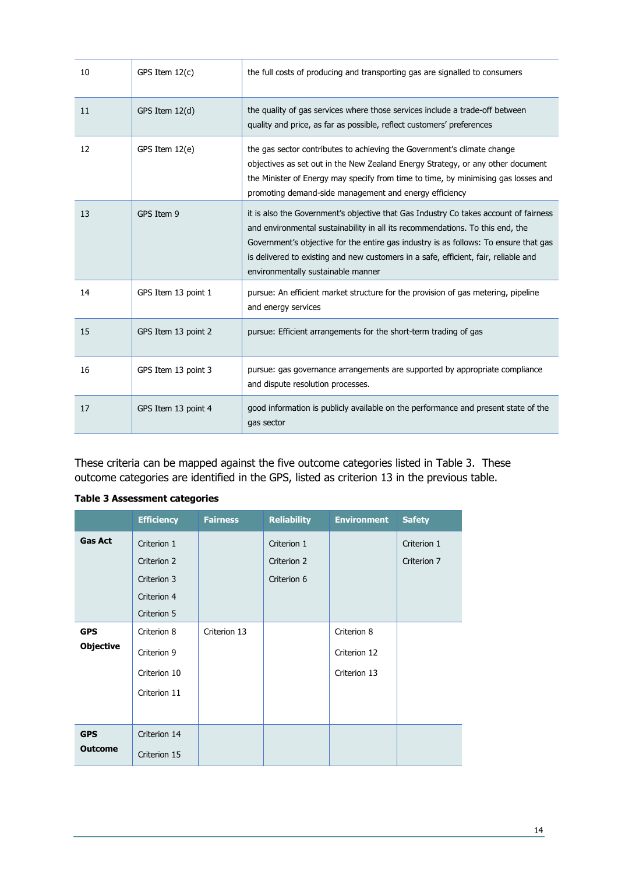| 10 | GPS Item $12(c)$    | the full costs of producing and transporting gas are signalled to consumers                                                                                                                                                                                                                                                                                                                |
|----|---------------------|--------------------------------------------------------------------------------------------------------------------------------------------------------------------------------------------------------------------------------------------------------------------------------------------------------------------------------------------------------------------------------------------|
| 11 | GPS Item 12(d)      | the quality of gas services where those services include a trade-off between<br>quality and price, as far as possible, reflect customers' preferences                                                                                                                                                                                                                                      |
| 12 | GPS Item 12(e)      | the gas sector contributes to achieving the Government's climate change<br>objectives as set out in the New Zealand Energy Strategy, or any other document<br>the Minister of Energy may specify from time to time, by minimising gas losses and<br>promoting demand-side management and energy efficiency                                                                                 |
| 13 | GPS Item 9          | it is also the Government's objective that Gas Industry Co takes account of fairness<br>and environmental sustainability in all its recommendations. To this end, the<br>Government's objective for the entire gas industry is as follows: To ensure that gas<br>is delivered to existing and new customers in a safe, efficient, fair, reliable and<br>environmentally sustainable manner |
| 14 | GPS Item 13 point 1 | pursue: An efficient market structure for the provision of gas metering, pipeline<br>and energy services                                                                                                                                                                                                                                                                                   |
| 15 | GPS Item 13 point 2 | pursue: Efficient arrangements for the short-term trading of gas                                                                                                                                                                                                                                                                                                                           |
| 16 | GPS Item 13 point 3 | pursue: gas governance arrangements are supported by appropriate compliance<br>and dispute resolution processes.                                                                                                                                                                                                                                                                           |
| 17 | GPS Item 13 point 4 | good information is publicly available on the performance and present state of the<br>gas sector                                                                                                                                                                                                                                                                                           |

These criteria can be mapped against the five outcome categories listed in [Table 3.](#page-13-0) These outcome categories are identified in the GPS, listed as criterion 13 in the previous table.

|                  | <b>Efficiency</b> | <b>Fairness</b> | <b>Reliability</b> | <b>Environment</b> | <b>Safety</b> |
|------------------|-------------------|-----------------|--------------------|--------------------|---------------|
| <b>Gas Act</b>   | Criterion 1       |                 | Criterion 1        |                    | Criterion 1   |
|                  | Criterion 2       |                 | Criterion 2        |                    | Criterion 7   |
|                  | Criterion 3       |                 | Criterion 6        |                    |               |
|                  | Criterion 4       |                 |                    |                    |               |
|                  | Criterion 5       |                 |                    |                    |               |
| <b>GPS</b>       | Criterion 8       | Criterion 13    |                    | Criterion 8        |               |
| <b>Objective</b> | Criterion 9       |                 |                    | Criterion 12       |               |
|                  | Criterion 10      |                 |                    | Criterion 13       |               |
|                  | Criterion 11      |                 |                    |                    |               |
|                  |                   |                 |                    |                    |               |
| <b>GPS</b>       | Criterion 14      |                 |                    |                    |               |
| <b>Outcome</b>   | Criterion 15      |                 |                    |                    |               |

#### <span id="page-13-0"></span>**Table 3 Assessment categories**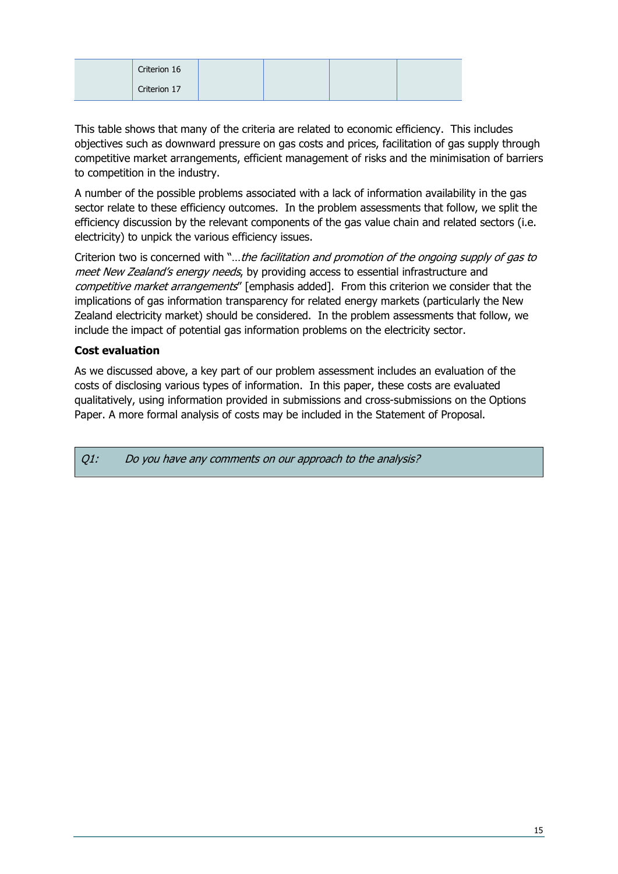| Criterion 16 |  |  |
|--------------|--|--|
| Criterion 17 |  |  |

This table shows that many of the criteria are related to economic efficiency. This includes objectives such as downward pressure on gas costs and prices, facilitation of gas supply through competitive market arrangements, efficient management of risks and the minimisation of barriers to competition in the industry.

A number of the possible problems associated with a lack of information availability in the gas sector relate to these efficiency outcomes. In the problem assessments that follow, we split the efficiency discussion by the relevant components of the gas value chain and related sectors (i.e. electricity) to unpick the various efficiency issues.

Criterion two is concerned with "...the facilitation and promotion of the ongoing supply of gas to meet New Zealand's energy needs, by providing access to essential infrastructure and competitive market arrangements" [emphasis added]. From this criterion we consider that the implications of gas information transparency for related energy markets (particularly the New Zealand electricity market) should be considered. In the problem assessments that follow, we include the impact of potential gas information problems on the electricity sector.

#### **Cost evaluation**

As we discussed above, a key part of our problem assessment includes an evaluation of the costs of disclosing various types of information. In this paper, these costs are evaluated qualitatively, using information provided in submissions and cross-submissions on the Options Paper. A more formal analysis of costs may be included in the Statement of Proposal.

Q1: Do you have any comments on our approach to the analysis?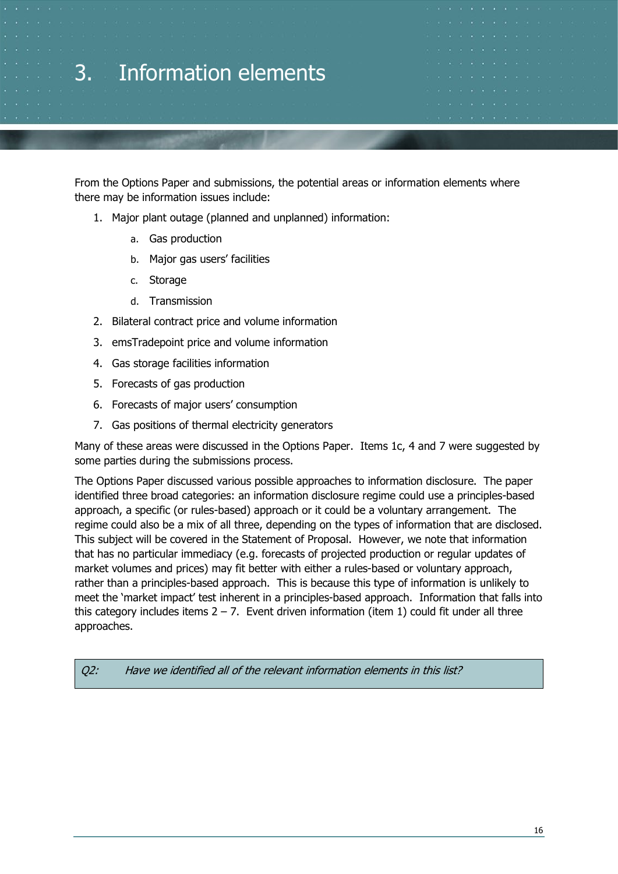### <span id="page-15-0"></span>3. Information elements

From the Options Paper and submissions, the potential areas or information elements where there may be information issues include:

- 1. Major plant outage (planned and unplanned) information:
	- a. Gas production
	- b. Major gas users' facilities
	- c. Storage
	- d. Transmission
- 2. Bilateral contract price and volume information
- 3. emsTradepoint price and volume information
- 4. Gas storage facilities information
- 5. Forecasts of gas production
- 6. Forecasts of major users' consumption
- 7. Gas positions of thermal electricity generators

Many of these areas were discussed in the Options Paper. Items 1c, 4 and 7 were suggested by some parties during the submissions process.

The Options Paper discussed various possible approaches to information disclosure. The paper identified three broad categories: an information disclosure regime could use a principles-based approach, a specific (or rules-based) approach or it could be a voluntary arrangement. The regime could also be a mix of all three, depending on the types of information that are disclosed. This subject will be covered in the Statement of Proposal. However, we note that information that has no particular immediacy (e.g. forecasts of projected production or regular updates of market volumes and prices) may fit better with either a rules-based or voluntary approach, rather than a principles-based approach. This is because this type of information is unlikely to meet the 'market impact' test inherent in a principles-based approach. Information that falls into this category includes items  $2 - 7$ . Event driven information (item 1) could fit under all three approaches.

Q2: Have we identified all of the relevant information elements in this list?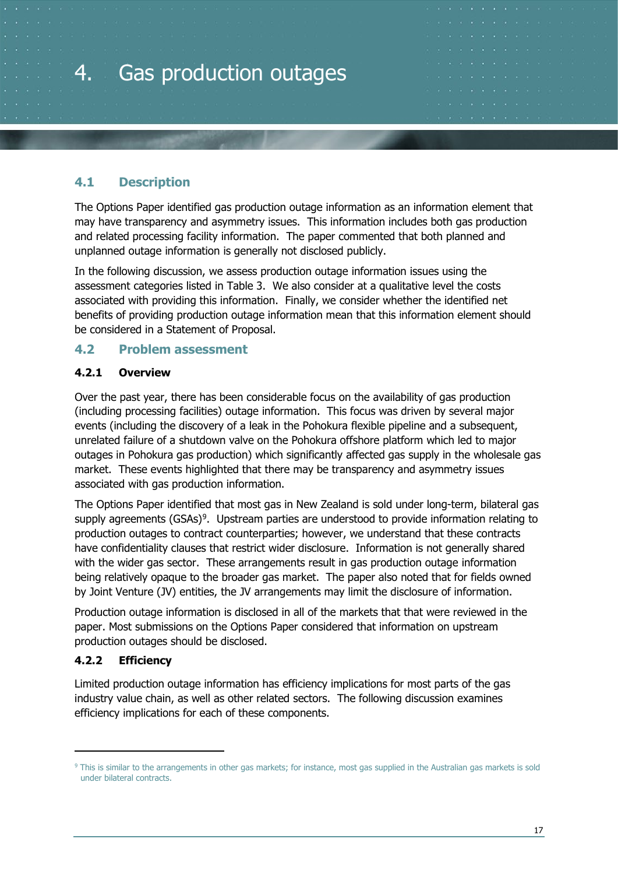# <span id="page-16-0"></span>4. Gas production outages

#### <span id="page-16-1"></span>**4.1 Description**

The Options Paper identified gas production outage information as an information element that may have transparency and asymmetry issues. This information includes both gas production and related processing facility information. The paper commented that both planned and unplanned outage information is generally not disclosed publicly.

In the following discussion, we assess production outage information issues using the assessment categories listed in [Table 3.](#page-13-0) We also consider at a qualitative level the costs associated with providing this information. Finally, we consider whether the identified net benefits of providing production outage information mean that this information element should be considered in a Statement of Proposal.

#### <span id="page-16-2"></span>**4.2 Problem assessment**

#### <span id="page-16-3"></span>**4.2.1 Overview**

Over the past year, there has been considerable focus on the availability of gas production (including processing facilities) outage information. This focus was driven by several major events (including the discovery of a leak in the Pohokura flexible pipeline and a subsequent, unrelated failure of a shutdown valve on the Pohokura offshore platform which led to major outages in Pohokura gas production) which significantly affected gas supply in the wholesale gas market. These events highlighted that there may be transparency and asymmetry issues associated with gas production information.

The Options Paper identified that most gas in New Zealand is sold under long-term, bilateral gas supply agreements  $(GSAs)^9$  $(GSAs)^9$ . Upstream parties are understood to provide information relating to production outages to contract counterparties; however, we understand that these contracts have confidentiality clauses that restrict wider disclosure. Information is not generally shared with the wider gas sector. These arrangements result in gas production outage information being relatively opaque to the broader gas market. The paper also noted that for fields owned by Joint Venture (JV) entities, the JV arrangements may limit the disclosure of information.

Production outage information is disclosed in all of the markets that that were reviewed in the paper. Most submissions on the Options Paper considered that information on upstream production outages should be disclosed.

#### <span id="page-16-4"></span>**4.2.2 Efficiency**

Limited production outage information has efficiency implications for most parts of the gas industry value chain, as well as other related sectors. The following discussion examines efficiency implications for each of these components.

<span id="page-16-5"></span><sup>&</sup>lt;sup>9</sup> This is similar to the arrangements in other gas markets; for instance, most gas supplied in the Australian gas markets is sold under bilateral contracts.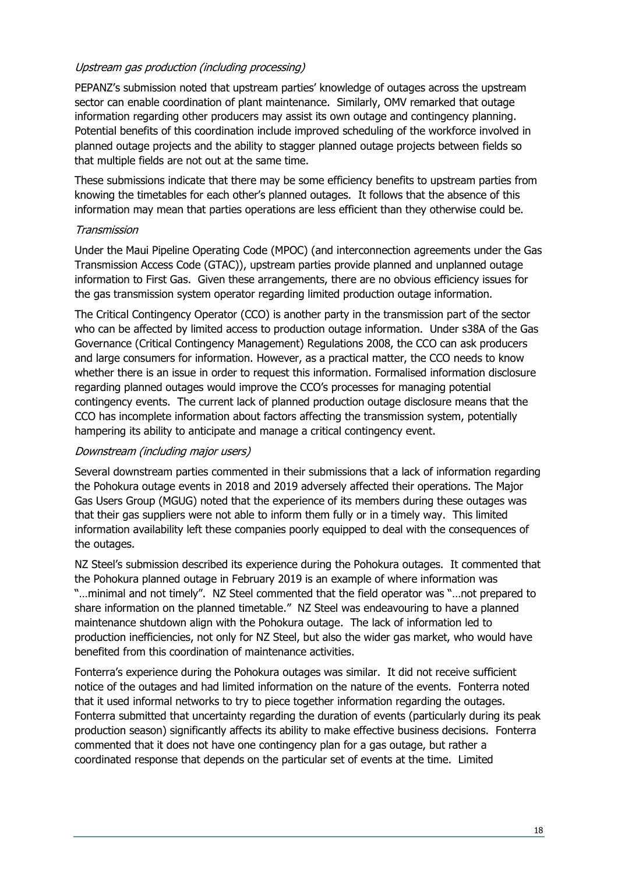#### Upstream gas production (including processing)

PEPANZ's submission noted that upstream parties' knowledge of outages across the upstream sector can enable coordination of plant maintenance. Similarly, OMV remarked that outage information regarding other producers may assist its own outage and contingency planning. Potential benefits of this coordination include improved scheduling of the workforce involved in planned outage projects and the ability to stagger planned outage projects between fields so that multiple fields are not out at the same time.

These submissions indicate that there may be some efficiency benefits to upstream parties from knowing the timetables for each other's planned outages. It follows that the absence of this information may mean that parties operations are less efficient than they otherwise could be.

#### Transmission

Under the Maui Pipeline Operating Code (MPOC) (and interconnection agreements under the Gas Transmission Access Code (GTAC)), upstream parties provide planned and unplanned outage information to First Gas. Given these arrangements, there are no obvious efficiency issues for the gas transmission system operator regarding limited production outage information.

The Critical Contingency Operator (CCO) is another party in the transmission part of the sector who can be affected by limited access to production outage information. Under s38A of the Gas Governance (Critical Contingency Management) Regulations 2008, the CCO can ask producers and large consumers for information. However, as a practical matter, the CCO needs to know whether there is an issue in order to request this information. Formalised information disclosure regarding planned outages would improve the CCO's processes for managing potential contingency events. The current lack of planned production outage disclosure means that the CCO has incomplete information about factors affecting the transmission system, potentially hampering its ability to anticipate and manage a critical contingency event.

#### Downstream (including major users)

Several downstream parties commented in their submissions that a lack of information regarding the Pohokura outage events in 2018 and 2019 adversely affected their operations. The Major Gas Users Group (MGUG) noted that the experience of its members during these outages was that their gas suppliers were not able to inform them fully or in a timely way. This limited information availability left these companies poorly equipped to deal with the consequences of the outages.

NZ Steel's submission described its experience during the Pohokura outages. It commented that the Pohokura planned outage in February 2019 is an example of where information was "…minimal and not timely". NZ Steel commented that the field operator was "…not prepared to share information on the planned timetable." NZ Steel was endeavouring to have a planned maintenance shutdown align with the Pohokura outage. The lack of information led to production inefficiencies, not only for NZ Steel, but also the wider gas market, who would have benefited from this coordination of maintenance activities.

Fonterra's experience during the Pohokura outages was similar. It did not receive sufficient notice of the outages and had limited information on the nature of the events. Fonterra noted that it used informal networks to try to piece together information regarding the outages. Fonterra submitted that uncertainty regarding the duration of events (particularly during its peak production season) significantly affects its ability to make effective business decisions. Fonterra commented that it does not have one contingency plan for a gas outage, but rather a coordinated response that depends on the particular set of events at the time. Limited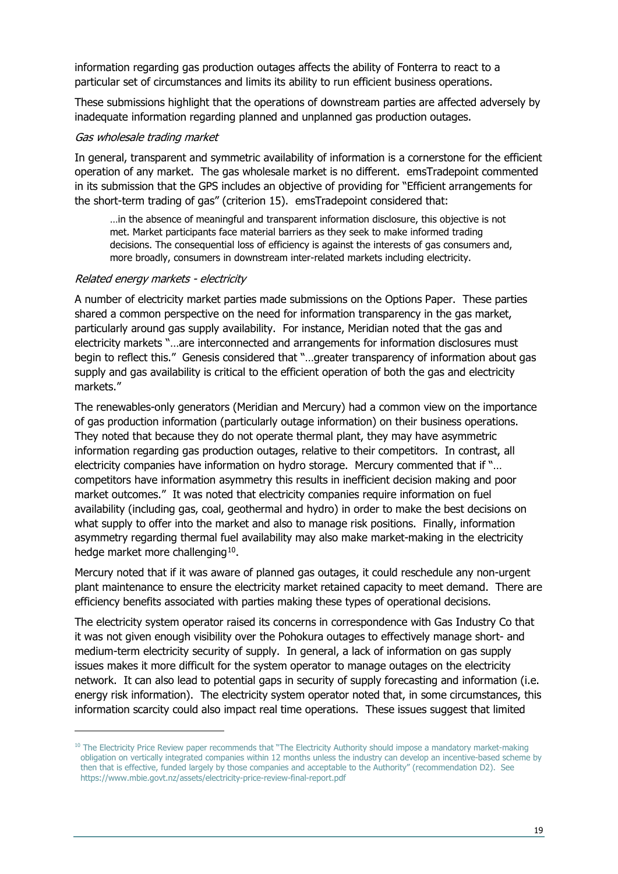information regarding gas production outages affects the ability of Fonterra to react to a particular set of circumstances and limits its ability to run efficient business operations.

These submissions highlight that the operations of downstream parties are affected adversely by inadequate information regarding planned and unplanned gas production outages.

#### Gas wholesale trading market

In general, transparent and symmetric availability of information is a cornerstone for the efficient operation of any market. The gas wholesale market is no different. emsTradepoint commented in its submission that the GPS includes an objective of providing for "Efficient arrangements for the short-term trading of gas" (criterion 15). emsTradepoint considered that:

…in the absence of meaningful and transparent information disclosure, this objective is not met. Market participants face material barriers as they seek to make informed trading decisions. The consequential loss of efficiency is against the interests of gas consumers and, more broadly, consumers in downstream inter-related markets including electricity.

#### Related energy markets - electricity

A number of electricity market parties made submissions on the Options Paper. These parties shared a common perspective on the need for information transparency in the gas market, particularly around gas supply availability. For instance, Meridian noted that the gas and electricity markets "…are interconnected and arrangements for information disclosures must begin to reflect this." Genesis considered that "…greater transparency of information about gas supply and gas availability is critical to the efficient operation of both the gas and electricity markets."

The renewables-only generators (Meridian and Mercury) had a common view on the importance of gas production information (particularly outage information) on their business operations. They noted that because they do not operate thermal plant, they may have asymmetric information regarding gas production outages, relative to their competitors. In contrast, all electricity companies have information on hydro storage. Mercury commented that if "… competitors have information asymmetry this results in inefficient decision making and poor market outcomes." It was noted that electricity companies require information on fuel availability (including gas, coal, geothermal and hydro) in order to make the best decisions on what supply to offer into the market and also to manage risk positions. Finally, information asymmetry regarding thermal fuel availability may also make market-making in the electricity hedge market more challenging<sup>[10](#page-18-0)</sup>.

Mercury noted that if it was aware of planned gas outages, it could reschedule any non-urgent plant maintenance to ensure the electricity market retained capacity to meet demand. There are efficiency benefits associated with parties making these types of operational decisions.

The electricity system operator raised its concerns in correspondence with Gas Industry Co that it was not given enough visibility over the Pohokura outages to effectively manage short- and medium-term electricity security of supply. In general, a lack of information on gas supply issues makes it more difficult for the system operator to manage outages on the electricity network. It can also lead to potential gaps in security of supply forecasting and information (i.e. energy risk information). The electricity system operator noted that, in some circumstances, this information scarcity could also impact real time operations. These issues suggest that limited

<span id="page-18-0"></span><sup>&</sup>lt;sup>10</sup> The Electricity Price Review paper recommends that "The Electricity Authority should impose a mandatory market-making obligation on vertically integrated companies within 12 months unless the industry can develop an incentive-based scheme by then that is effective, funded largely by those companies and acceptable to the Authority" (recommendation D2). See https://www.mbie.govt.nz/assets/electricity-price-review-final-report.pdf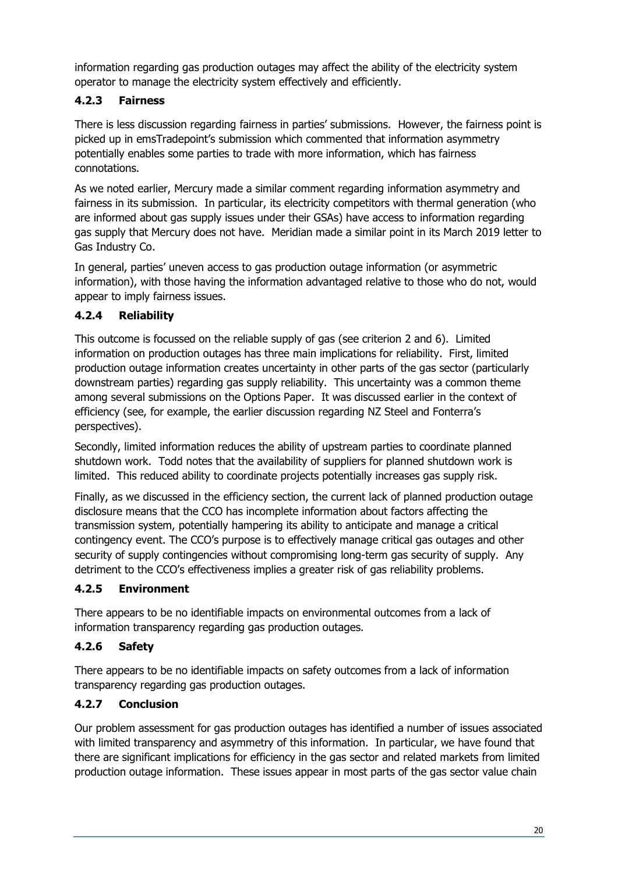information regarding gas production outages may affect the ability of the electricity system operator to manage the electricity system effectively and efficiently.

#### <span id="page-19-0"></span>**4.2.3 Fairness**

There is less discussion regarding fairness in parties' submissions. However, the fairness point is picked up in emsTradepoint's submission which commented that information asymmetry potentially enables some parties to trade with more information, which has fairness connotations.

As we noted earlier, Mercury made a similar comment regarding information asymmetry and fairness in its submission. In particular, its electricity competitors with thermal generation (who are informed about gas supply issues under their GSAs) have access to information regarding gas supply that Mercury does not have. Meridian made a similar point in its March 2019 letter to Gas Industry Co.

In general, parties' uneven access to gas production outage information (or asymmetric information), with those having the information advantaged relative to those who do not, would appear to imply fairness issues.

#### <span id="page-19-1"></span>**4.2.4 Reliability**

This outcome is focussed on the reliable supply of gas (see criterion 2 and 6). Limited information on production outages has three main implications for reliability. First, limited production outage information creates uncertainty in other parts of the gas sector (particularly downstream parties) regarding gas supply reliability. This uncertainty was a common theme among several submissions on the Options Paper. It was discussed earlier in the context of efficiency (see, for example, the earlier discussion regarding NZ Steel and Fonterra's perspectives).

Secondly, limited information reduces the ability of upstream parties to coordinate planned shutdown work. Todd notes that the availability of suppliers for planned shutdown work is limited. This reduced ability to coordinate projects potentially increases gas supply risk.

Finally, as we discussed in the efficiency section, the current lack of planned production outage disclosure means that the CCO has incomplete information about factors affecting the transmission system, potentially hampering its ability to anticipate and manage a critical contingency event. The CCO's purpose is to effectively manage critical gas outages and other security of supply contingencies without compromising long-term gas security of supply. Any detriment to the CCO's effectiveness implies a greater risk of gas reliability problems.

#### <span id="page-19-2"></span>**4.2.5 Environment**

There appears to be no identifiable impacts on environmental outcomes from a lack of information transparency regarding gas production outages.

#### <span id="page-19-3"></span>**4.2.6 Safety**

There appears to be no identifiable impacts on safety outcomes from a lack of information transparency regarding gas production outages.

#### <span id="page-19-4"></span>**4.2.7 Conclusion**

Our problem assessment for gas production outages has identified a number of issues associated with limited transparency and asymmetry of this information. In particular, we have found that there are significant implications for efficiency in the gas sector and related markets from limited production outage information. These issues appear in most parts of the gas sector value chain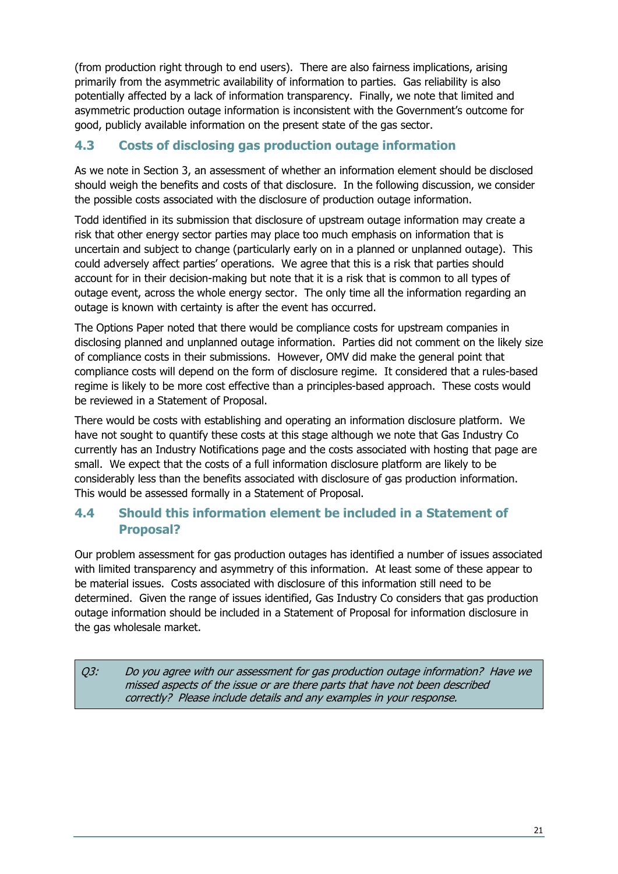(from production right through to end users). There are also fairness implications, arising primarily from the asymmetric availability of information to parties. Gas reliability is also potentially affected by a lack of information transparency. Finally, we note that limited and asymmetric production outage information is inconsistent with the Government's outcome for good, publicly available information on the present state of the gas sector.

#### <span id="page-20-0"></span>**4.3 Costs of disclosing gas production outage information**

As we note in Section 3, an assessment of whether an information element should be disclosed should weigh the benefits and costs of that disclosure. In the following discussion, we consider the possible costs associated with the disclosure of production outage information.

Todd identified in its submission that disclosure of upstream outage information may create a risk that other energy sector parties may place too much emphasis on information that is uncertain and subject to change (particularly early on in a planned or unplanned outage). This could adversely affect parties' operations. We agree that this is a risk that parties should account for in their decision-making but note that it is a risk that is common to all types of outage event, across the whole energy sector. The only time all the information regarding an outage is known with certainty is after the event has occurred.

The Options Paper noted that there would be compliance costs for upstream companies in disclosing planned and unplanned outage information. Parties did not comment on the likely size of compliance costs in their submissions. However, OMV did make the general point that compliance costs will depend on the form of disclosure regime. It considered that a rules-based regime is likely to be more cost effective than a principles-based approach. These costs would be reviewed in a Statement of Proposal.

There would be costs with establishing and operating an information disclosure platform. We have not sought to quantify these costs at this stage although we note that Gas Industry Co currently has an Industry Notifications page and the costs associated with hosting that page are small. We expect that the costs of a full information disclosure platform are likely to be considerably less than the benefits associated with disclosure of gas production information. This would be assessed formally in a Statement of Proposal.

#### <span id="page-20-1"></span>**4.4 Should this information element be included in a Statement of Proposal?**

Our problem assessment for gas production outages has identified a number of issues associated with limited transparency and asymmetry of this information. At least some of these appear to be material issues. Costs associated with disclosure of this information still need to be determined. Given the range of issues identified, Gas Industry Co considers that gas production outage information should be included in a Statement of Proposal for information disclosure in the gas wholesale market.

Q3: Do you agree with our assessment for gas production outage information? Have we missed aspects of the issue or are there parts that have not been described correctly? Please include details and any examples in your response.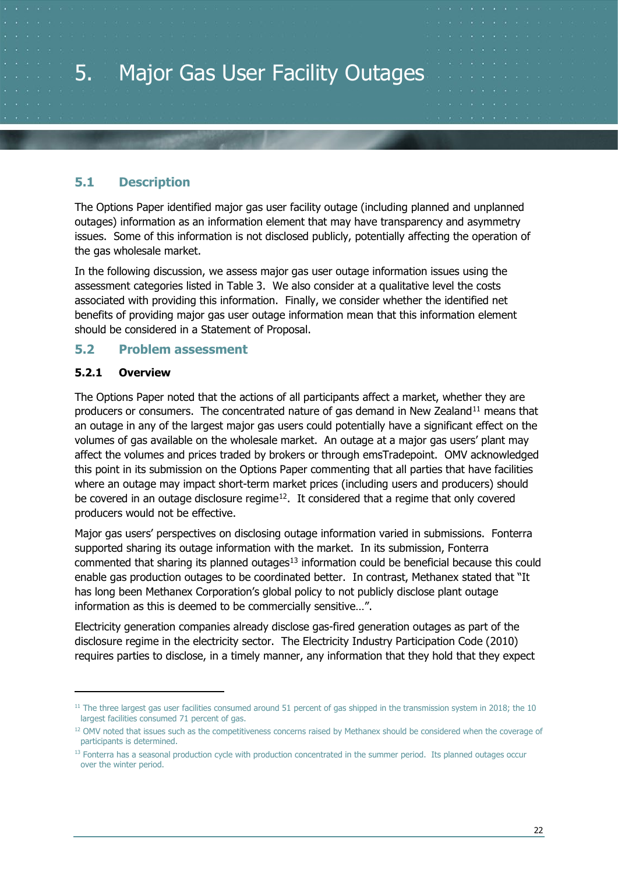<span id="page-21-0"></span>

#### <span id="page-21-1"></span>**5.1 Description**

The Options Paper identified major gas user facility outage (including planned and unplanned outages) information as an information element that may have transparency and asymmetry issues. Some of this information is not disclosed publicly, potentially affecting the operation of the gas wholesale market.

In the following discussion, we assess major gas user outage information issues using the assessment categories listed in [Table 3.](#page-13-0) We also consider at a qualitative level the costs associated with providing this information. Finally, we consider whether the identified net benefits of providing major gas user outage information mean that this information element should be considered in a Statement of Proposal.

#### <span id="page-21-2"></span>**5.2 Problem assessment**

#### <span id="page-21-3"></span>**5.2.1 Overview**

The Options Paper noted that the actions of all participants affect a market, whether they are producers or consumers. The concentrated nature of gas demand in New Zealand<sup>[11](#page-21-4)</sup> means that an outage in any of the largest major gas users could potentially have a significant effect on the volumes of gas available on the wholesale market. An outage at a major gas users' plant may affect the volumes and prices traded by brokers or through emsTradepoint. OMV acknowledged this point in its submission on the Options Paper commenting that all parties that have facilities where an outage may impact short-term market prices (including users and producers) should be covered in an outage disclosure regime<sup>12</sup>. It considered that a regime that only covered producers would not be effective.

Major gas users' perspectives on disclosing outage information varied in submissions. Fonterra supported sharing its outage information with the market. In its submission, Fonterra commented that sharing its planned outages<sup>13</sup> information could be beneficial because this could enable gas production outages to be coordinated better. In contrast, Methanex stated that "It has long been Methanex Corporation's global policy to not publicly disclose plant outage information as this is deemed to be commercially sensitive…".

Electricity generation companies already disclose gas-fired generation outages as part of the disclosure regime in the electricity sector. The Electricity Industry Participation Code (2010) requires parties to disclose, in a timely manner, any information that they hold that they expect

<span id="page-21-4"></span> $11$  The three largest gas user facilities consumed around 51 percent of gas shipped in the transmission system in 2018; the 10 largest facilities consumed 71 percent of gas.

<span id="page-21-5"></span><sup>&</sup>lt;sup>12</sup> OMV noted that issues such as the competitiveness concerns raised by Methanex should be considered when the coverage of participants is determined.

<span id="page-21-6"></span><sup>&</sup>lt;sup>13</sup> Fonterra has a seasonal production cycle with production concentrated in the summer period. Its planned outages occur over the winter period.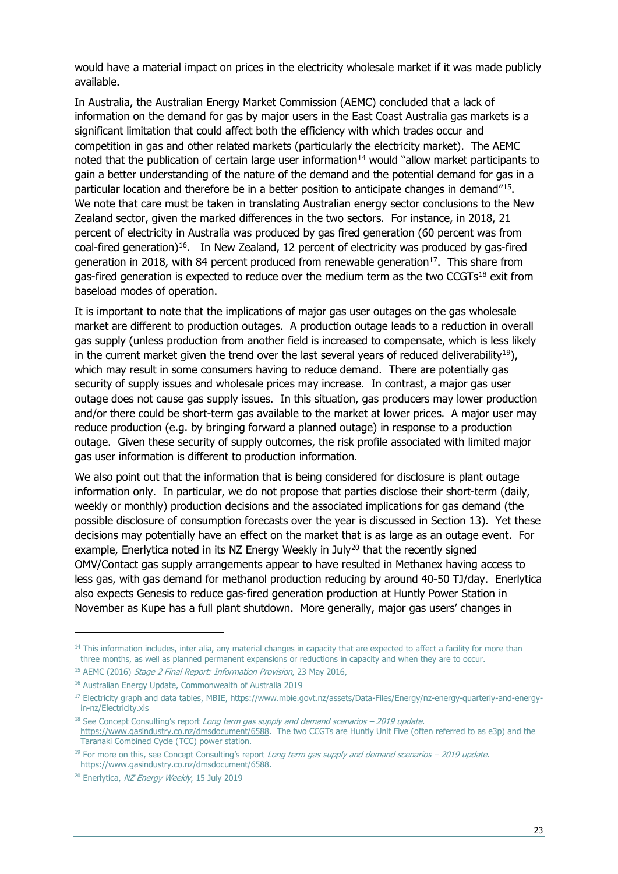would have a material impact on prices in the electricity wholesale market if it was made publicly available.

In Australia, the Australian Energy Market Commission (AEMC) concluded that a lack of information on the demand for gas by major users in the East Coast Australia gas markets is a significant limitation that could affect both the efficiency with which trades occur and competition in gas and other related markets (particularly the electricity market). The AEMC noted that the publication of certain large user information<sup>[14](#page-22-0)</sup> would "allow market participants to gain a better understanding of the nature of the demand and the potential demand for gas in a particular location and therefore be in a better position to anticipate changes in demand"<sup>15</sup>. We note that care must be taken in translating Australian energy sector conclusions to the New Zealand sector, given the marked differences in the two sectors. For instance, in 2018, 21 percent of electricity in Australia was produced by gas fired generation (60 percent was from coal-fired generation)<sup>16</sup>. In New Zealand, 12 percent of electricity was produced by gas-fired generation in 2018, with 84 percent produced from renewable generation<sup>[17](#page-22-3)</sup>. This share from gas-fired generation is expected to reduce over the medium term as the two  $CGTS^{18}$  $CGTS^{18}$  $CGTS^{18}$  exit from baseload modes of operation.

It is important to note that the implications of major gas user outages on the gas wholesale market are different to production outages. A production outage leads to a reduction in overall gas supply (unless production from another field is increased to compensate, which is less likely in the current market given the trend over the last several years of reduced deliverability<sup>19</sup>), which may result in some consumers having to reduce demand. There are potentially gas security of supply issues and wholesale prices may increase. In contrast, a major gas user outage does not cause gas supply issues. In this situation, gas producers may lower production and/or there could be short-term gas available to the market at lower prices. A major user may reduce production (e.g. by bringing forward a planned outage) in response to a production outage. Given these security of supply outcomes, the risk profile associated with limited major gas user information is different to production information.

We also point out that the information that is being considered for disclosure is plant outage information only. In particular, we do not propose that parties disclose their short-term (daily, weekly or monthly) production decisions and the associated implications for gas demand (the possible disclosure of consumption forecasts over the year is discussed in Section [13\)](#page-49-0). Yet these decisions may potentially have an effect on the market that is as large as an outage event. For example, Enerlytica noted in its NZ Energy Weekly in July<sup>[20](#page-22-6)</sup> that the recently signed OMV/Contact gas supply arrangements appear to have resulted in Methanex having access to less gas, with gas demand for methanol production reducing by around 40-50 TJ/day. Enerlytica also expects Genesis to reduce gas-fired generation production at Huntly Power Station in November as Kupe has a full plant shutdown. More generally, major gas users' changes in

<span id="page-22-0"></span><sup>&</sup>lt;sup>14</sup> This information includes, inter alia, any material changes in capacity that are expected to affect a facility for more than three months, as well as planned permanent expansions or reductions in capacity and when they are to occur.

<span id="page-22-1"></span><sup>&</sup>lt;sup>15</sup> AEMC (2016) Stage 2 Final Report: Information Provision, 23 May 2016,

<span id="page-22-2"></span><sup>16</sup> Australian Energy Update, Commonwealth of Australia 2019

<span id="page-22-3"></span><sup>17</sup> Electricity graph and data tables, MBIE, [https://www.mbie.govt.nz/assets/Data-Files/Energy/nz-energy-quarterly-and-energy](https://www.mbie.govt.nz/assets/Data-Files/Energy/nz-energy-quarterly-and-energy-in-nz/Electricity.xlsx)[in-nz/Electricity.xls](https://www.mbie.govt.nz/assets/Data-Files/Energy/nz-energy-quarterly-and-energy-in-nz/Electricity.xlsx)

<span id="page-22-4"></span> $18$  See Concept Consulting's report Long term gas supply and demand scenarios – 2019 update. [https://www.gasindustry.co.nz/dmsdocument/6588.](https://www.gasindustry.co.nz/dmsdocument/6588) The two CCGTs are Huntly Unit Five (often referred to as e3p) and the Taranaki Combined Cycle (TCC) power station.

<span id="page-22-5"></span> $19$  For more on this, see Concept Consulting's report Long term gas supply and demand scenarios – 2019 update. [https://www.gasindustry.co.nz/dmsdocument/6588.](https://www.gasindustry.co.nz/dmsdocument/6588)

<span id="page-22-6"></span><sup>&</sup>lt;sup>20</sup> Enerlytica, NZ Energy Weekly, 15 July 2019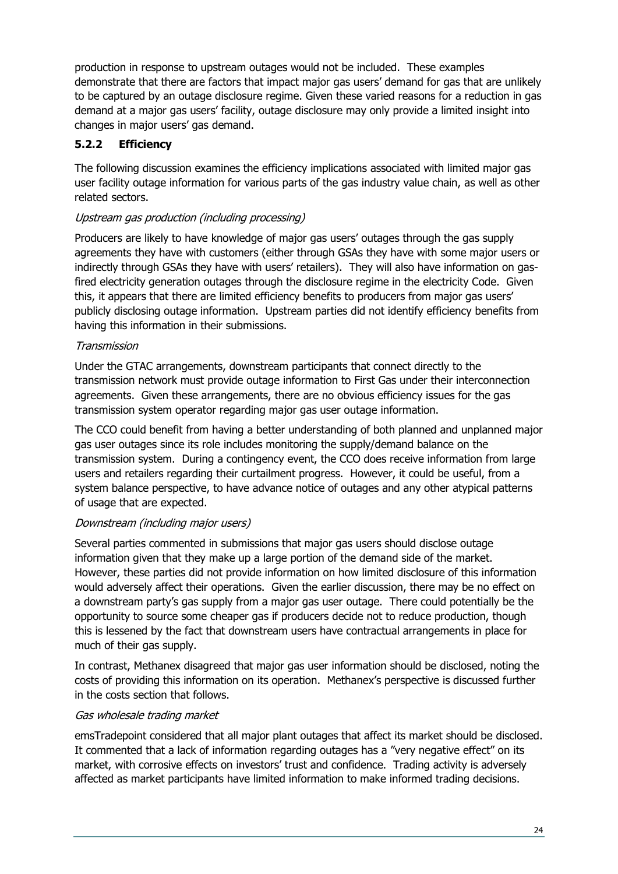production in response to upstream outages would not be included. These examples demonstrate that there are factors that impact major gas users' demand for gas that are unlikely to be captured by an outage disclosure regime. Given these varied reasons for a reduction in gas demand at a major gas users' facility, outage disclosure may only provide a limited insight into changes in major users' gas demand.

#### <span id="page-23-0"></span>**5.2.2 Efficiency**

The following discussion examines the efficiency implications associated with limited major gas user facility outage information for various parts of the gas industry value chain, as well as other related sectors.

#### Upstream gas production (including processing)

Producers are likely to have knowledge of major gas users' outages through the gas supply agreements they have with customers (either through GSAs they have with some major users or indirectly through GSAs they have with users' retailers). They will also have information on gasfired electricity generation outages through the disclosure regime in the electricity Code. Given this, it appears that there are limited efficiency benefits to producers from major gas users' publicly disclosing outage information. Upstream parties did not identify efficiency benefits from having this information in their submissions.

#### **Transmission**

Under the GTAC arrangements, downstream participants that connect directly to the transmission network must provide outage information to First Gas under their interconnection agreements. Given these arrangements, there are no obvious efficiency issues for the gas transmission system operator regarding major gas user outage information.

The CCO could benefit from having a better understanding of both planned and unplanned major gas user outages since its role includes monitoring the supply/demand balance on the transmission system. During a contingency event, the CCO does receive information from large users and retailers regarding their curtailment progress. However, it could be useful, from a system balance perspective, to have advance notice of outages and any other atypical patterns of usage that are expected.

#### Downstream (including major users)

Several parties commented in submissions that major gas users should disclose outage information given that they make up a large portion of the demand side of the market. However, these parties did not provide information on how limited disclosure of this information would adversely affect their operations. Given the earlier discussion, there may be no effect on a downstream party's gas supply from a major gas user outage. There could potentially be the opportunity to source some cheaper gas if producers decide not to reduce production, though this is lessened by the fact that downstream users have contractual arrangements in place for much of their gas supply.

In contrast, Methanex disagreed that major gas user information should be disclosed, noting the costs of providing this information on its operation. Methanex's perspective is discussed further in the costs section that follows.

#### Gas wholesale trading market

emsTradepoint considered that all major plant outages that affect its market should be disclosed. It commented that a lack of information regarding outages has a "very negative effect" on its market, with corrosive effects on investors' trust and confidence. Trading activity is adversely affected as market participants have limited information to make informed trading decisions.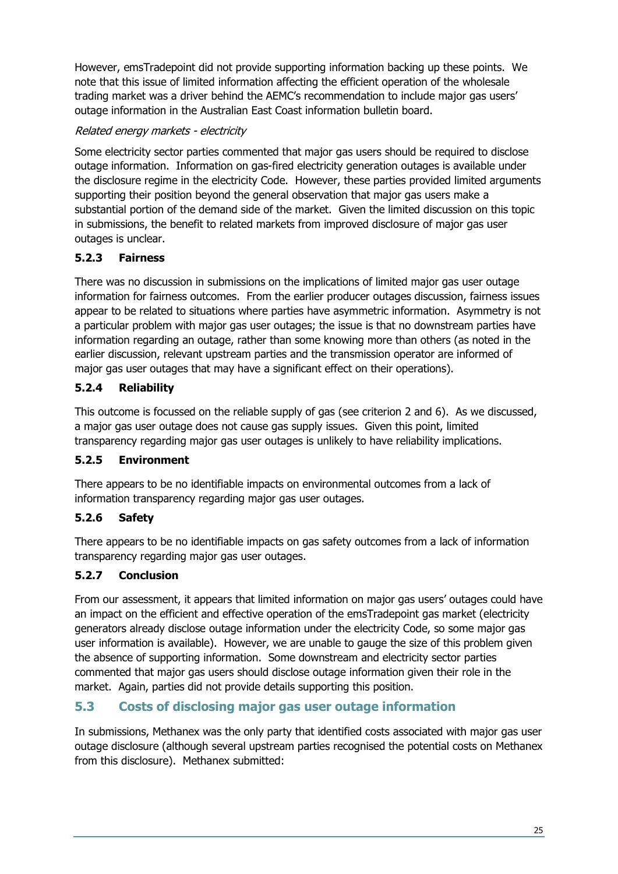However, emsTradepoint did not provide supporting information backing up these points. We note that this issue of limited information affecting the efficient operation of the wholesale trading market was a driver behind the AEMC's recommendation to include major gas users' outage information in the Australian East Coast information bulletin board.

#### Related energy markets - electricity

Some electricity sector parties commented that major gas users should be required to disclose outage information. Information on gas-fired electricity generation outages is available under the disclosure regime in the electricity Code. However, these parties provided limited arguments supporting their position beyond the general observation that major gas users make a substantial portion of the demand side of the market. Given the limited discussion on this topic in submissions, the benefit to related markets from improved disclosure of major gas user outages is unclear.

#### <span id="page-24-0"></span>**5.2.3 Fairness**

There was no discussion in submissions on the implications of limited major gas user outage information for fairness outcomes. From the earlier producer outages discussion, fairness issues appear to be related to situations where parties have asymmetric information. Asymmetry is not a particular problem with major gas user outages; the issue is that no downstream parties have information regarding an outage, rather than some knowing more than others (as noted in the earlier discussion, relevant upstream parties and the transmission operator are informed of major gas user outages that may have a significant effect on their operations).

#### <span id="page-24-1"></span>**5.2.4 Reliability**

This outcome is focussed on the reliable supply of gas (see criterion 2 and 6). As we discussed, a major gas user outage does not cause gas supply issues. Given this point, limited transparency regarding major gas user outages is unlikely to have reliability implications.

#### <span id="page-24-2"></span>**5.2.5 Environment**

There appears to be no identifiable impacts on environmental outcomes from a lack of information transparency regarding major gas user outages.

#### <span id="page-24-3"></span>**5.2.6 Safety**

There appears to be no identifiable impacts on gas safety outcomes from a lack of information transparency regarding major gas user outages.

#### <span id="page-24-4"></span>**5.2.7 Conclusion**

From our assessment, it appears that limited information on major gas users' outages could have an impact on the efficient and effective operation of the emsTradepoint gas market (electricity generators already disclose outage information under the electricity Code, so some major gas user information is available). However, we are unable to gauge the size of this problem given the absence of supporting information. Some downstream and electricity sector parties commented that major gas users should disclose outage information given their role in the market. Again, parties did not provide details supporting this position.

#### <span id="page-24-5"></span>**5.3 Costs of disclosing major gas user outage information**

In submissions, Methanex was the only party that identified costs associated with major gas user outage disclosure (although several upstream parties recognised the potential costs on Methanex from this disclosure). Methanex submitted: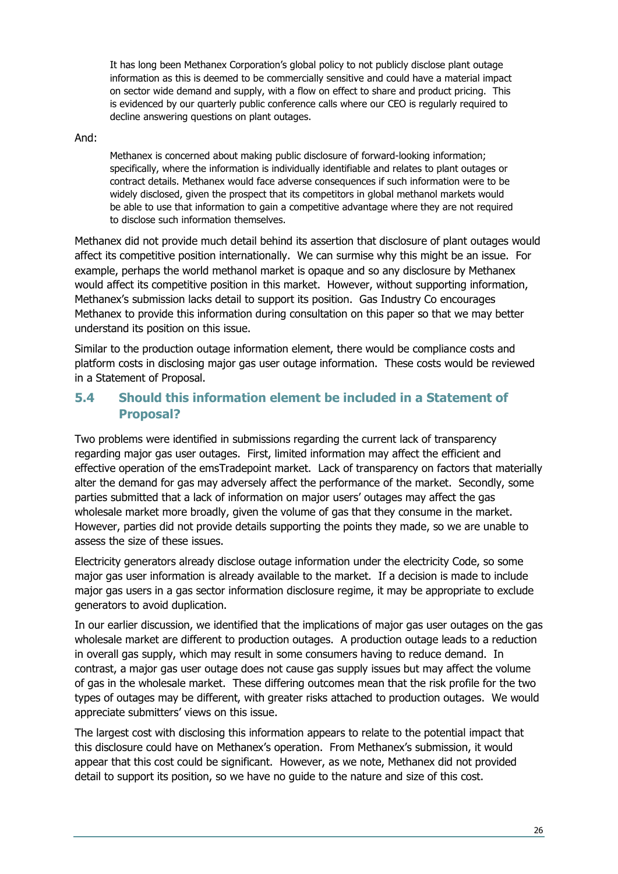It has long been Methanex Corporation's global policy to not publicly disclose plant outage information as this is deemed to be commercially sensitive and could have a material impact on sector wide demand and supply, with a flow on effect to share and product pricing. This is evidenced by our quarterly public conference calls where our CEO is regularly required to decline answering questions on plant outages.

#### And:

Methanex is concerned about making public disclosure of forward-looking information; specifically, where the information is individually identifiable and relates to plant outages or contract details. Methanex would face adverse consequences if such information were to be widely disclosed, given the prospect that its competitors in global methanol markets would be able to use that information to gain a competitive advantage where they are not required to disclose such information themselves.

Methanex did not provide much detail behind its assertion that disclosure of plant outages would affect its competitive position internationally. We can surmise why this might be an issue. For example, perhaps the world methanol market is opaque and so any disclosure by Methanex would affect its competitive position in this market. However, without supporting information, Methanex's submission lacks detail to support its position. Gas Industry Co encourages Methanex to provide this information during consultation on this paper so that we may better understand its position on this issue.

Similar to the production outage information element, there would be compliance costs and platform costs in disclosing major gas user outage information. These costs would be reviewed in a Statement of Proposal.

#### <span id="page-25-0"></span>**5.4 Should this information element be included in a Statement of Proposal?**

Two problems were identified in submissions regarding the current lack of transparency regarding major gas user outages. First, limited information may affect the efficient and effective operation of the emsTradepoint market. Lack of transparency on factors that materially alter the demand for gas may adversely affect the performance of the market. Secondly, some parties submitted that a lack of information on major users' outages may affect the gas wholesale market more broadly, given the volume of gas that they consume in the market. However, parties did not provide details supporting the points they made, so we are unable to assess the size of these issues.

Electricity generators already disclose outage information under the electricity Code, so some major gas user information is already available to the market. If a decision is made to include major gas users in a gas sector information disclosure regime, it may be appropriate to exclude generators to avoid duplication.

In our earlier discussion, we identified that the implications of major gas user outages on the gas wholesale market are different to production outages. A production outage leads to a reduction in overall gas supply, which may result in some consumers having to reduce demand. In contrast, a major gas user outage does not cause gas supply issues but may affect the volume of gas in the wholesale market. These differing outcomes mean that the risk profile for the two types of outages may be different, with greater risks attached to production outages. We would appreciate submitters' views on this issue.

The largest cost with disclosing this information appears to relate to the potential impact that this disclosure could have on Methanex's operation. From Methanex's submission, it would appear that this cost could be significant. However, as we note, Methanex did not provided detail to support its position, so we have no guide to the nature and size of this cost.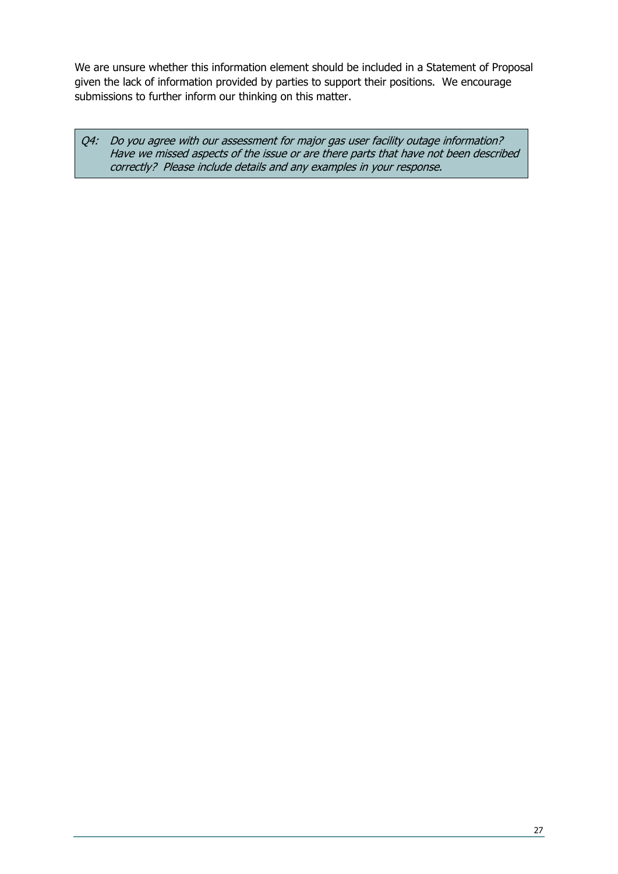We are unsure whether this information element should be included in a Statement of Proposal given the lack of information provided by parties to support their positions. We encourage submissions to further inform our thinking on this matter.

Q4: Do you agree with our assessment for major gas user facility outage information? Have we missed aspects of the issue or are there parts that have not been described correctly? Please include details and any examples in your response.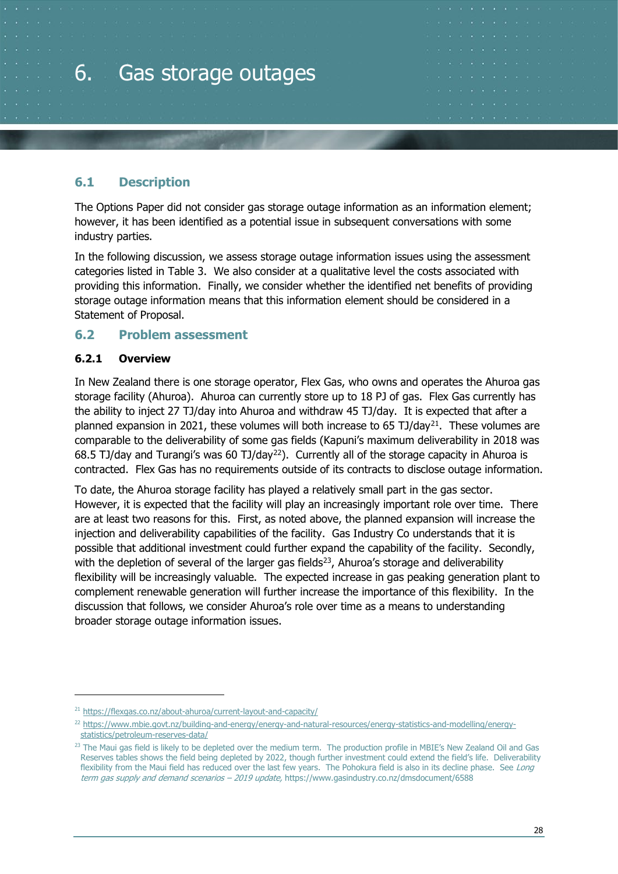# <span id="page-27-0"></span>6. Gas storage outages

#### <span id="page-27-1"></span>**6.1 Description**

The Options Paper did not consider gas storage outage information as an information element; however, it has been identified as a potential issue in subsequent conversations with some industry parties.

In the following discussion, we assess storage outage information issues using the assessment categories listed in [Table 3.](#page-13-0) We also consider at a qualitative level the costs associated with providing this information. Finally, we consider whether the identified net benefits of providing storage outage information means that this information element should be considered in a Statement of Proposal.

#### <span id="page-27-2"></span>**6.2 Problem assessment**

#### <span id="page-27-3"></span>**6.2.1 Overview**

In New Zealand there is one storage operator, Flex Gas, who owns and operates the Ahuroa gas storage facility (Ahuroa). Ahuroa can currently store up to 18 PJ of gas. Flex Gas currently has the ability to inject 27 TJ/day into Ahuroa and withdraw 45 TJ/day. It is expected that after a planned expansion in 20[21](#page-27-4), these volumes will both increase to 65 TJ/day<sup>21</sup>. These volumes are comparable to the deliverability of some gas fields (Kapuni's maximum deliverability in 2018 was 68.5 TJ/day and Turangi's was 60 TJ/day<sup>[22](#page-27-5)</sup>). Currently all of the storage capacity in Ahuroa is contracted. Flex Gas has no requirements outside of its contracts to disclose outage information.

To date, the Ahuroa storage facility has played a relatively small part in the gas sector. However, it is expected that the facility will play an increasingly important role over time. There are at least two reasons for this. First, as noted above, the planned expansion will increase the injection and deliverability capabilities of the facility. Gas Industry Co understands that it is possible that additional investment could further expand the capability of the facility. Secondly, with the depletion of several of the larger gas fields $23$ , Ahuroa's storage and deliverability flexibility will be increasingly valuable. The expected increase in gas peaking generation plant to complement renewable generation will further increase the importance of this flexibility. In the discussion that follows, we consider Ahuroa's role over time as a means to understanding broader storage outage information issues.

<span id="page-27-4"></span><sup>21</sup> <https://flexgas.co.nz/about-ahuroa/current-layout-and-capacity/>

<span id="page-27-5"></span><sup>22</sup> [https://www.mbie.govt.nz/building-and-energy/energy-and-natural-resources/energy-statistics-and-modelling/energy](https://www.mbie.govt.nz/building-and-energy/energy-and-natural-resources/energy-statistics-and-modelling/energy-statistics/petroleum-reserves-data/)[statistics/petroleum-reserves-data/](https://www.mbie.govt.nz/building-and-energy/energy-and-natural-resources/energy-statistics-and-modelling/energy-statistics/petroleum-reserves-data/)

<span id="page-27-6"></span><sup>&</sup>lt;sup>23</sup> The Maui gas field is likely to be depleted over the medium term. The production profile in MBIE's New Zealand Oil and Gas Reserves tables shows the field being depleted by 2022, though further investment could extend the field's life. Deliverability flexibility from the Maui field has reduced over the last few years. The Pohokura field is also in its decline phase. See Lona term gas supply and demand scenarios - 2019 update, https://www.gasindustry.co.nz/dmsdocument/6588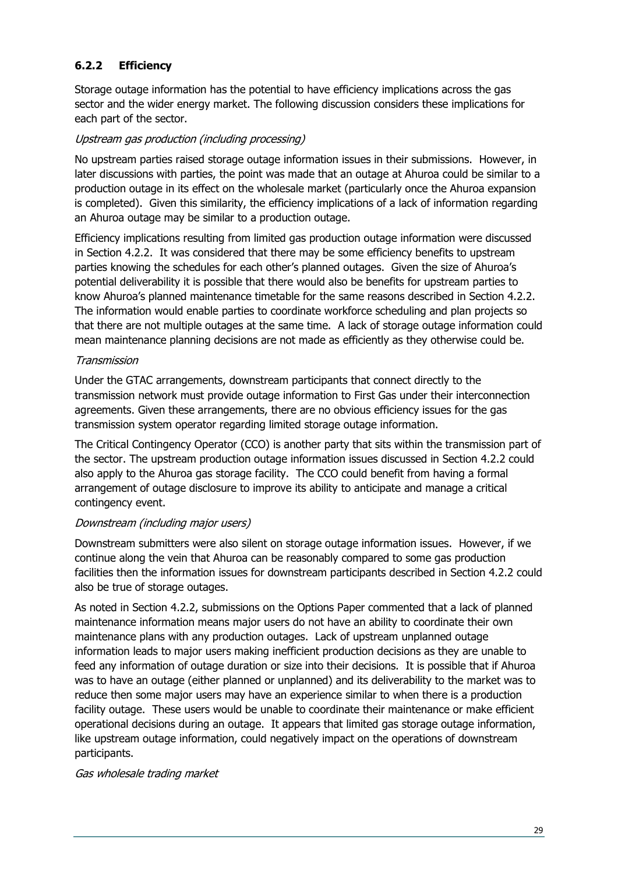#### <span id="page-28-0"></span>**6.2.2 Efficiency**

Storage outage information has the potential to have efficiency implications across the gas sector and the wider energy market. The following discussion considers these implications for each part of the sector.

#### Upstream gas production (including processing)

No upstream parties raised storage outage information issues in their submissions. However, in later discussions with parties, the point was made that an outage at Ahuroa could be similar to a production outage in its effect on the wholesale market (particularly once the Ahuroa expansion is completed). Given this similarity, the efficiency implications of a lack of information regarding an Ahuroa outage may be similar to a production outage.

Efficiency implications resulting from limited gas production outage information were discussed in Section [4.2.2.](#page-16-4) It was considered that there may be some efficiency benefits to upstream parties knowing the schedules for each other's planned outages. Given the size of Ahuroa's potential deliverability it is possible that there would also be benefits for upstream parties to know Ahuroa's planned maintenance timetable for the same reasons described in Section [4.2.2.](#page-16-4) The information would enable parties to coordinate workforce scheduling and plan projects so that there are not multiple outages at the same time. A lack of storage outage information could mean maintenance planning decisions are not made as efficiently as they otherwise could be.

#### Transmission

Under the GTAC arrangements, downstream participants that connect directly to the transmission network must provide outage information to First Gas under their interconnection agreements. Given these arrangements, there are no obvious efficiency issues for the gas transmission system operator regarding limited storage outage information.

The Critical Contingency Operator (CCO) is another party that sits within the transmission part of the sector. The upstream production outage information issues discussed in Section [4.2.2](#page-16-4) could also apply to the Ahuroa gas storage facility. The CCO could benefit from having a formal arrangement of outage disclosure to improve its ability to anticipate and manage a critical contingency event.

#### Downstream (including major users)

Downstream submitters were also silent on storage outage information issues. However, if we continue along the vein that Ahuroa can be reasonably compared to some gas production facilities then the information issues for downstream participants described in Section [4.2.2](#page-16-4) could also be true of storage outages.

As noted in Section [4.2.2,](#page-16-4) submissions on the Options Paper commented that a lack of planned maintenance information means major users do not have an ability to coordinate their own maintenance plans with any production outages. Lack of upstream unplanned outage information leads to major users making inefficient production decisions as they are unable to feed any information of outage duration or size into their decisions. It is possible that if Ahuroa was to have an outage (either planned or unplanned) and its deliverability to the market was to reduce then some major users may have an experience similar to when there is a production facility outage. These users would be unable to coordinate their maintenance or make efficient operational decisions during an outage. It appears that limited gas storage outage information, like upstream outage information, could negatively impact on the operations of downstream participants.

#### Gas wholesale trading market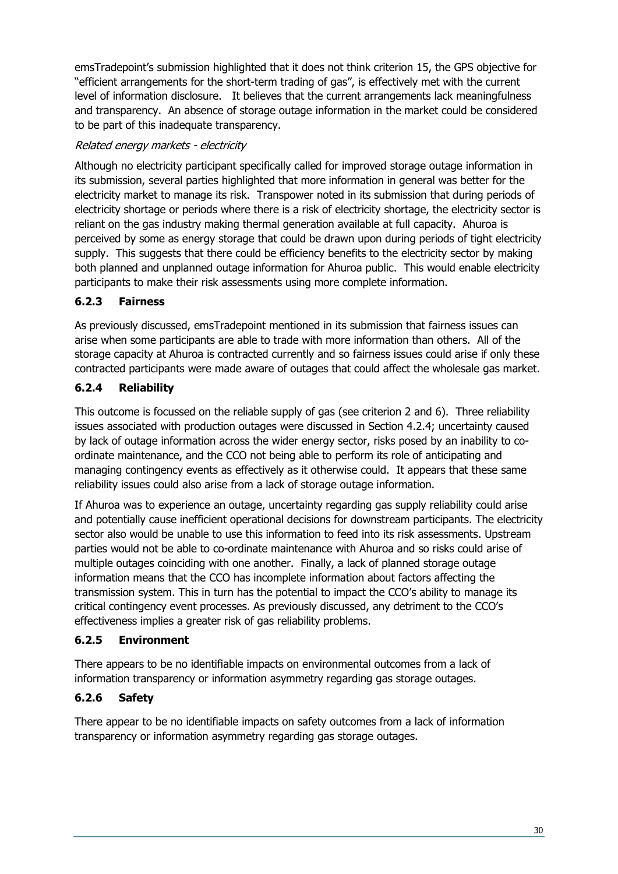emsTradepoint's submission highlighted that it does not think criterion 15, the GPS objective for "efficient arrangements for the short-term trading of gas", is effectively met with the current level of information disclosure. It believes that the current arrangements lack meaningfulness and transparency. An absence of storage outage information in the market could be considered to be part of this inadequate transparency.

#### Related energy markets - electricity

Although no electricity participant specifically called for improved storage outage information in its submission, several parties highlighted that more information in general was better for the electricity market to manage its risk. Transpower noted in its submission that during periods of electricity shortage or periods where there is a risk of electricity shortage, the electricity sector is reliant on the gas industry making thermal generation available at full capacity. Ahuroa is perceived by some as energy storage that could be drawn upon during periods of tight electricity supply. This suggests that there could be efficiency benefits to the electricity sector by making both planned and unplanned outage information for Ahuroa public. This would enable electricity participants to make their risk assessments using more complete information.

#### <span id="page-29-0"></span>**6.2.3 Fairness**

As previously discussed, emsTradepoint mentioned in its submission that fairness issues can arise when some participants are able to trade with more information than others. All of the storage capacity at Ahuroa is contracted currently and so fairness issues could arise if only these contracted participants were made aware of outages that could affect the wholesale gas market.

#### <span id="page-29-1"></span>**6.2.4 Reliability**

This outcome is focussed on the reliable supply of gas (see criterion 2 and 6). Three reliability issues associated with production outages were discussed in Section [4.2.4;](#page-19-1) uncertainty caused by lack of outage information across the wider energy sector, risks posed by an inability to coordinate maintenance, and the CCO not being able to perform its role of anticipating and managing contingency events as effectively as it otherwise could. It appears that these same reliability issues could also arise from a lack of storage outage information.

If Ahuroa was to experience an outage, uncertainty regarding gas supply reliability could arise and potentially cause inefficient operational decisions for downstream participants. The electricity sector also would be unable to use this information to feed into its risk assessments. Upstream parties would not be able to co-ordinate maintenance with Ahuroa and so risks could arise of multiple outages coinciding with one another. Finally, a lack of planned storage outage information means that the CCO has incomplete information about factors affecting the transmission system. This in turn has the potential to impact the CCO's ability to manage its critical contingency event processes. As previously discussed, any detriment to the CCO's effectiveness implies a greater risk of gas reliability problems.

#### <span id="page-29-2"></span>**6.2.5 Environment**

There appears to be no identifiable impacts on environmental outcomes from a lack of information transparency or information asymmetry regarding gas storage outages.

#### <span id="page-29-3"></span>**6.2.6 Safety**

There appear to be no identifiable impacts on safety outcomes from a lack of information transparency or information asymmetry regarding gas storage outages.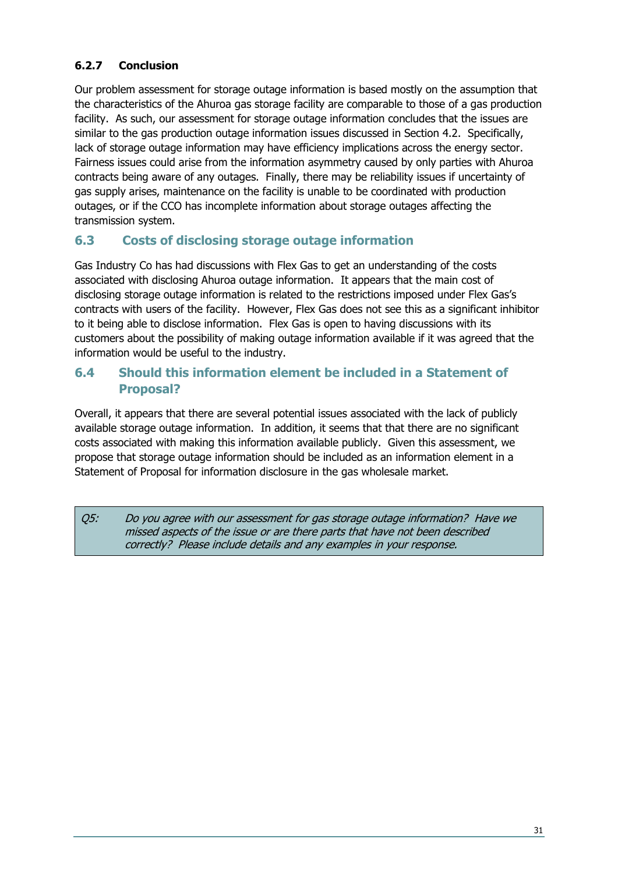#### <span id="page-30-0"></span>**6.2.7 Conclusion**

Our problem assessment for storage outage information is based mostly on the assumption that the characteristics of the Ahuroa gas storage facility are comparable to those of a gas production facility. As such, our assessment for storage outage information concludes that the issues are similar to the gas production outage information issues discussed in Section [4.2.](#page-16-2) Specifically, lack of storage outage information may have efficiency implications across the energy sector. Fairness issues could arise from the information asymmetry caused by only parties with Ahuroa contracts being aware of any outages. Finally, there may be reliability issues if uncertainty of gas supply arises, maintenance on the facility is unable to be coordinated with production outages, or if the CCO has incomplete information about storage outages affecting the transmission system.

#### <span id="page-30-1"></span>**6.3 Costs of disclosing storage outage information**

Gas Industry Co has had discussions with Flex Gas to get an understanding of the costs associated with disclosing Ahuroa outage information. It appears that the main cost of disclosing storage outage information is related to the restrictions imposed under Flex Gas's contracts with users of the facility. However, Flex Gas does not see this as a significant inhibitor to it being able to disclose information. Flex Gas is open to having discussions with its customers about the possibility of making outage information available if it was agreed that the information would be useful to the industry.

#### <span id="page-30-2"></span>**6.4 Should this information element be included in a Statement of Proposal?**

Overall, it appears that there are several potential issues associated with the lack of publicly available storage outage information. In addition, it seems that that there are no significant costs associated with making this information available publicly. Given this assessment, we propose that storage outage information should be included as an information element in a Statement of Proposal for information disclosure in the gas wholesale market.

Q5: Do you agree with our assessment for gas storage outage information? Have we missed aspects of the issue or are there parts that have not been described correctly? Please include details and any examples in your response.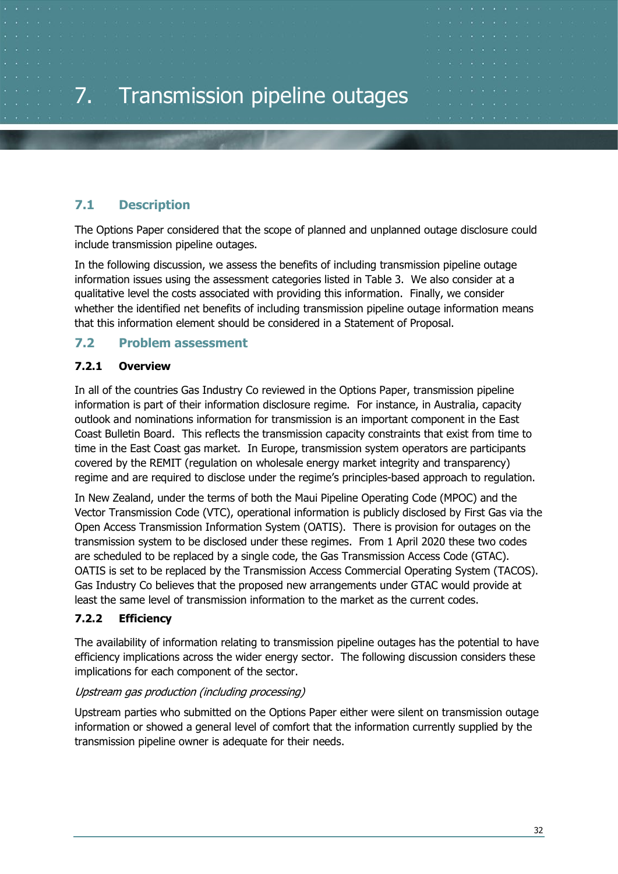#### <span id="page-31-1"></span><span id="page-31-0"></span>**7.1 Description**

The Options Paper considered that the scope of planned and unplanned outage disclosure could include transmission pipeline outages.

In the following discussion, we assess the benefits of including transmission pipeline outage information issues using the assessment categories listed in [Table 3.](#page-13-0) We also consider at a qualitative level the costs associated with providing this information. Finally, we consider whether the identified net benefits of including transmission pipeline outage information means that this information element should be considered in a Statement of Proposal.

#### <span id="page-31-2"></span>**7.2 Problem assessment**

#### <span id="page-31-3"></span>**7.2.1 Overview**

In all of the countries Gas Industry Co reviewed in the Options Paper, transmission pipeline information is part of their information disclosure regime. For instance, in Australia, capacity outlook and nominations information for transmission is an important component in the East Coast Bulletin Board. This reflects the transmission capacity constraints that exist from time to time in the East Coast gas market. In Europe, transmission system operators are participants covered by the REMIT (regulation on wholesale energy market integrity and transparency) regime and are required to disclose under the regime's principles-based approach to regulation.

In New Zealand, under the terms of both the Maui Pipeline Operating Code (MPOC) and the Vector Transmission Code (VTC), operational information is publicly disclosed by First Gas via the Open Access Transmission Information System (OATIS). There is provision for outages on the transmission system to be disclosed under these regimes. From 1 April 2020 these two codes are scheduled to be replaced by a single code, the Gas Transmission Access Code (GTAC). OATIS is set to be replaced by the Transmission Access Commercial Operating System (TACOS). Gas Industry Co believes that the proposed new arrangements under GTAC would provide at least the same level of transmission information to the market as the current codes.

#### <span id="page-31-4"></span>**7.2.2 Efficiency**

The availability of information relating to transmission pipeline outages has the potential to have efficiency implications across the wider energy sector. The following discussion considers these implications for each component of the sector.

#### Upstream gas production (including processing)

Upstream parties who submitted on the Options Paper either were silent on transmission outage information or showed a general level of comfort that the information currently supplied by the transmission pipeline owner is adequate for their needs.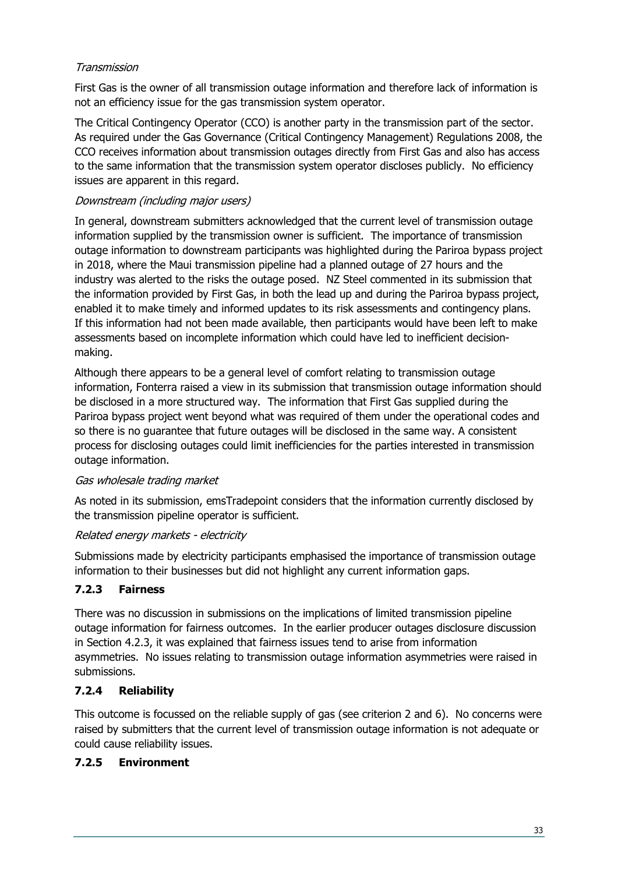#### Transmission

First Gas is the owner of all transmission outage information and therefore lack of information is not an efficiency issue for the gas transmission system operator.

The Critical Contingency Operator (CCO) is another party in the transmission part of the sector. As required under the Gas Governance (Critical Contingency Management) Regulations 2008, the CCO receives information about transmission outages directly from First Gas and also has access to the same information that the transmission system operator discloses publicly. No efficiency issues are apparent in this regard.

#### Downstream (including major users)

In general, downstream submitters acknowledged that the current level of transmission outage information supplied by the transmission owner is sufficient. The importance of transmission outage information to downstream participants was highlighted during the Pariroa bypass project in 2018, where the Maui transmission pipeline had a planned outage of 27 hours and the industry was alerted to the risks the outage posed. NZ Steel commented in its submission that the information provided by First Gas, in both the lead up and during the Pariroa bypass project, enabled it to make timely and informed updates to its risk assessments and contingency plans. If this information had not been made available, then participants would have been left to make assessments based on incomplete information which could have led to inefficient decisionmaking.

Although there appears to be a general level of comfort relating to transmission outage information, Fonterra raised a view in its submission that transmission outage information should be disclosed in a more structured way. The information that First Gas supplied during the Pariroa bypass project went beyond what was required of them under the operational codes and so there is no guarantee that future outages will be disclosed in the same way. A consistent process for disclosing outages could limit inefficiencies for the parties interested in transmission outage information.

#### Gas wholesale trading market

As noted in its submission, emsTradepoint considers that the information currently disclosed by the transmission pipeline operator is sufficient.

#### Related energy markets - electricity

Submissions made by electricity participants emphasised the importance of transmission outage information to their businesses but did not highlight any current information gaps.

#### <span id="page-32-0"></span>**7.2.3 Fairness**

There was no discussion in submissions on the implications of limited transmission pipeline outage information for fairness outcomes. In the earlier producer outages disclosure discussion in Section [4.2.3,](#page-19-0) it was explained that fairness issues tend to arise from information asymmetries. No issues relating to transmission outage information asymmetries were raised in submissions.

#### <span id="page-32-1"></span>**7.2.4 Reliability**

This outcome is focussed on the reliable supply of gas (see criterion 2 and 6). No concerns were raised by submitters that the current level of transmission outage information is not adequate or could cause reliability issues.

#### <span id="page-32-2"></span>**7.2.5 Environment**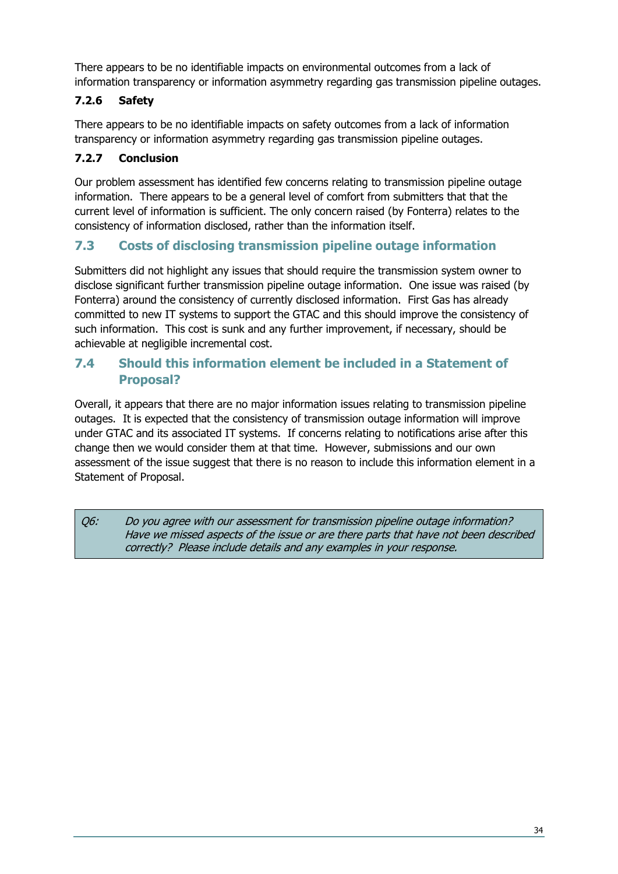There appears to be no identifiable impacts on environmental outcomes from a lack of information transparency or information asymmetry regarding gas transmission pipeline outages.

#### <span id="page-33-0"></span>**7.2.6 Safety**

There appears to be no identifiable impacts on safety outcomes from a lack of information transparency or information asymmetry regarding gas transmission pipeline outages.

#### <span id="page-33-1"></span>**7.2.7 Conclusion**

Our problem assessment has identified few concerns relating to transmission pipeline outage information. There appears to be a general level of comfort from submitters that that the current level of information is sufficient. The only concern raised (by Fonterra) relates to the consistency of information disclosed, rather than the information itself.

#### <span id="page-33-2"></span>**7.3 Costs of disclosing transmission pipeline outage information**

Submitters did not highlight any issues that should require the transmission system owner to disclose significant further transmission pipeline outage information. One issue was raised (by Fonterra) around the consistency of currently disclosed information. First Gas has already committed to new IT systems to support the GTAC and this should improve the consistency of such information. This cost is sunk and any further improvement, if necessary, should be achievable at negligible incremental cost.

#### <span id="page-33-3"></span>**7.4 Should this information element be included in a Statement of Proposal?**

Overall, it appears that there are no major information issues relating to transmission pipeline outages. It is expected that the consistency of transmission outage information will improve under GTAC and its associated IT systems. If concerns relating to notifications arise after this change then we would consider them at that time. However, submissions and our own assessment of the issue suggest that there is no reason to include this information element in a Statement of Proposal.

Q6: Do you agree with our assessment for transmission pipeline outage information? Have we missed aspects of the issue or are there parts that have not been described correctly? Please include details and any examples in your response.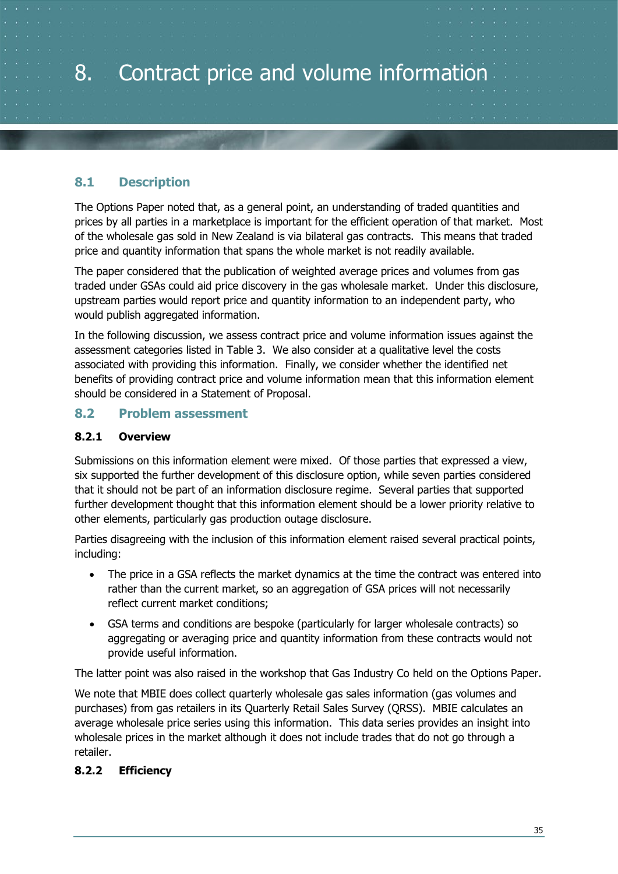# <span id="page-34-0"></span>8. Contract price and volume information

#### <span id="page-34-1"></span>**8.1 Description**

The Options Paper noted that, as a general point, an understanding of traded quantities and prices by all parties in a marketplace is important for the efficient operation of that market. Most of the wholesale gas sold in New Zealand is via bilateral gas contracts. This means that traded price and quantity information that spans the whole market is not readily available.

The paper considered that the publication of weighted average prices and volumes from gas traded under GSAs could aid price discovery in the gas wholesale market. Under this disclosure, upstream parties would report price and quantity information to an independent party, who would publish aggregated information.

In the following discussion, we assess contract price and volume information issues against the assessment categories listed in [Table 3.](#page-13-0) We also consider at a qualitative level the costs associated with providing this information. Finally, we consider whether the identified net benefits of providing contract price and volume information mean that this information element should be considered in a Statement of Proposal.

#### <span id="page-34-2"></span>**8.2 Problem assessment**

#### <span id="page-34-3"></span>**8.2.1 Overview**

Submissions on this information element were mixed. Of those parties that expressed a view, six supported the further development of this disclosure option, while seven parties considered that it should not be part of an information disclosure regime. Several parties that supported further development thought that this information element should be a lower priority relative to other elements, particularly gas production outage disclosure.

Parties disagreeing with the inclusion of this information element raised several practical points, including:

- The price in a GSA reflects the market dynamics at the time the contract was entered into rather than the current market, so an aggregation of GSA prices will not necessarily reflect current market conditions;
- GSA terms and conditions are bespoke (particularly for larger wholesale contracts) so aggregating or averaging price and quantity information from these contracts would not provide useful information.

The latter point was also raised in the workshop that Gas Industry Co held on the Options Paper.

We note that MBIE does collect quarterly wholesale gas sales information (gas volumes and purchases) from gas retailers in its Quarterly Retail Sales Survey (QRSS). MBIE calculates an average wholesale price series using this information. This data series provides an insight into wholesale prices in the market although it does not include trades that do not go through a retailer.

#### <span id="page-34-4"></span>**8.2.2 Efficiency**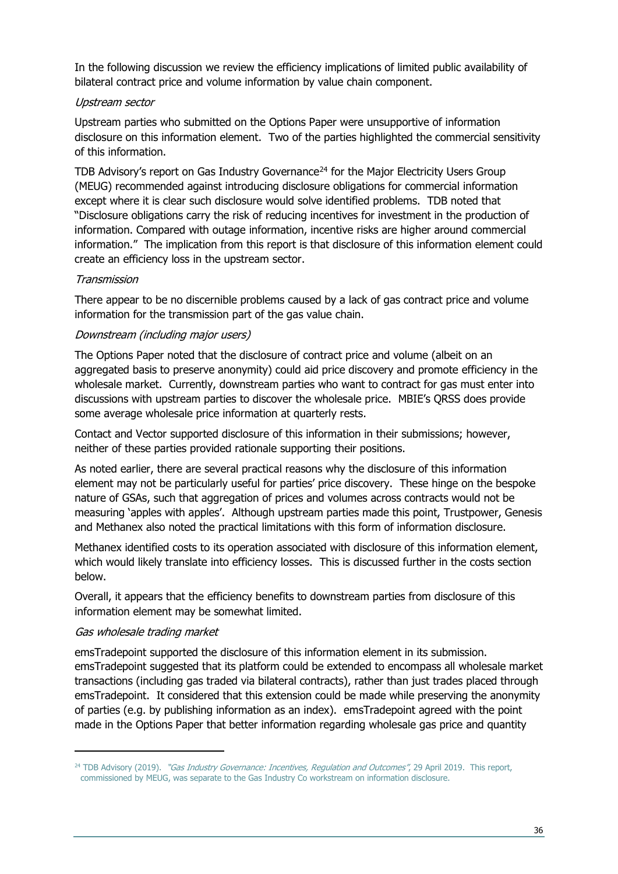In the following discussion we review the efficiency implications of limited public availability of bilateral contract price and volume information by value chain component.

#### Upstream sector

Upstream parties who submitted on the Options Paper were unsupportive of information disclosure on this information element. Two of the parties highlighted the commercial sensitivity of this information.

TDB Advisory's report on Gas Industry Governance<sup>[24](#page-35-0)</sup> for the Major Electricity Users Group (MEUG) recommended against introducing disclosure obligations for commercial information except where it is clear such disclosure would solve identified problems. TDB noted that "Disclosure obligations carry the risk of reducing incentives for investment in the production of information. Compared with outage information, incentive risks are higher around commercial information." The implication from this report is that disclosure of this information element could create an efficiency loss in the upstream sector.

#### Transmission

There appear to be no discernible problems caused by a lack of gas contract price and volume information for the transmission part of the gas value chain.

#### Downstream (including major users)

The Options Paper noted that the disclosure of contract price and volume (albeit on an aggregated basis to preserve anonymity) could aid price discovery and promote efficiency in the wholesale market. Currently, downstream parties who want to contract for gas must enter into discussions with upstream parties to discover the wholesale price. MBIE's QRSS does provide some average wholesale price information at quarterly rests.

Contact and Vector supported disclosure of this information in their submissions; however, neither of these parties provided rationale supporting their positions.

As noted earlier, there are several practical reasons why the disclosure of this information element may not be particularly useful for parties' price discovery. These hinge on the bespoke nature of GSAs, such that aggregation of prices and volumes across contracts would not be measuring 'apples with apples'. Although upstream parties made this point, Trustpower, Genesis and Methanex also noted the practical limitations with this form of information disclosure.

Methanex identified costs to its operation associated with disclosure of this information element, which would likely translate into efficiency losses. This is discussed further in the costs section below.

Overall, it appears that the efficiency benefits to downstream parties from disclosure of this information element may be somewhat limited.

#### Gas wholesale trading market

emsTradepoint supported the disclosure of this information element in its submission. emsTradepoint suggested that its platform could be extended to encompass all wholesale market transactions (including gas traded via bilateral contracts), rather than just trades placed through emsTradepoint. It considered that this extension could be made while preserving the anonymity of parties (e.g. by publishing information as an index). emsTradepoint agreed with the point made in the Options Paper that better information regarding wholesale gas price and quantity

<span id="page-35-0"></span><sup>&</sup>lt;sup>24</sup> TDB Advisory (2019). "Gas Industry Governance: Incentives, Regulation and Outcomes", 29 April 2019. This report, commissioned by MEUG, was separate to the Gas Industry Co workstream on information disclosure.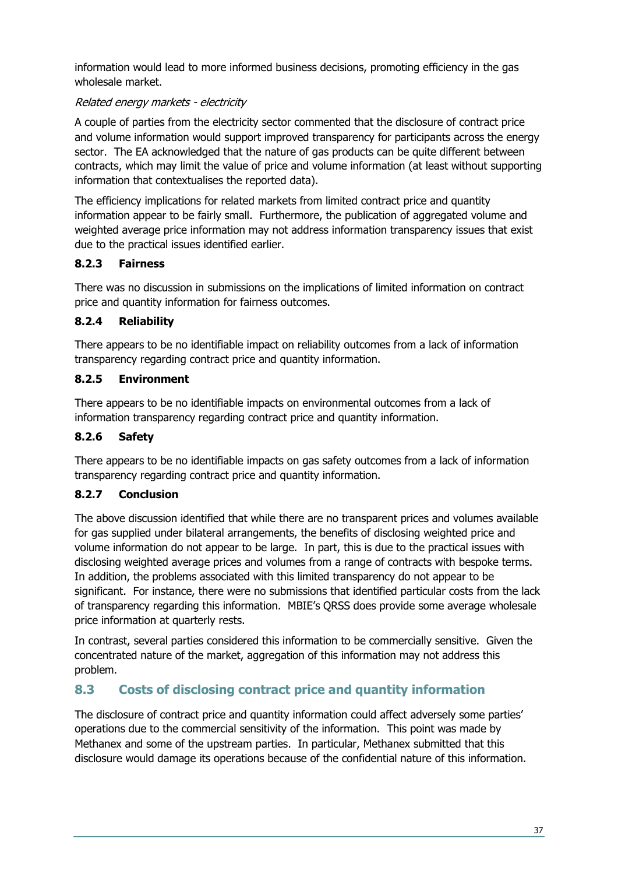information would lead to more informed business decisions, promoting efficiency in the gas wholesale market.

#### Related energy markets - electricity

A couple of parties from the electricity sector commented that the disclosure of contract price and volume information would support improved transparency for participants across the energy sector. The EA acknowledged that the nature of gas products can be quite different between contracts, which may limit the value of price and volume information (at least without supporting information that contextualises the reported data).

The efficiency implications for related markets from limited contract price and quantity information appear to be fairly small. Furthermore, the publication of aggregated volume and weighted average price information may not address information transparency issues that exist due to the practical issues identified earlier.

#### <span id="page-36-0"></span>**8.2.3 Fairness**

There was no discussion in submissions on the implications of limited information on contract price and quantity information for fairness outcomes.

#### <span id="page-36-1"></span>**8.2.4 Reliability**

There appears to be no identifiable impact on reliability outcomes from a lack of information transparency regarding contract price and quantity information.

#### <span id="page-36-2"></span>**8.2.5 Environment**

There appears to be no identifiable impacts on environmental outcomes from a lack of information transparency regarding contract price and quantity information.

#### <span id="page-36-3"></span>**8.2.6 Safety**

There appears to be no identifiable impacts on gas safety outcomes from a lack of information transparency regarding contract price and quantity information.

#### <span id="page-36-4"></span>**8.2.7 Conclusion**

The above discussion identified that while there are no transparent prices and volumes available for gas supplied under bilateral arrangements, the benefits of disclosing weighted price and volume information do not appear to be large. In part, this is due to the practical issues with disclosing weighted average prices and volumes from a range of contracts with bespoke terms. In addition, the problems associated with this limited transparency do not appear to be significant. For instance, there were no submissions that identified particular costs from the lack of transparency regarding this information. MBIE's QRSS does provide some average wholesale price information at quarterly rests.

In contrast, several parties considered this information to be commercially sensitive. Given the concentrated nature of the market, aggregation of this information may not address this problem.

#### <span id="page-36-5"></span>**8.3 Costs of disclosing contract price and quantity information**

The disclosure of contract price and quantity information could affect adversely some parties' operations due to the commercial sensitivity of the information. This point was made by Methanex and some of the upstream parties. In particular, Methanex submitted that this disclosure would damage its operations because of the confidential nature of this information.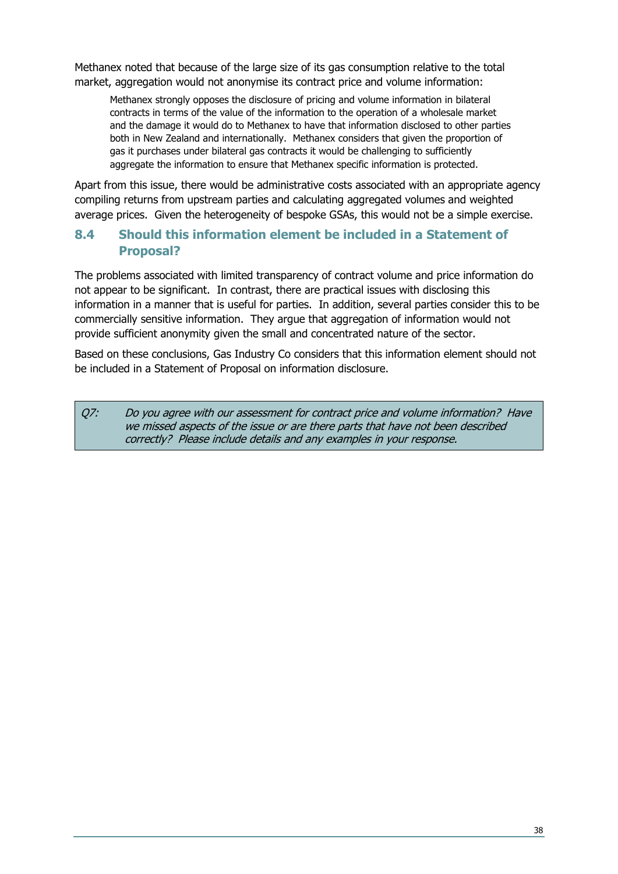Methanex noted that because of the large size of its gas consumption relative to the total market, aggregation would not anonymise its contract price and volume information:

Methanex strongly opposes the disclosure of pricing and volume information in bilateral contracts in terms of the value of the information to the operation of a wholesale market and the damage it would do to Methanex to have that information disclosed to other parties both in New Zealand and internationally. Methanex considers that given the proportion of gas it purchases under bilateral gas contracts it would be challenging to sufficiently aggregate the information to ensure that Methanex specific information is protected.

Apart from this issue, there would be administrative costs associated with an appropriate agency compiling returns from upstream parties and calculating aggregated volumes and weighted average prices. Given the heterogeneity of bespoke GSAs, this would not be a simple exercise.

#### <span id="page-37-0"></span>**8.4 Should this information element be included in a Statement of Proposal?**

The problems associated with limited transparency of contract volume and price information do not appear to be significant. In contrast, there are practical issues with disclosing this information in a manner that is useful for parties. In addition, several parties consider this to be commercially sensitive information. They argue that aggregation of information would not provide sufficient anonymity given the small and concentrated nature of the sector.

Based on these conclusions, Gas Industry Co considers that this information element should not be included in a Statement of Proposal on information disclosure.

Q7: Do you agree with our assessment for contract price and volume information? Have we missed aspects of the issue or are there parts that have not been described correctly? Please include details and any examples in your response.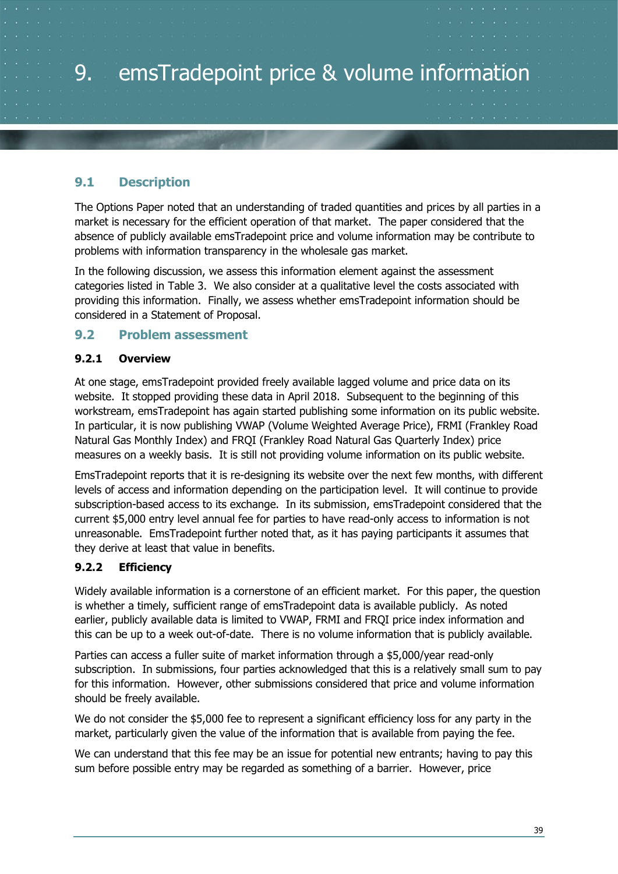# <span id="page-38-0"></span>9. emsTradepoint price & volume information

#### <span id="page-38-1"></span>**9.1 Description**

The Options Paper noted that an understanding of traded quantities and prices by all parties in a market is necessary for the efficient operation of that market. The paper considered that the absence of publicly available emsTradepoint price and volume information may be contribute to problems with information transparency in the wholesale gas market.

In the following discussion, we assess this information element against the assessment categories listed in [Table 3.](#page-13-0) We also consider at a qualitative level the costs associated with providing this information. Finally, we assess whether emsTradepoint information should be considered in a Statement of Proposal.

#### <span id="page-38-2"></span>**9.2 Problem assessment**

#### <span id="page-38-3"></span>**9.2.1 Overview**

At one stage, emsTradepoint provided freely available lagged volume and price data on its website. It stopped providing these data in April 2018. Subsequent to the beginning of this workstream, emsTradepoint has again started publishing some information on its public website. In particular, it is now publishing VWAP (Volume Weighted Average Price), FRMI (Frankley Road Natural Gas Monthly Index) and FRQI (Frankley Road Natural Gas Quarterly Index) price measures on a weekly basis. It is still not providing volume information on its public website.

EmsTradepoint reports that it is re-designing its website over the next few months, with different levels of access and information depending on the participation level. It will continue to provide subscription-based access to its exchange. In its submission, emsTradepoint considered that the current \$5,000 entry level annual fee for parties to have read-only access to information is not unreasonable. EmsTradepoint further noted that, as it has paying participants it assumes that they derive at least that value in benefits.

#### <span id="page-38-4"></span>**9.2.2 Efficiency**

Widely available information is a cornerstone of an efficient market. For this paper, the question is whether a timely, sufficient range of emsTradepoint data is available publicly. As noted earlier, publicly available data is limited to VWAP, FRMI and FRQI price index information and this can be up to a week out-of-date. There is no volume information that is publicly available.

Parties can access a fuller suite of market information through a \$5,000/year read-only subscription. In submissions, four parties acknowledged that this is a relatively small sum to pay for this information. However, other submissions considered that price and volume information should be freely available.

We do not consider the \$5,000 fee to represent a significant efficiency loss for any party in the market, particularly given the value of the information that is available from paying the fee.

We can understand that this fee may be an issue for potential new entrants; having to pay this sum before possible entry may be regarded as something of a barrier. However, price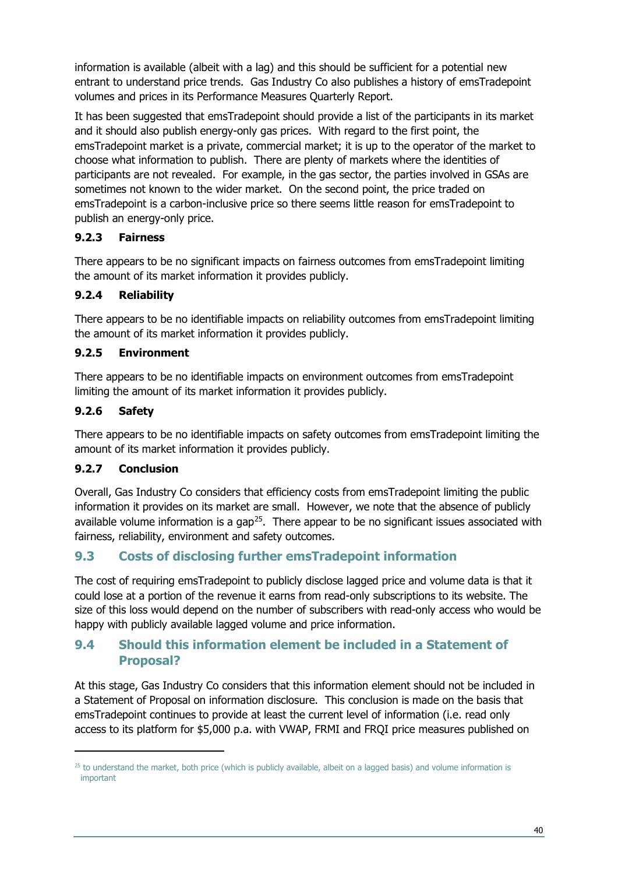information is available (albeit with a lag) and this should be sufficient for a potential new entrant to understand price trends. Gas Industry Co also publishes a history of emsTradepoint volumes and prices in its Performance Measures Quarterly Report.

It has been suggested that emsTradepoint should provide a list of the participants in its market and it should also publish energy-only gas prices. With regard to the first point, the emsTradepoint market is a private, commercial market; it is up to the operator of the market to choose what information to publish. There are plenty of markets where the identities of participants are not revealed. For example, in the gas sector, the parties involved in GSAs are sometimes not known to the wider market. On the second point, the price traded on emsTradepoint is a carbon-inclusive price so there seems little reason for emsTradepoint to publish an energy-only price.

#### <span id="page-39-0"></span>**9.2.3 Fairness**

There appears to be no significant impacts on fairness outcomes from emsTradepoint limiting the amount of its market information it provides publicly.

#### <span id="page-39-1"></span>**9.2.4 Reliability**

There appears to be no identifiable impacts on reliability outcomes from emsTradepoint limiting the amount of its market information it provides publicly.

#### <span id="page-39-2"></span>**9.2.5 Environment**

There appears to be no identifiable impacts on environment outcomes from emsTradepoint limiting the amount of its market information it provides publicly.

#### <span id="page-39-3"></span>**9.2.6 Safety**

There appears to be no identifiable impacts on safety outcomes from emsTradepoint limiting the amount of its market information it provides publicly.

#### <span id="page-39-4"></span>**9.2.7 Conclusion**

Overall, Gas Industry Co considers that efficiency costs from emsTradepoint limiting the public information it provides on its market are small. However, we note that the absence of publicly available volume information is a gap<sup>25</sup>. There appear to be no significant issues associated with fairness, reliability, environment and safety outcomes.

#### <span id="page-39-5"></span>**9.3 Costs of disclosing further emsTradepoint information**

The cost of requiring emsTradepoint to publicly disclose lagged price and volume data is that it could lose at a portion of the revenue it earns from read-only subscriptions to its website. The size of this loss would depend on the number of subscribers with read-only access who would be happy with publicly available lagged volume and price information.

#### <span id="page-39-6"></span>**9.4 Should this information element be included in a Statement of Proposal?**

At this stage, Gas Industry Co considers that this information element should not be included in a Statement of Proposal on information disclosure. This conclusion is made on the basis that emsTradepoint continues to provide at least the current level of information (i.e. read only access to its platform for \$5,000 p.a. with VWAP, FRMI and FRQI price measures published on

<span id="page-39-7"></span> $25$  to understand the market, both price (which is publicly available, albeit on a lagged basis) and volume information is important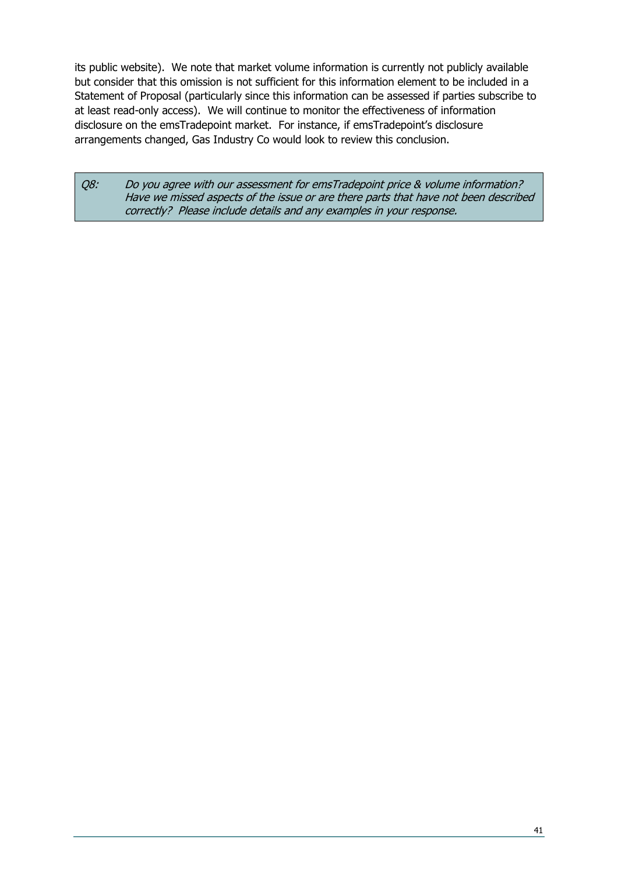its public website). We note that market volume information is currently not publicly available but consider that this omission is not sufficient for this information element to be included in a Statement of Proposal (particularly since this information can be assessed if parties subscribe to at least read-only access). We will continue to monitor the effectiveness of information disclosure on the emsTradepoint market. For instance, if emsTradepoint's disclosure arrangements changed, Gas Industry Co would look to review this conclusion.

Q8: Do you agree with our assessment for emsTradepoint price & volume information? Have we missed aspects of the issue or are there parts that have not been described correctly? Please include details and any examples in your response.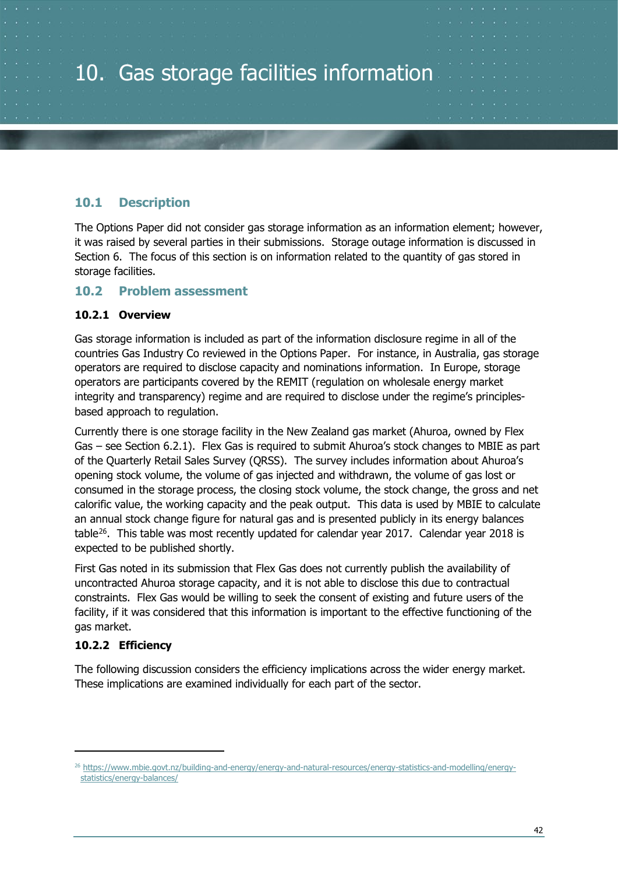#### <span id="page-41-1"></span><span id="page-41-0"></span>**10.1 Description**

The Options Paper did not consider gas storage information as an information element; however, it was raised by several parties in their submissions. Storage outage information is discussed in Section [6.](#page-27-0) The focus of this section is on information related to the quantity of gas stored in storage facilities.

#### <span id="page-41-2"></span>**10.2 Problem assessment**

#### <span id="page-41-3"></span>**10.2.1 Overview**

Gas storage information is included as part of the information disclosure regime in all of the countries Gas Industry Co reviewed in the Options Paper. For instance, in Australia, gas storage operators are required to disclose capacity and nominations information. In Europe, storage operators are participants covered by the REMIT (regulation on wholesale energy market integrity and transparency) regime and are required to disclose under the regime's principlesbased approach to regulation.

Currently there is one storage facility in the New Zealand gas market (Ahuroa, owned by Flex Gas – see Section [6.2.1\)](#page-27-3). Flex Gas is required to submit Ahuroa's stock changes to MBIE as part of the Quarterly Retail Sales Survey (QRSS). The survey includes information about Ahuroa's opening stock volume, the volume of gas injected and withdrawn, the volume of gas lost or consumed in the storage process, the closing stock volume, the stock change, the gross and net calorific value, the working capacity and the peak output. This data is used by MBIE to calculate an annual stock change figure for natural gas and is presented publicly in its energy balances table<sup>26</sup>. This table was most recently updated for calendar year 2017. Calendar year 2018 is expected to be published shortly.

First Gas noted in its submission that Flex Gas does not currently publish the availability of uncontracted Ahuroa storage capacity, and it is not able to disclose this due to contractual constraints. Flex Gas would be willing to seek the consent of existing and future users of the facility, if it was considered that this information is important to the effective functioning of the gas market.

#### <span id="page-41-4"></span>**10.2.2 Efficiency**

The following discussion considers the efficiency implications across the wider energy market. These implications are examined individually for each part of the sector.

<span id="page-41-5"></span><sup>26</sup> [https://www.mbie.govt.nz/building-and-energy/energy-and-natural-resources/energy-statistics-and-modelling/energy](https://www.mbie.govt.nz/building-and-energy/energy-and-natural-resources/energy-statistics-and-modelling/energy-statistics/energy-balances/)[statistics/energy-balances/](https://www.mbie.govt.nz/building-and-energy/energy-and-natural-resources/energy-statistics-and-modelling/energy-statistics/energy-balances/)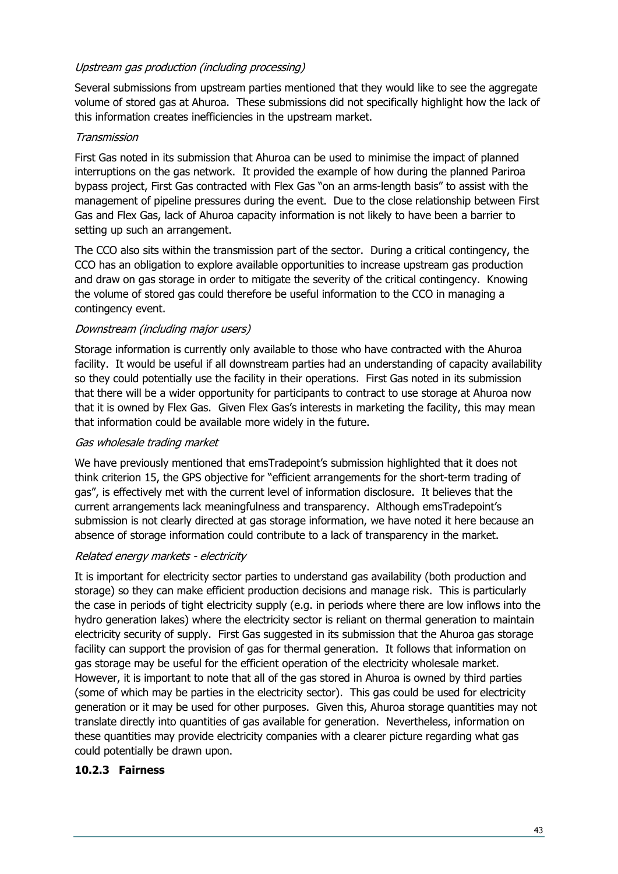#### Upstream gas production (including processing)

Several submissions from upstream parties mentioned that they would like to see the aggregate volume of stored gas at Ahuroa. These submissions did not specifically highlight how the lack of this information creates inefficiencies in the upstream market.

#### Transmission

First Gas noted in its submission that Ahuroa can be used to minimise the impact of planned interruptions on the gas network. It provided the example of how during the planned Pariroa bypass project, First Gas contracted with Flex Gas "on an arms-length basis" to assist with the management of pipeline pressures during the event. Due to the close relationship between First Gas and Flex Gas, lack of Ahuroa capacity information is not likely to have been a barrier to setting up such an arrangement.

The CCO also sits within the transmission part of the sector. During a critical contingency, the CCO has an obligation to explore available opportunities to increase upstream gas production and draw on gas storage in order to mitigate the severity of the critical contingency. Knowing the volume of stored gas could therefore be useful information to the CCO in managing a contingency event.

#### Downstream (including major users)

Storage information is currently only available to those who have contracted with the Ahuroa facility. It would be useful if all downstream parties had an understanding of capacity availability so they could potentially use the facility in their operations. First Gas noted in its submission that there will be a wider opportunity for participants to contract to use storage at Ahuroa now that it is owned by Flex Gas. Given Flex Gas's interests in marketing the facility, this may mean that information could be available more widely in the future.

#### Gas wholesale trading market

We have previously mentioned that emsTradepoint's submission highlighted that it does not think criterion 15, the GPS objective for "efficient arrangements for the short-term trading of gas", is effectively met with the current level of information disclosure. It believes that the current arrangements lack meaningfulness and transparency. Although emsTradepoint's submission is not clearly directed at gas storage information, we have noted it here because an absence of storage information could contribute to a lack of transparency in the market.

#### Related energy markets - electricity

It is important for electricity sector parties to understand gas availability (both production and storage) so they can make efficient production decisions and manage risk. This is particularly the case in periods of tight electricity supply (e.g. in periods where there are low inflows into the hydro generation lakes) where the electricity sector is reliant on thermal generation to maintain electricity security of supply. First Gas suggested in its submission that the Ahuroa gas storage facility can support the provision of gas for thermal generation. It follows that information on gas storage may be useful for the efficient operation of the electricity wholesale market. However, it is important to note that all of the gas stored in Ahuroa is owned by third parties (some of which may be parties in the electricity sector). This gas could be used for electricity generation or it may be used for other purposes. Given this, Ahuroa storage quantities may not translate directly into quantities of gas available for generation. Nevertheless, information on these quantities may provide electricity companies with a clearer picture regarding what gas could potentially be drawn upon.

#### <span id="page-42-0"></span>**10.2.3 Fairness**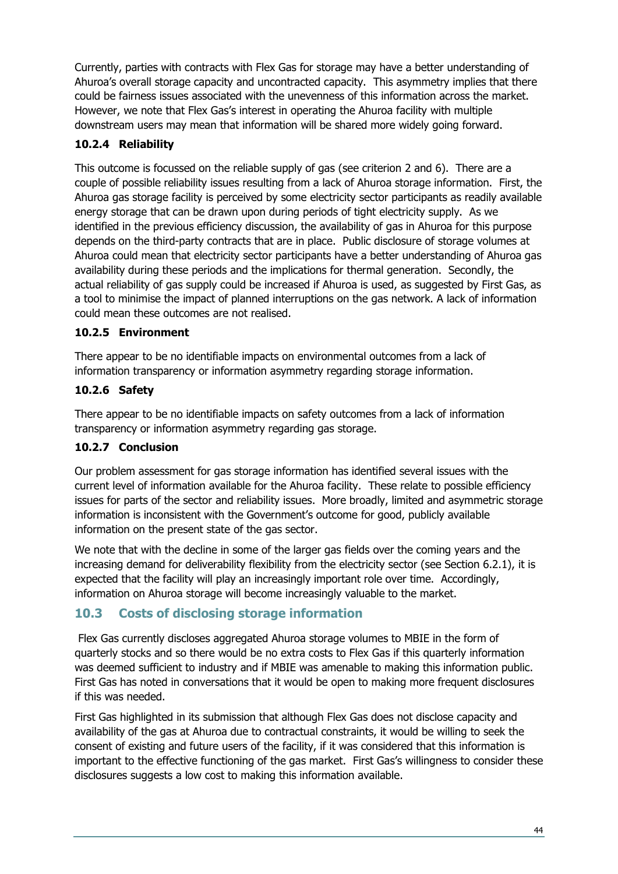Currently, parties with contracts with Flex Gas for storage may have a better understanding of Ahuroa's overall storage capacity and uncontracted capacity. This asymmetry implies that there could be fairness issues associated with the unevenness of this information across the market. However, we note that Flex Gas's interest in operating the Ahuroa facility with multiple downstream users may mean that information will be shared more widely going forward.

#### <span id="page-43-0"></span>**10.2.4 Reliability**

This outcome is focussed on the reliable supply of gas (see criterion 2 and 6). There are a couple of possible reliability issues resulting from a lack of Ahuroa storage information. First, the Ahuroa gas storage facility is perceived by some electricity sector participants as readily available energy storage that can be drawn upon during periods of tight electricity supply. As we identified in the previous efficiency discussion, the availability of gas in Ahuroa for this purpose depends on the third-party contracts that are in place. Public disclosure of storage volumes at Ahuroa could mean that electricity sector participants have a better understanding of Ahuroa gas availability during these periods and the implications for thermal generation. Secondly, the actual reliability of gas supply could be increased if Ahuroa is used, as suggested by First Gas, as a tool to minimise the impact of planned interruptions on the gas network. A lack of information could mean these outcomes are not realised.

#### <span id="page-43-1"></span>**10.2.5 Environment**

There appear to be no identifiable impacts on environmental outcomes from a lack of information transparency or information asymmetry regarding storage information.

#### <span id="page-43-2"></span>**10.2.6 Safety**

There appear to be no identifiable impacts on safety outcomes from a lack of information transparency or information asymmetry regarding gas storage.

#### <span id="page-43-3"></span>**10.2.7 Conclusion**

Our problem assessment for gas storage information has identified several issues with the current level of information available for the Ahuroa facility. These relate to possible efficiency issues for parts of the sector and reliability issues. More broadly, limited and asymmetric storage information is inconsistent with the Government's outcome for good, publicly available information on the present state of the gas sector.

We note that with the decline in some of the larger gas fields over the coming years and the increasing demand for deliverability flexibility from the electricity sector (see Section [6.2.1\)](#page-27-3), it is expected that the facility will play an increasingly important role over time. Accordingly, information on Ahuroa storage will become increasingly valuable to the market.

#### <span id="page-43-4"></span>**10.3 Costs of disclosing storage information**

Flex Gas currently discloses aggregated Ahuroa storage volumes to MBIE in the form of quarterly stocks and so there would be no extra costs to Flex Gas if this quarterly information was deemed sufficient to industry and if MBIE was amenable to making this information public. First Gas has noted in conversations that it would be open to making more frequent disclosures if this was needed.

First Gas highlighted in its submission that although Flex Gas does not disclose capacity and availability of the gas at Ahuroa due to contractual constraints, it would be willing to seek the consent of existing and future users of the facility, if it was considered that this information is important to the effective functioning of the gas market. First Gas's willingness to consider these disclosures suggests a low cost to making this information available.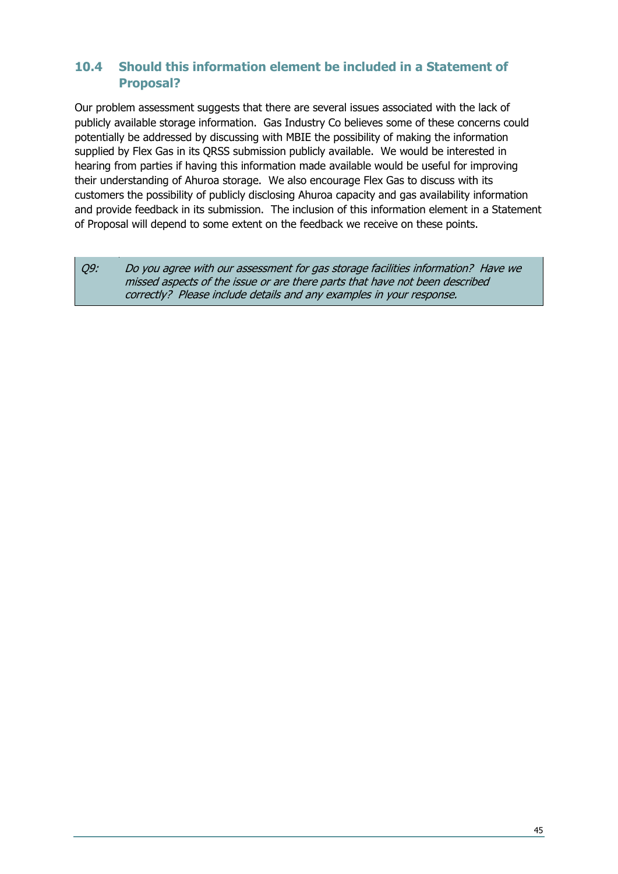#### <span id="page-44-0"></span>**10.4 Should this information element be included in a Statement of Proposal?**

Our problem assessment suggests that there are several issues associated with the lack of publicly available storage information. Gas Industry Co believes some of these concerns could potentially be addressed by discussing with MBIE the possibility of making the information supplied by Flex Gas in its QRSS submission publicly available. We would be interested in hearing from parties if having this information made available would be useful for improving their understanding of Ahuroa storage. We also encourage Flex Gas to discuss with its customers the possibility of publicly disclosing Ahuroa capacity and gas availability information and provide feedback in its submission. The inclusion of this information element in a Statement of Proposal will depend to some extent on the feedback we receive on these points.

Q9: Do you agree with our assessment for gas storage facilities information? Have we missed aspects of the issue or are there parts that have not been described correctly? Please include details and any examples in your response.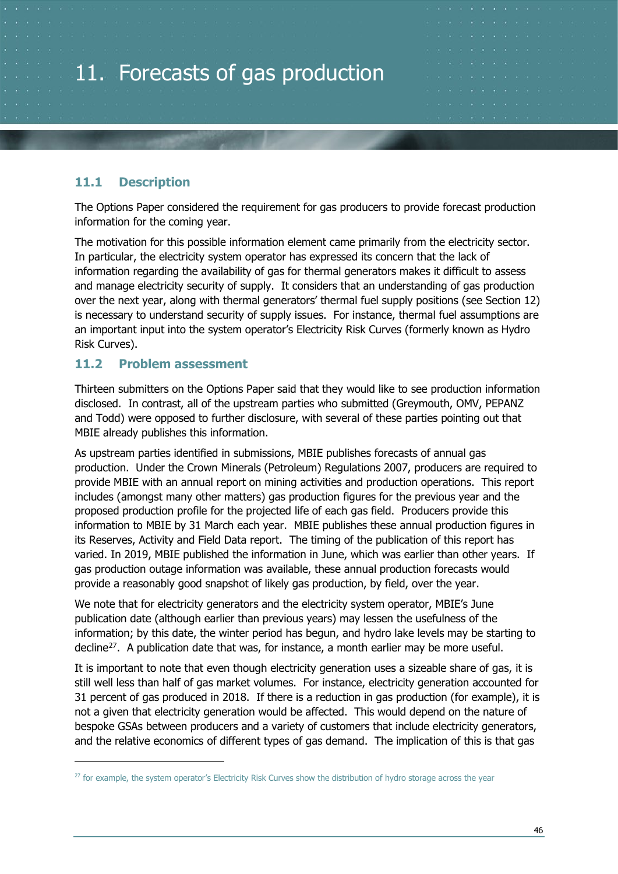# <span id="page-45-0"></span>11. Forecasts of gas production

#### <span id="page-45-1"></span>**11.1 Description**

The Options Paper considered the requirement for gas producers to provide forecast production information for the coming year.

The motivation for this possible information element came primarily from the electricity sector. In particular, the electricity system operator has expressed its concern that the lack of information regarding the availability of gas for thermal generators makes it difficult to assess and manage electricity security of supply. It considers that an understanding of gas production over the next year, along with thermal generators' thermal fuel supply positions (see Section [12\)](#page-47-0) is necessary to understand security of supply issues. For instance, thermal fuel assumptions are an important input into the system operator's Electricity Risk Curves (formerly known as Hydro Risk Curves).

#### <span id="page-45-2"></span>**11.2 Problem assessment**

Thirteen submitters on the Options Paper said that they would like to see production information disclosed. In contrast, all of the upstream parties who submitted (Greymouth, OMV, PEPANZ and Todd) were opposed to further disclosure, with several of these parties pointing out that MBIE already publishes this information.

As upstream parties identified in submissions, MBIE publishes forecasts of annual gas production. Under the Crown Minerals (Petroleum) Regulations 2007, producers are required to provide MBIE with an annual report on mining activities and production operations. This report includes (amongst many other matters) gas production figures for the previous year and the proposed production profile for the projected life of each gas field. Producers provide this information to MBIE by 31 March each year. MBIE publishes these annual production figures in its Reserves, Activity and Field Data report. The timing of the publication of this report has varied. In 2019, MBIE published the information in June, which was earlier than other years. If gas production outage information was available, these annual production forecasts would provide a reasonably good snapshot of likely gas production, by field, over the year.

We note that for electricity generators and the electricity system operator, MBIE's June publication date (although earlier than previous years) may lessen the usefulness of the information; by this date, the winter period has begun, and hydro lake levels may be starting to decline<sup>27</sup>. A publication date that was, for instance, a month earlier may be more useful.

It is important to note that even though electricity generation uses a sizeable share of gas, it is still well less than half of gas market volumes. For instance, electricity generation accounted for 31 percent of gas produced in 2018. If there is a reduction in gas production (for example), it is not a given that electricity generation would be affected. This would depend on the nature of bespoke GSAs between producers and a variety of customers that include electricity generators, and the relative economics of different types of gas demand. The implication of this is that gas

<span id="page-45-3"></span><sup>&</sup>lt;sup>27</sup> for example, the system operator's Electricity Risk Curves show the distribution of hydro storage across the year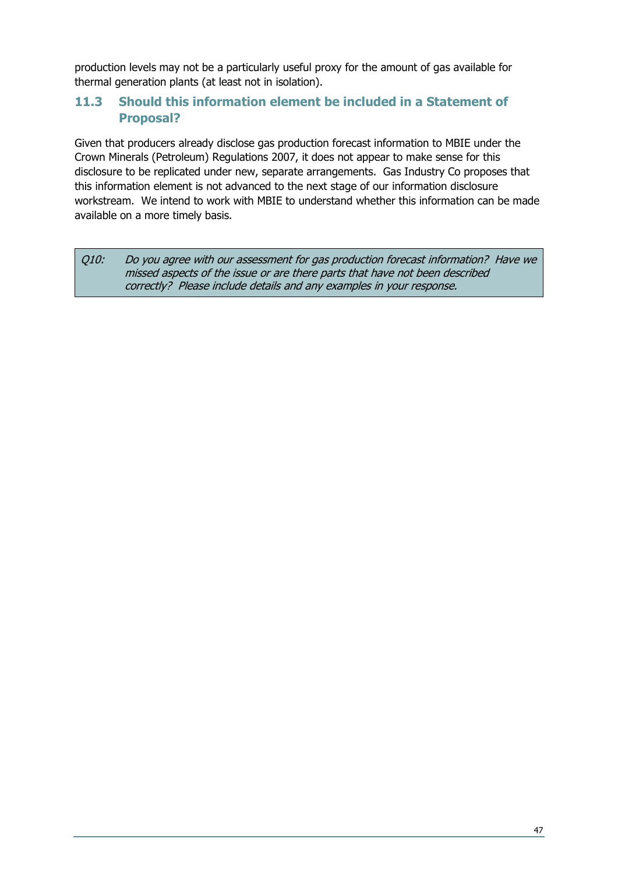production levels may not be a particularly useful proxy for the amount of gas available for thermal generation plants (at least not in isolation).

#### <span id="page-46-0"></span>**11.3 Should this information element be included in a Statement of Proposal?**

Given that producers already disclose gas production forecast information to MBIE under the Crown Minerals (Petroleum) Regulations 2007, it does not appear to make sense for this disclosure to be replicated under new, separate arrangements. Gas Industry Co proposes that this information element is not advanced to the next stage of our information disclosure workstream. We intend to work with MBIE to understand whether this information can be made available on a more timely basis.

Q10: Do you agree with our assessment for gas production forecast information? Have we missed aspects of the issue or are there parts that have not been described correctly? Please include details and any examples in your response.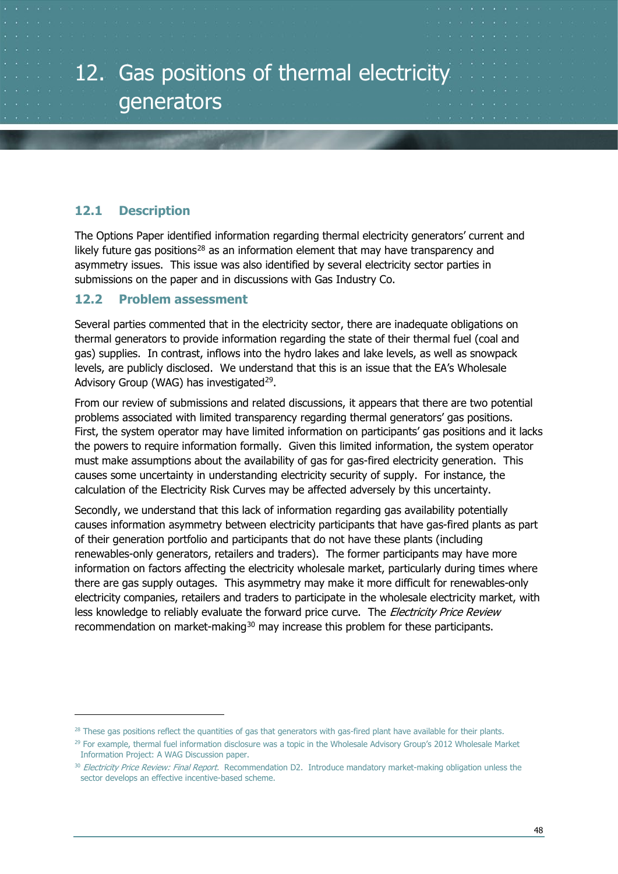#### <span id="page-47-1"></span><span id="page-47-0"></span>**12.1 Description**

The Options Paper identified information regarding thermal electricity generators' current and likely future gas positions<sup>[28](#page-47-3)</sup> as an information element that may have transparency and asymmetry issues. This issue was also identified by several electricity sector parties in submissions on the paper and in discussions with Gas Industry Co.

#### <span id="page-47-2"></span>**12.2 Problem assessment**

Several parties commented that in the electricity sector, there are inadequate obligations on thermal generators to provide information regarding the state of their thermal fuel (coal and gas) supplies. In contrast, inflows into the hydro lakes and lake levels, as well as snowpack levels, are publicly disclosed. We understand that this is an issue that the EA's Wholesale Advisory Group (WAG) has investigated<sup>29</sup>.

From our review of submissions and related discussions, it appears that there are two potential problems associated with limited transparency regarding thermal generators' gas positions. First, the system operator may have limited information on participants' gas positions and it lacks the powers to require information formally. Given this limited information, the system operator must make assumptions about the availability of gas for gas-fired electricity generation. This causes some uncertainty in understanding electricity security of supply. For instance, the calculation of the Electricity Risk Curves may be affected adversely by this uncertainty.

Secondly, we understand that this lack of information regarding gas availability potentially causes information asymmetry between electricity participants that have gas-fired plants as part of their generation portfolio and participants that do not have these plants (including renewables-only generators, retailers and traders). The former participants may have more information on factors affecting the electricity wholesale market, particularly during times where there are gas supply outages. This asymmetry may make it more difficult for renewables-only electricity companies, retailers and traders to participate in the wholesale electricity market, with less knowledge to reliably evaluate the forward price curve. The Electricity Price Review recommendation on market-making<sup>[30](#page-47-5)</sup> may increase this problem for these participants.

<span id="page-47-3"></span><sup>&</sup>lt;sup>28</sup> These gas positions reflect the quantities of gas that generators with gas-fired plant have available for their plants.

<span id="page-47-4"></span> $29$  For example, thermal fuel information disclosure was a topic in the Wholesale Advisory Group's 2012 Wholesale Market Information Project: A WAG Discussion paper.

<span id="page-47-5"></span><sup>&</sup>lt;sup>30</sup> Electricity Price Review: Final Report. Recommendation D2. Introduce mandatory market-making obligation unless the sector develops an effective incentive-based scheme.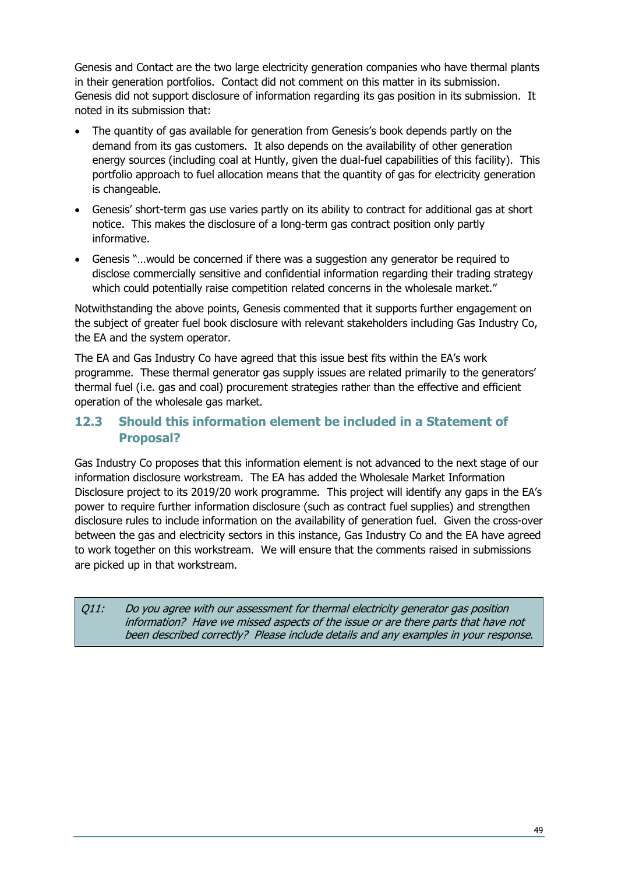Genesis and Contact are the two large electricity generation companies who have thermal plants in their generation portfolios. Contact did not comment on this matter in its submission. Genesis did not support disclosure of information regarding its gas position in its submission. It noted in its submission that:

- The quantity of gas available for generation from Genesis's book depends partly on the demand from its gas customers. It also depends on the availability of other generation energy sources (including coal at Huntly, given the dual-fuel capabilities of this facility). This portfolio approach to fuel allocation means that the quantity of gas for electricity generation is changeable.
- Genesis' short-term gas use varies partly on its ability to contract for additional gas at short notice. This makes the disclosure of a long-term gas contract position only partly informative.
- Genesis "…would be concerned if there was a suggestion any generator be required to disclose commercially sensitive and confidential information regarding their trading strategy which could potentially raise competition related concerns in the wholesale market."

Notwithstanding the above points, Genesis commented that it supports further engagement on the subject of greater fuel book disclosure with relevant stakeholders including Gas Industry Co, the EA and the system operator.

The EA and Gas Industry Co have agreed that this issue best fits within the EA's work programme. These thermal generator gas supply issues are related primarily to the generators' thermal fuel (i.e. gas and coal) procurement strategies rather than the effective and efficient operation of the wholesale gas market.

#### <span id="page-48-0"></span>**12.3 Should this information element be included in a Statement of Proposal?**

Gas Industry Co proposes that this information element is not advanced to the next stage of our information disclosure workstream. The EA has added the Wholesale Market Information Disclosure project to its 2019/20 work programme. This project will identify any gaps in the EA's power to require further information disclosure (such as contract fuel supplies) and strengthen disclosure rules to include information on the availability of generation fuel. Given the cross-over between the gas and electricity sectors in this instance, Gas Industry Co and the EA have agreed to work together on this workstream. We will ensure that the comments raised in submissions are picked up in that workstream.

Q11: Do you agree with our assessment for thermal electricity generator gas position information? Have we missed aspects of the issue or are there parts that have not been described correctly? Please include details and any examples in your response.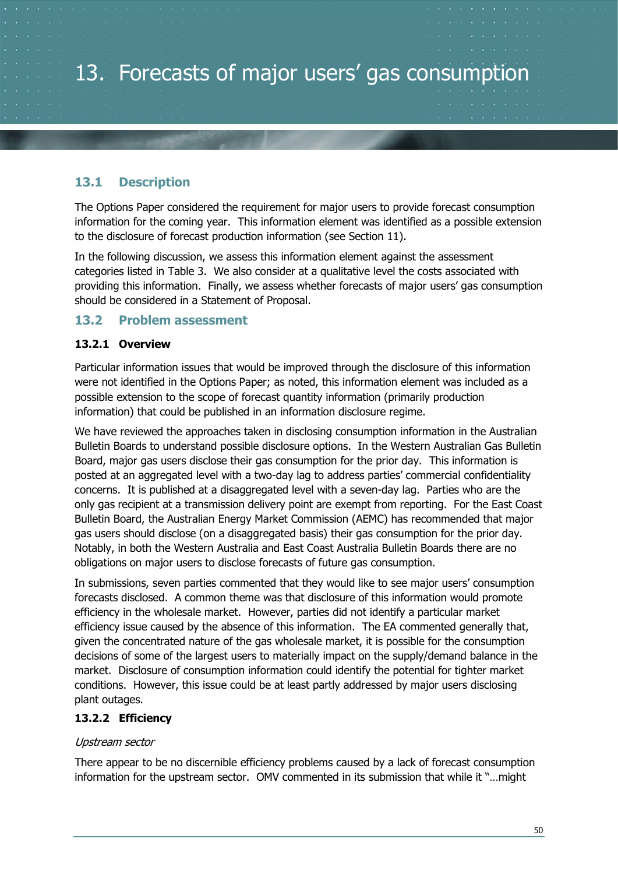## <span id="page-49-0"></span>13. Forecasts of major users' gas consumption

#### <span id="page-49-1"></span>**13.1 Description**

The Options Paper considered the requirement for major users to provide forecast consumption information for the coming year. This information element was identified as a possible extension to the disclosure of forecast production information (see Section [11\)](#page-45-0).

In the following discussion, we assess this information element against the assessment categories listed in [Table 3.](#page-13-0) We also consider at a qualitative level the costs associated with providing this information. Finally, we assess whether forecasts of major users' gas consumption should be considered in a Statement of Proposal.

#### <span id="page-49-2"></span>**13.2 Problem assessment**

#### <span id="page-49-3"></span>**13.2.1 Overview**

Particular information issues that would be improved through the disclosure of this information were not identified in the Options Paper; as noted, this information element was included as a possible extension to the scope of forecast quantity information (primarily production information) that could be published in an information disclosure regime.

We have reviewed the approaches taken in disclosing consumption information in the Australian Bulletin Boards to understand possible disclosure options. In the Western Australian Gas Bulletin Board, major gas users disclose their gas consumption for the prior day. This information is posted at an aggregated level with a two-day lag to address parties' commercial confidentiality concerns. It is published at a disaggregated level with a seven-day lag. Parties who are the only gas recipient at a transmission delivery point are exempt from reporting. For the East Coast Bulletin Board, the Australian Energy Market Commission (AEMC) has recommended that major gas users should disclose (on a disaggregated basis) their gas consumption for the prior day. Notably, in both the Western Australia and East Coast Australia Bulletin Boards there are no obligations on major users to disclose forecasts of future gas consumption.

In submissions, seven parties commented that they would like to see major users' consumption forecasts disclosed. A common theme was that disclosure of this information would promote efficiency in the wholesale market. However, parties did not identify a particular market efficiency issue caused by the absence of this information. The EA commented generally that, given the concentrated nature of the gas wholesale market, it is possible for the consumption decisions of some of the largest users to materially impact on the supply/demand balance in the market. Disclosure of consumption information could identify the potential for tighter market conditions. However, this issue could be at least partly addressed by major users disclosing plant outages.

#### <span id="page-49-4"></span>**13.2.2 Efficiency**

#### Upstream sector

There appear to be no discernible efficiency problems caused by a lack of forecast consumption information for the upstream sector. OMV commented in its submission that while it "…might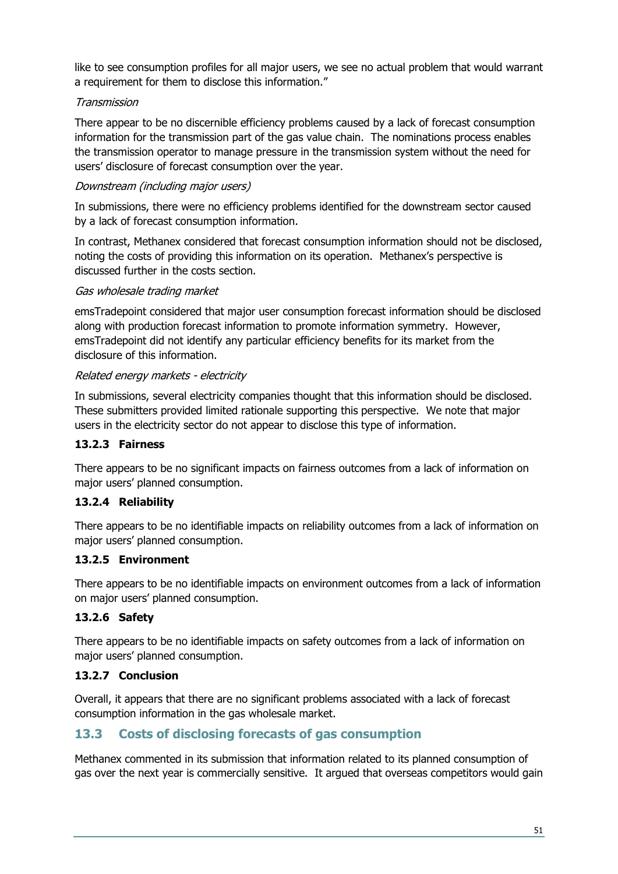like to see consumption profiles for all major users, we see no actual problem that would warrant a requirement for them to disclose this information."

#### Transmission

There appear to be no discernible efficiency problems caused by a lack of forecast consumption information for the transmission part of the gas value chain. The nominations process enables the transmission operator to manage pressure in the transmission system without the need for users' disclosure of forecast consumption over the year.

#### Downstream (including major users)

In submissions, there were no efficiency problems identified for the downstream sector caused by a lack of forecast consumption information.

In contrast, Methanex considered that forecast consumption information should not be disclosed, noting the costs of providing this information on its operation. Methanex's perspective is discussed further in the costs section.

#### Gas wholesale trading market

emsTradepoint considered that major user consumption forecast information should be disclosed along with production forecast information to promote information symmetry. However, emsTradepoint did not identify any particular efficiency benefits for its market from the disclosure of this information.

#### Related energy markets - electricity

In submissions, several electricity companies thought that this information should be disclosed. These submitters provided limited rationale supporting this perspective. We note that major users in the electricity sector do not appear to disclose this type of information.

#### <span id="page-50-0"></span>**13.2.3 Fairness**

There appears to be no significant impacts on fairness outcomes from a lack of information on major users' planned consumption.

#### <span id="page-50-1"></span>**13.2.4 Reliability**

There appears to be no identifiable impacts on reliability outcomes from a lack of information on major users' planned consumption.

#### <span id="page-50-2"></span>**13.2.5 Environment**

There appears to be no identifiable impacts on environment outcomes from a lack of information on major users' planned consumption.

#### <span id="page-50-3"></span>**13.2.6 Safety**

There appears to be no identifiable impacts on safety outcomes from a lack of information on major users' planned consumption.

#### <span id="page-50-4"></span>**13.2.7 Conclusion**

Overall, it appears that there are no significant problems associated with a lack of forecast consumption information in the gas wholesale market.

#### <span id="page-50-5"></span>**13.3 Costs of disclosing forecasts of gas consumption**

Methanex commented in its submission that information related to its planned consumption of gas over the next year is commercially sensitive. It argued that overseas competitors would gain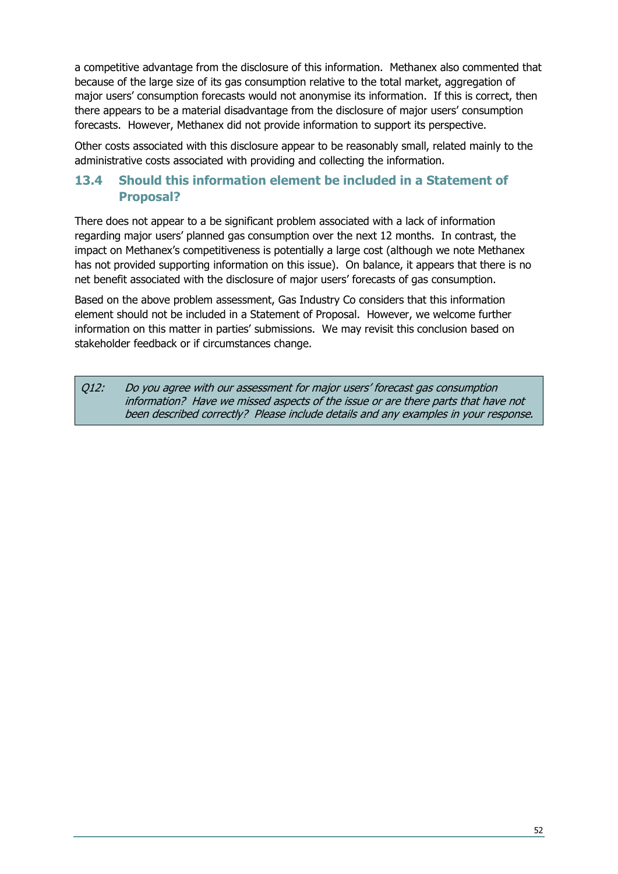a competitive advantage from the disclosure of this information. Methanex also commented that because of the large size of its gas consumption relative to the total market, aggregation of major users' consumption forecasts would not anonymise its information. If this is correct, then there appears to be a material disadvantage from the disclosure of major users' consumption forecasts. However, Methanex did not provide information to support its perspective.

Other costs associated with this disclosure appear to be reasonably small, related mainly to the administrative costs associated with providing and collecting the information.

#### <span id="page-51-0"></span>**13.4 Should this information element be included in a Statement of Proposal?**

There does not appear to a be significant problem associated with a lack of information regarding major users' planned gas consumption over the next 12 months. In contrast, the impact on Methanex's competitiveness is potentially a large cost (although we note Methanex has not provided supporting information on this issue). On balance, it appears that there is no net benefit associated with the disclosure of major users' forecasts of gas consumption.

Based on the above problem assessment, Gas Industry Co considers that this information element should not be included in a Statement of Proposal. However, we welcome further information on this matter in parties' submissions. We may revisit this conclusion based on stakeholder feedback or if circumstances change.

Q12: Do you agree with our assessment for major users' forecast gas consumption information? Have we missed aspects of the issue or are there parts that have not been described correctly? Please include details and any examples in your response.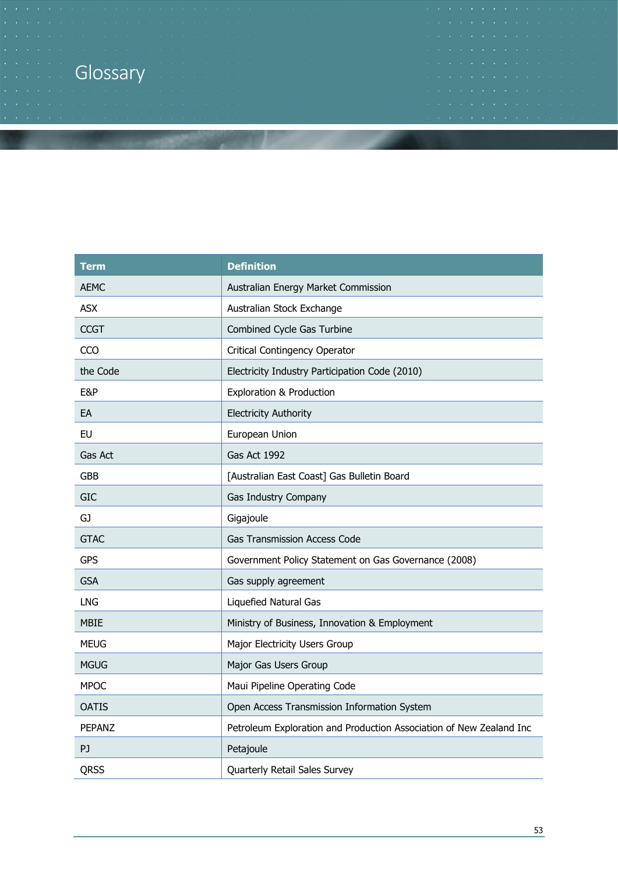## Glossary

| <b>Term</b>   | <b>Definition</b>                                                   |  |
|---------------|---------------------------------------------------------------------|--|
| <b>AEMC</b>   | Australian Energy Market Commission                                 |  |
| <b>ASX</b>    | Australian Stock Exchange                                           |  |
| <b>CCGT</b>   | Combined Cycle Gas Turbine                                          |  |
| CCO           | <b>Critical Contingency Operator</b>                                |  |
| the Code      | Electricity Industry Participation Code (2010)                      |  |
| E&P           | <b>Exploration &amp; Production</b>                                 |  |
| EA            | <b>Electricity Authority</b>                                        |  |
| EU            | European Union                                                      |  |
| Gas Act       | Gas Act 1992                                                        |  |
| <b>GBB</b>    | [Australian East Coast] Gas Bulletin Board                          |  |
| <b>GIC</b>    | Gas Industry Company                                                |  |
| GJ            | Gigajoule                                                           |  |
| <b>GTAC</b>   | <b>Gas Transmission Access Code</b>                                 |  |
| <b>GPS</b>    | Government Policy Statement on Gas Governance (2008)                |  |
| <b>GSA</b>    | Gas supply agreement                                                |  |
| LNG           | Liquefied Natural Gas                                               |  |
| <b>MBIE</b>   | Ministry of Business, Innovation & Employment                       |  |
| <b>MEUG</b>   | Major Electricity Users Group                                       |  |
| <b>MGUG</b>   | Major Gas Users Group                                               |  |
| <b>MPOC</b>   | Maui Pipeline Operating Code                                        |  |
| <b>OATIS</b>  | Open Access Transmission Information System                         |  |
| <b>PEPANZ</b> | Petroleum Exploration and Production Association of New Zealand Inc |  |
| PJ            | Petajoule                                                           |  |
| <b>QRSS</b>   | Quarterly Retail Sales Survey                                       |  |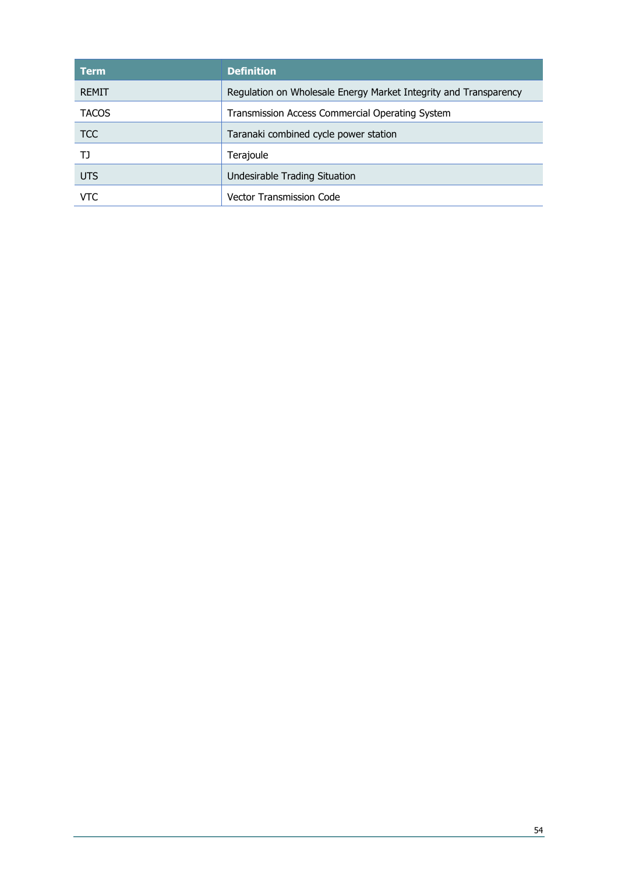| <b>Term</b>  | <b>Definition</b>                                                |
|--------------|------------------------------------------------------------------|
| REMIT        | Regulation on Wholesale Energy Market Integrity and Transparency |
| <b>TACOS</b> | Transmission Access Commercial Operating System                  |
| <b>TCC</b>   | Taranaki combined cycle power station                            |
| נד           | Terajoule                                                        |
| <b>UTS</b>   | Undesirable Trading Situation                                    |
| VTC          | Vector Transmission Code                                         |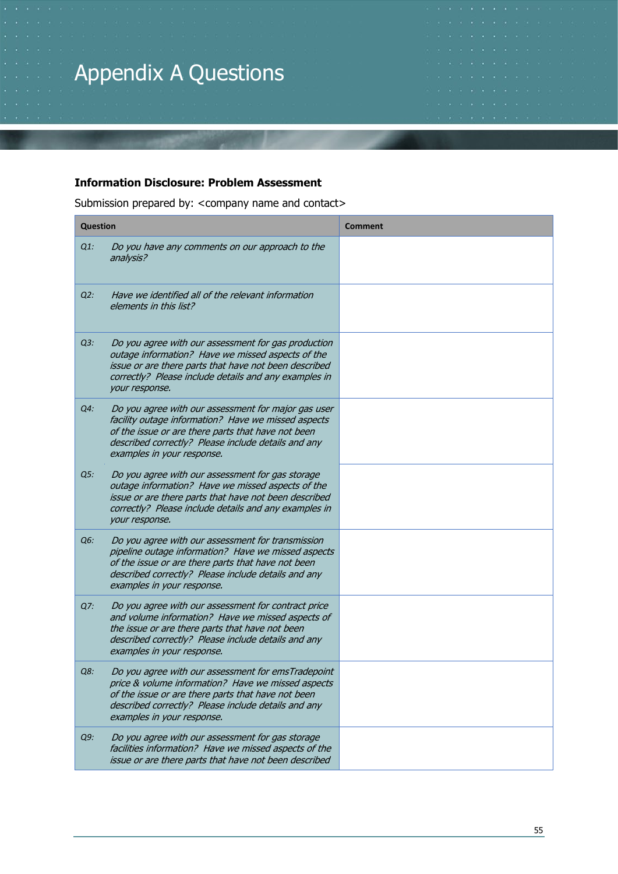# Appendix A Questions

#### **Information Disclosure: Problem Assessment**

Submission prepared by: < company name and contact>

| <b>Question</b> |                                                                                                                                                                                                                                                       | <b>Comment</b> |
|-----------------|-------------------------------------------------------------------------------------------------------------------------------------------------------------------------------------------------------------------------------------------------------|----------------|
| $Q1$ :          | Do you have any comments on our approach to the<br>analysis?                                                                                                                                                                                          |                |
| $Q2$ :          | Have we identified all of the relevant information<br>elements in this list?                                                                                                                                                                          |                |
| $Q3$ :          | Do you agree with our assessment for gas production<br>outage information? Have we missed aspects of the<br>issue or are there parts that have not been described<br>correctly? Please include details and any examples in<br>your response.          |                |
| Q4:             | Do you agree with our assessment for major gas user<br>facility outage information? Have we missed aspects<br>of the issue or are there parts that have not been<br>described correctly? Please include details and any<br>examples in your response. |                |
| Q5:             | Do you agree with our assessment for gas storage<br>outage information? Have we missed aspects of the<br>issue or are there parts that have not been described<br>correctly? Please include details and any examples in<br>your response.             |                |
| Q6:             | Do you agree with our assessment for transmission<br>pipeline outage information? Have we missed aspects<br>of the issue or are there parts that have not been<br>described correctly? Please include details and any<br>examples in your response.   |                |
| Q7:             | Do you agree with our assessment for contract price<br>and volume information? Have we missed aspects of<br>the issue or are there parts that have not been<br>described correctly? Please include details and any<br>examples in your response.      |                |
| Q8:             | Do you agree with our assessment for emsTradepoint<br>price & volume information? Have we missed aspects<br>of the issue or are there parts that have not been<br>described correctly? Please include details and any<br>examples in your response.   |                |
| Q9:             | Do you agree with our assessment for gas storage<br>facilities information? Have we missed aspects of the<br>issue or are there parts that have not been described                                                                                    |                |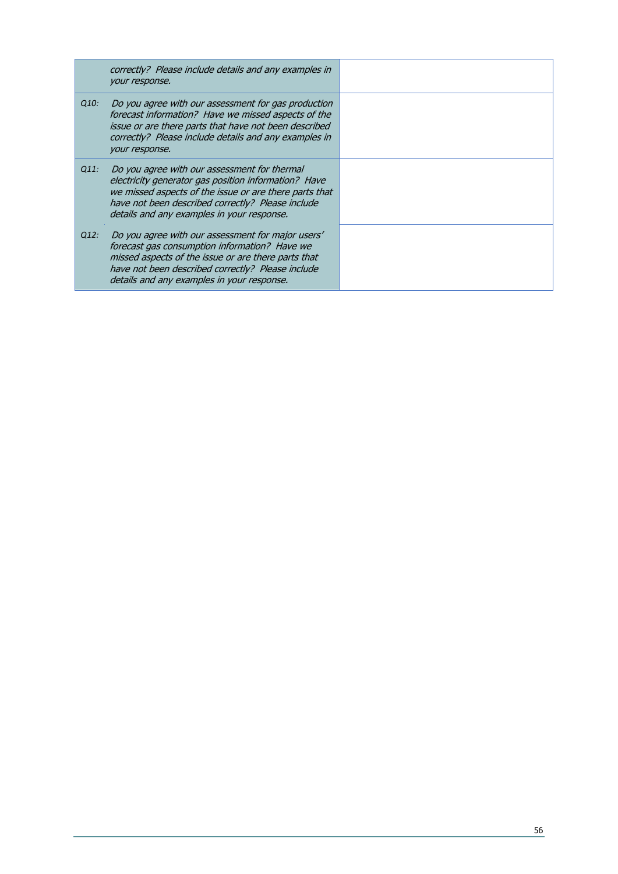|      | correctly? Please include details and any examples in<br>your response.                                                                                                                                                                                           |  |
|------|-------------------------------------------------------------------------------------------------------------------------------------------------------------------------------------------------------------------------------------------------------------------|--|
| Q10: | Do you agree with our assessment for gas production<br>forecast information? Have we missed aspects of the<br>issue or are there parts that have not been described<br>correctly? Please include details and any examples in<br>your response.                    |  |
| Q11: | Do you agree with our assessment for thermal<br>electricity generator gas position information? Have<br>we missed aspects of the issue or are there parts that<br>have not been described correctly? Please include<br>details and any examples in your response. |  |
| Q12: | Do you agree with our assessment for major users'<br>forecast gas consumption information? Have we<br>missed aspects of the issue or are there parts that<br>have not been described correctly? Please include<br>details and any examples in your response.      |  |